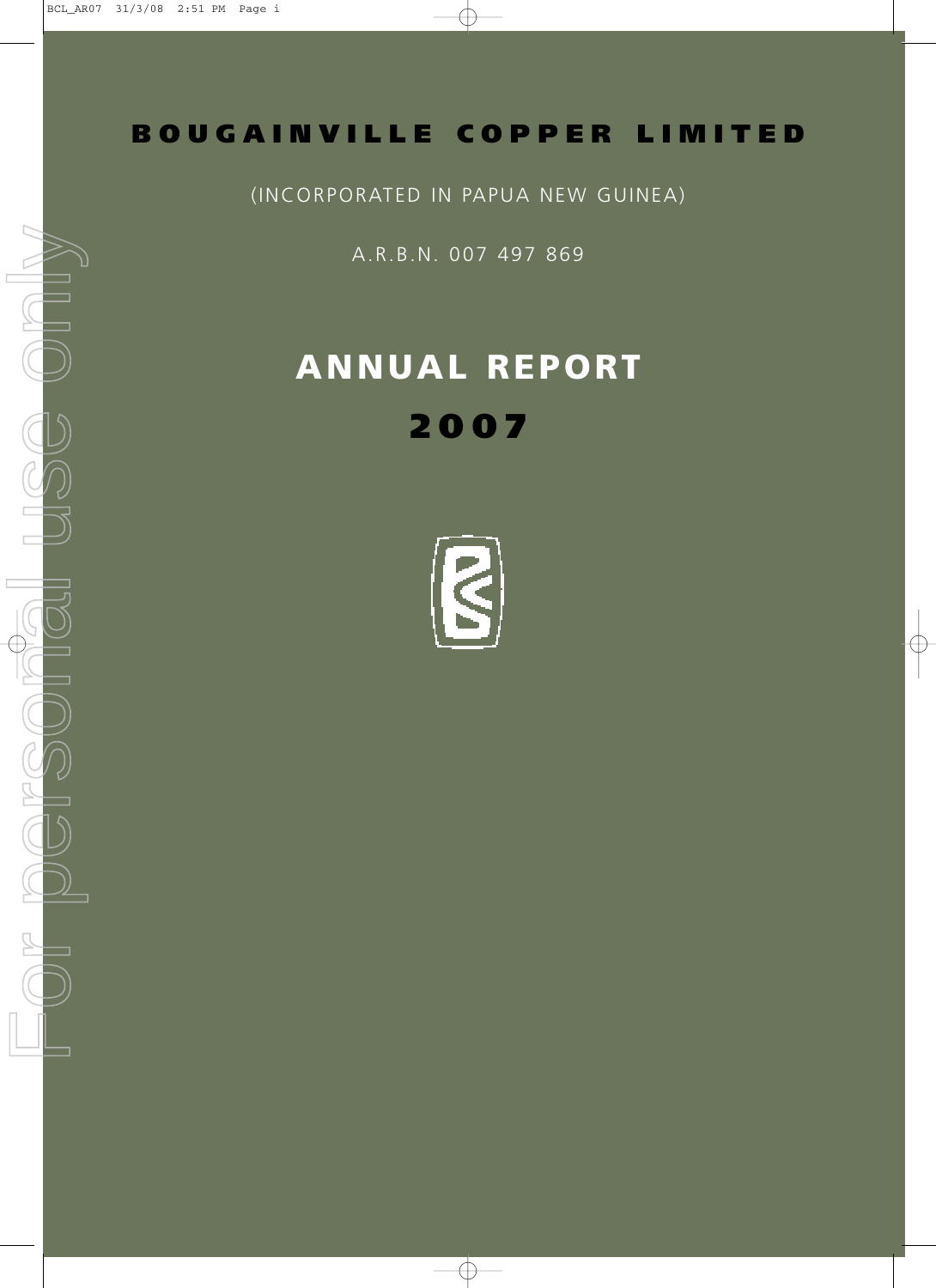# **BOUGAINVILLE COPPER LIMITED**

(INCORPORATED IN PAPUA NEW GUINEA)

A.R.B.N. 007 497 869

# **ANNUAL REPORT 2007**

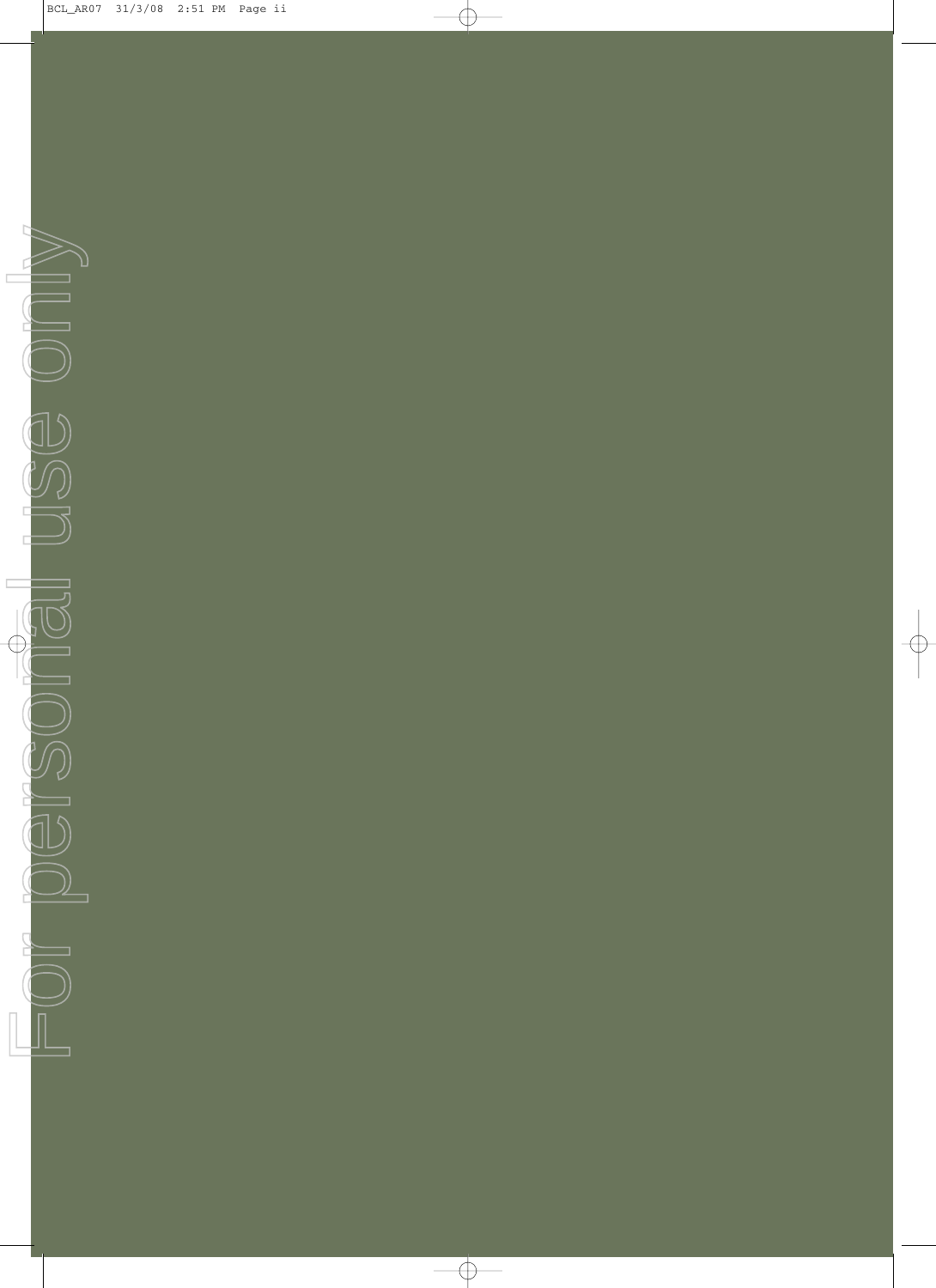$\Gamma$ For personal use only $\Box$ 15 へこ

 $\overline{\bigoplus}$ 

 $\overline{\bigoplus}$ 

 $\overline{\phantom{0}}$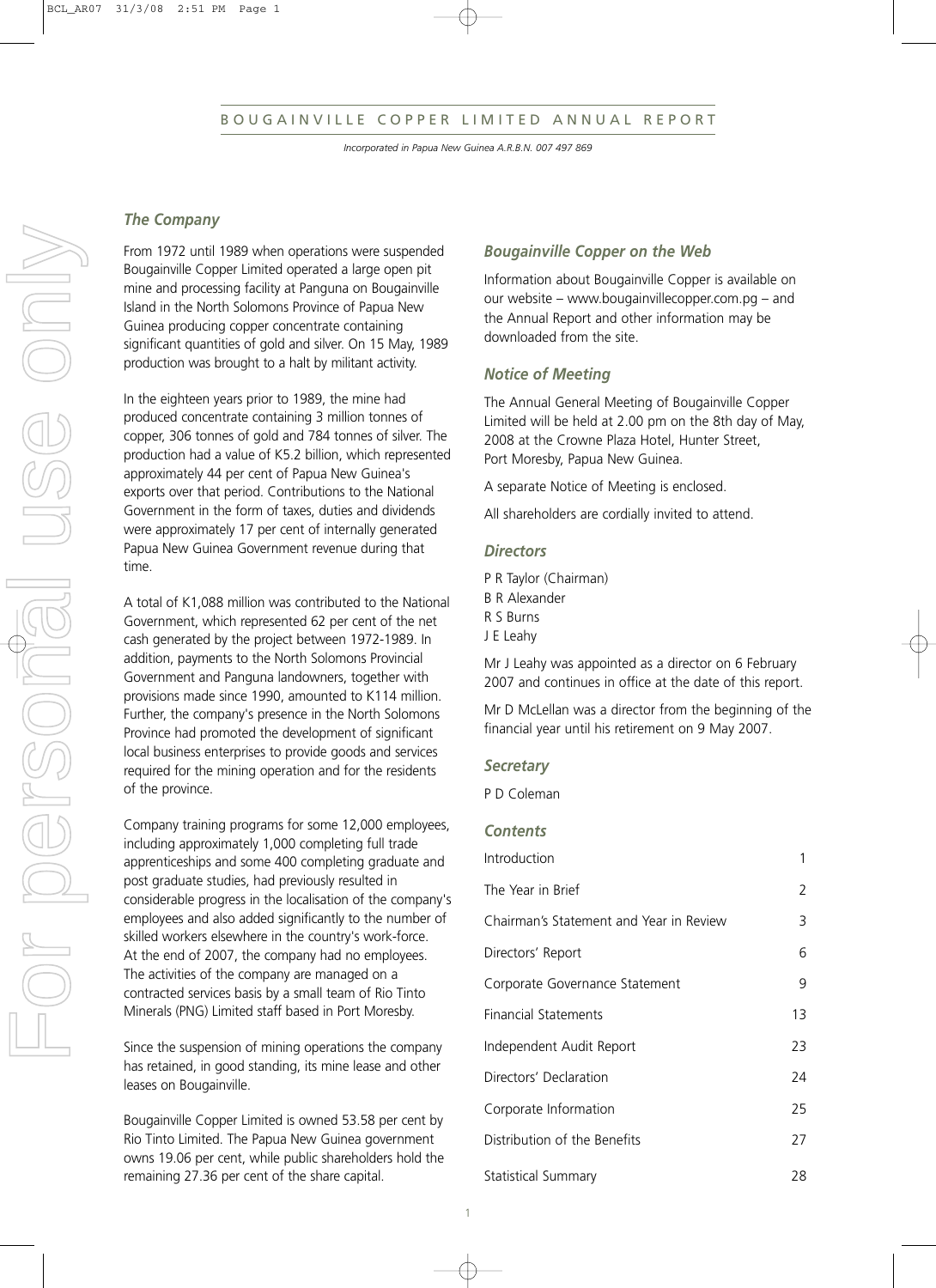*Incorporated in Papua New Guinea A.R.B.N. 007 497 869*

# For personal use only

#### *The Company*

From 1972 until 1989 when operations were suspended Bougainville Copper Limited operated a large open pit mine and processing facility at Panguna on Bougainville Island in the North Solomons Province of Papua New Guinea producing copper concentrate containing significant quantities of gold and silver. On 15 May, 1989 production was brought to a halt by militant activity.

In the eighteen years prior to 1989, the mine had produced concentrate containing 3 million tonnes of copper, 306 tonnes of gold and 784 tonnes of silver. The production had a value of K5.2 billion, which represented approximately 44 per cent of Papua New Guinea's exports over that period. Contributions to the National Government in the form of taxes, duties and dividends were approximately 17 per cent of internally generated Papua New Guinea Government revenue during that time.

A total of K1,088 million was contributed to the National Government, which represented 62 per cent of the net cash generated by the project between 1972-1989. In addition, payments to the North Solomons Provincial Government and Panguna landowners, together with provisions made since 1990, amounted to K114 million. Further, the company's presence in the North Solomons Province had promoted the development of significant local business enterprises to provide goods and services required for the mining operation and for the residents of the province.

Company training programs for some 12,000 employees, including approximately 1,000 completing full trade apprenticeships and some 400 completing graduate and post graduate studies, had previously resulted in considerable progress in the localisation of the company's employees and also added significantly to the number of skilled workers elsewhere in the country's work-force. At the end of 2007, the company had no employees. The activities of the company are managed on a contracted services basis by a small team of Rio Tinto Minerals (PNG) Limited staff based in Port Moresby.

Since the suspension of mining operations the company has retained, in good standing, its mine lease and other leases on Bougainville.

Bougainville Copper Limited is owned 53.58 per cent by Rio Tinto Limited. The Papua New Guinea government owns 19.06 per cent, while public shareholders hold the remaining 27.36 per cent of the share capital.

#### *Bougainville Copper on the Web*

Information about Bougainville Copper is available on our website – www.bougainvillecopper.com.pg – and the Annual Report and other information may be downloaded from the site.

#### *Notice of Meeting*

The Annual General Meeting of Bougainville Copper Limited will be held at 2.00 pm on the 8th day of May, 2008 at the Crowne Plaza Hotel, Hunter Street, Port Moresby, Papua New Guinea.

A separate Notice of Meeting is enclosed.

All shareholders are cordially invited to attend.

#### *Directors*

- P R Taylor (Chairman)
- B R Alexander
- R S Burns
- J E Leahy

Mr J Leahy was appointed as a director on 6 February 2007 and continues in office at the date of this report.

Mr D McLellan was a director from the beginning of the financial year until his retirement on 9 May 2007.

#### *Secretary*

P D Coleman

#### *Contents*

| Introduction                            | 1              |
|-----------------------------------------|----------------|
| The Year in Brief                       | $\overline{2}$ |
| Chairman's Statement and Year in Review | 3              |
| Directors' Report                       | 6              |
| Corporate Governance Statement          | 9              |
| <b>Financial Statements</b>             | 13             |
| Independent Audit Report                | 23             |
| Directors' Declaration                  | 24             |
| Corporate Information                   | 25             |
| Distribution of the Benefits            | 27             |
| Statistical Summary                     | 28             |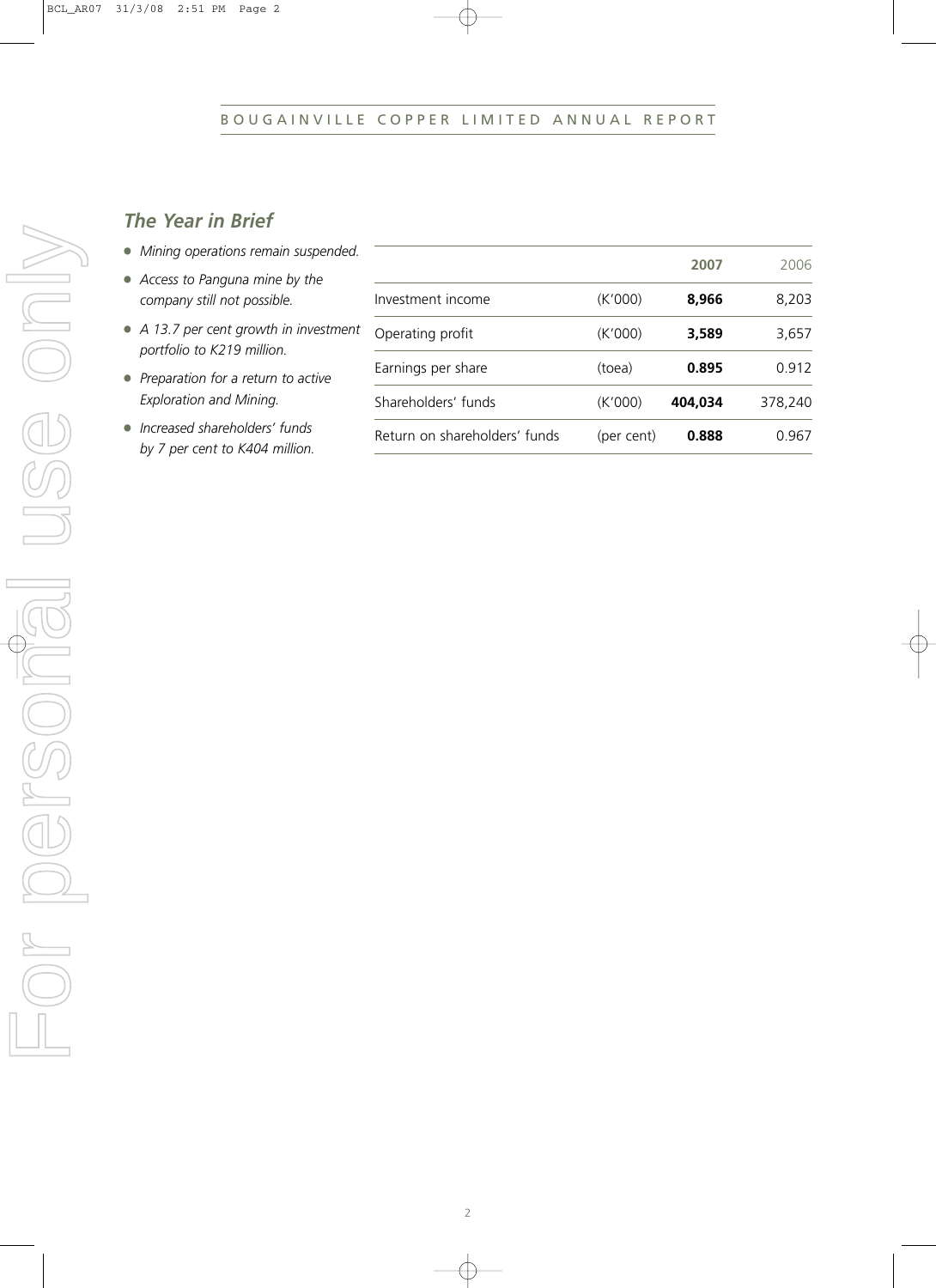# *The Year in Brief*

- **●** *Mining operations remain suspended.*
- **●** *Access to Panguna mine by the company still not possible.*
- **•** *A 13.7 per cent growth in investment portfolio to K219 million.*
- **●** *Preparation for a return to active Exploration and Mining.*
- **●** *Increased shareholders' funds by 7 per cent to K404 million.*

|                               |            | 2007    | 2006    |
|-------------------------------|------------|---------|---------|
| Investment income             | (K'000)    | 8,966   | 8,203   |
| Operating profit              | (K'000)    | 3,589   | 3,657   |
| Earnings per share            | (toea)     | 0.895   | 0.912   |
| Shareholders' funds           | (K'000)    | 404,034 | 378,240 |
| Return on shareholders' funds | (per cent) | 0.888   | 0.967   |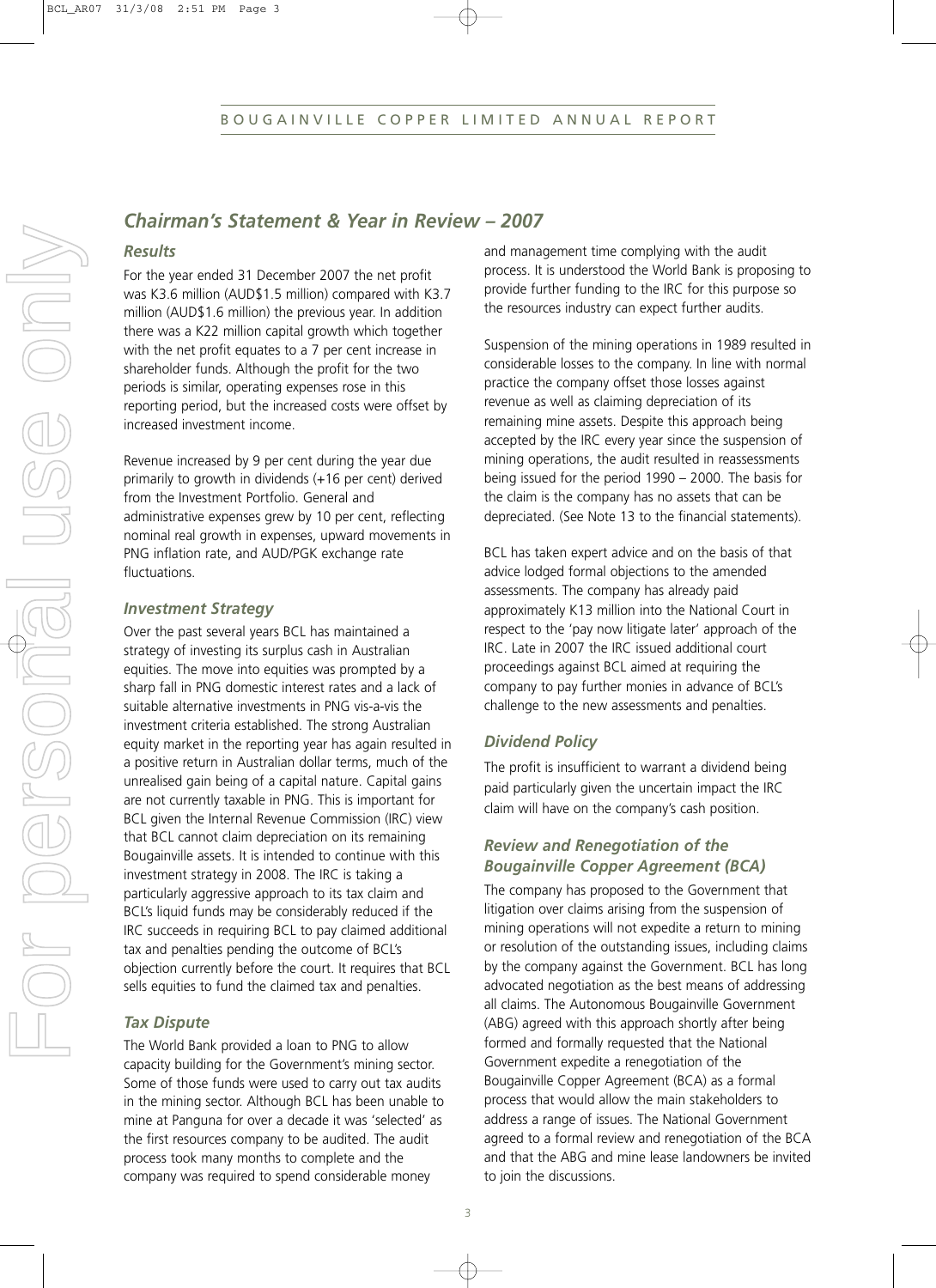# *Chairman's Statement & Year in Review – 2007*

#### *Results*

For the year ended 31 December 2007 the net profit was K3.6 million (AUD\$1.5 million) compared with K3.7 million (AUD\$1.6 million) the previous year. In addition there was a K22 million capital growth which together with the net profit equates to a 7 per cent increase in shareholder funds. Although the profit for the two periods is similar, operating expenses rose in this reporting period, but the increased costs were offset by increased investment income.

Revenue increased by 9 per cent during the year due primarily to growth in dividends (+16 per cent) derived from the Investment Portfolio. General and administrative expenses grew by 10 per cent, reflecting nominal real growth in expenses, upward movements in PNG inflation rate, and AUD/PGK exchange rate fluctuations.

#### *Investment Strategy*

Over the past several years BCL has maintained a strategy of investing its surplus cash in Australian equities. The move into equities was prompted by a sharp fall in PNG domestic interest rates and a lack of suitable alternative investments in PNG vis-a-vis the investment criteria established. The strong Australian equity market in the reporting year has again resulted in a positive return in Australian dollar terms, much of the unrealised gain being of a capital nature. Capital gains are not currently taxable in PNG. This is important for BCL given the Internal Revenue Commission (IRC) view that BCL cannot claim depreciation on its remaining Bougainville assets. It is intended to continue with this investment strategy in 2008. The IRC is taking a particularly aggressive approach to its tax claim and BCL's liquid funds may be considerably reduced if the IRC succeeds in requiring BCL to pay claimed additional tax and penalties pending the outcome of BCL's objection currently before the court. It requires that BCL sells equities to fund the claimed tax and penalties.

#### *Tax Dispute*

The World Bank provided a loan to PNG to allow capacity building for the Government's mining sector. Some of those funds were used to carry out tax audits in the mining sector. Although BCL has been unable to mine at Panguna for over a decade it was 'selected' as the first resources company to be audited. The audit process took many months to complete and the company was required to spend considerable money

and management time complying with the audit process. It is understood the World Bank is proposing to provide further funding to the IRC for this purpose so the resources industry can expect further audits.

Suspension of the mining operations in 1989 resulted in considerable losses to the company. In line with normal practice the company offset those losses against revenue as well as claiming depreciation of its remaining mine assets. Despite this approach being accepted by the IRC every year since the suspension of mining operations, the audit resulted in reassessments being issued for the period 1990 – 2000. The basis for the claim is the company has no assets that can be depreciated. (See Note 13 to the financial statements).

BCL has taken expert advice and on the basis of that advice lodged formal objections to the amended assessments. The company has already paid approximately K13 million into the National Court in respect to the 'pay now litigate later' approach of the IRC. Late in 2007 the IRC issued additional court proceedings against BCL aimed at requiring the company to pay further monies in advance of BCL's challenge to the new assessments and penalties.

#### *Dividend Policy*

The profit is insufficient to warrant a dividend being paid particularly given the uncertain impact the IRC claim will have on the company's cash position.

# *Review and Renegotiation of the Bougainville Copper Agreement (BCA)*

The company has proposed to the Government that litigation over claims arising from the suspension of mining operations will not expedite a return to mining or resolution of the outstanding issues, including claims by the company against the Government. BCL has long advocated negotiation as the best means of addressing all claims. The Autonomous Bougainville Government (ABG) agreed with this approach shortly after being formed and formally requested that the National Government expedite a renegotiation of the Bougainville Copper Agreement (BCA) as a formal process that would allow the main stakeholders to address a range of issues. The National Government agreed to a formal review and renegotiation of the BCA and that the ABG and mine lease landowners be invited to join the discussions.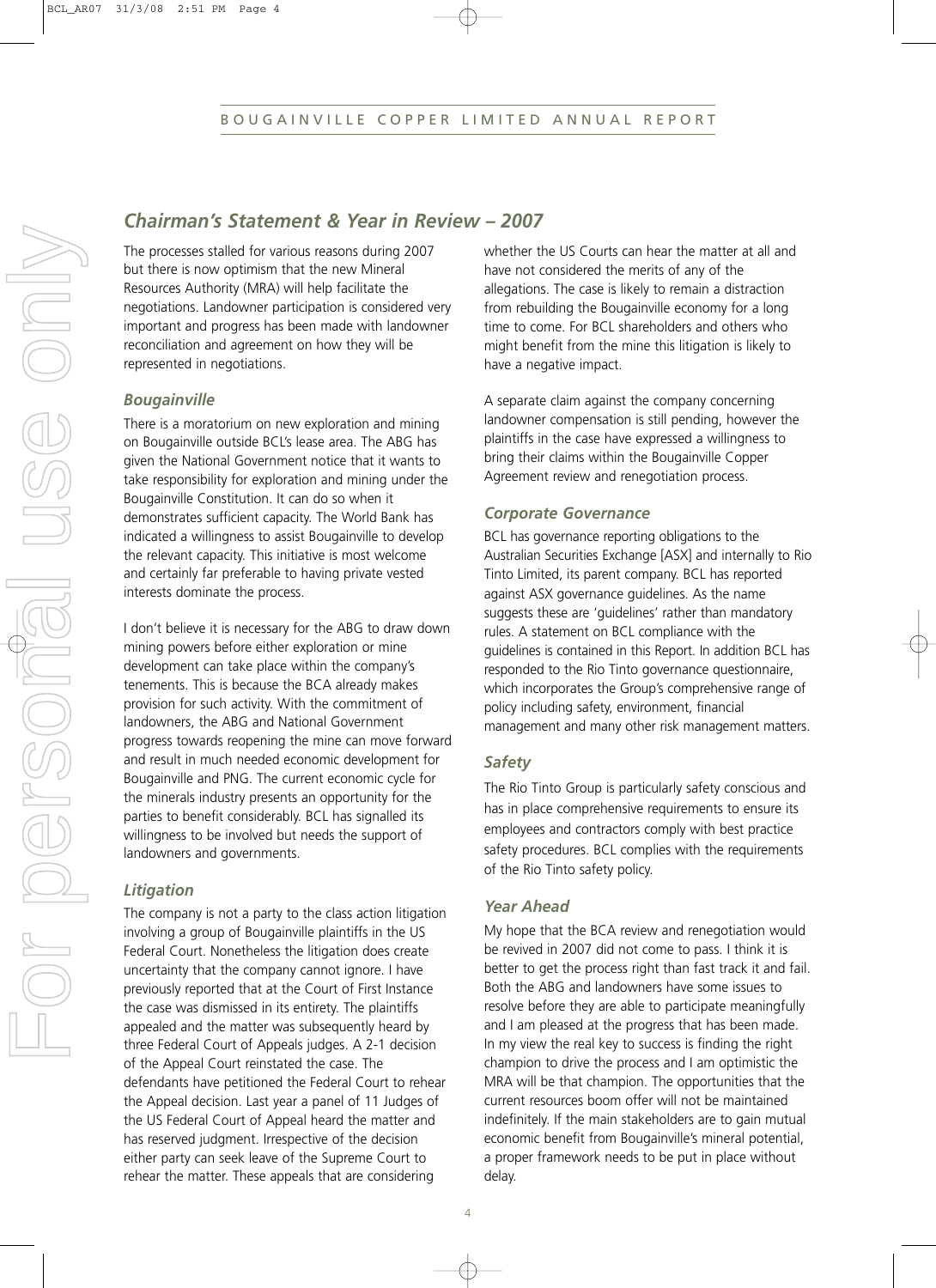# *Chairman's Statement & Year in Review – 2007*

The processes stalled for various reasons during 2007 but there is now optimism that the new Mineral Resources Authority (MRA) will help facilitate the negotiations. Landowner participation is considered very important and progress has been made with landowner reconciliation and agreement on how they will be represented in negotiations.

#### *Bougainville*

There is a moratorium on new exploration and mining on Bougainville outside BCL's lease area. The ABG has given the National Government notice that it wants to take responsibility for exploration and mining under the Bougainville Constitution. It can do so when it demonstrates sufficient capacity. The World Bank has indicated a willingness to assist Bougainville to develop the relevant capacity. This initiative is most welcome and certainly far preferable to having private vested interests dominate the process.

I don't believe it is necessary for the ABG to draw down mining powers before either exploration or mine development can take place within the company's tenements. This is because the BCA already makes provision for such activity. With the commitment of landowners, the ABG and National Government progress towards reopening the mine can move forward and result in much needed economic development for Bougainville and PNG. The current economic cycle for the minerals industry presents an opportunity for the parties to benefit considerably. BCL has signalled its willingness to be involved but needs the support of landowners and governments.

#### *Litigation*

The company is not a party to the class action litigation involving a group of Bougainville plaintiffs in the US Federal Court. Nonetheless the litigation does create uncertainty that the company cannot ignore. I have previously reported that at the Court of First Instance the case was dismissed in its entirety. The plaintiffs appealed and the matter was subsequently heard by three Federal Court of Appeals judges. A 2-1 decision of the Appeal Court reinstated the case. The defendants have petitioned the Federal Court to rehear the Appeal decision. Last year a panel of 11 Judges of the US Federal Court of Appeal heard the matter and has reserved judgment. Irrespective of the decision either party can seek leave of the Supreme Court to rehear the matter. These appeals that are considering

whether the US Courts can hear the matter at all and have not considered the merits of any of the allegations. The case is likely to remain a distraction from rebuilding the Bougainville economy for a long time to come. For BCL shareholders and others who might benefit from the mine this litigation is likely to have a negative impact.

A separate claim against the company concerning landowner compensation is still pending, however the plaintiffs in the case have expressed a willingness to bring their claims within the Bougainville Copper Agreement review and renegotiation process.

#### *Corporate Governance*

BCL has governance reporting obligations to the Australian Securities Exchange [ASX] and internally to Rio Tinto Limited, its parent company. BCL has reported against ASX governance guidelines. As the name suggests these are 'guidelines' rather than mandatory rules. A statement on BCL compliance with the guidelines is contained in this Report. In addition BCL has responded to the Rio Tinto governance questionnaire, which incorporates the Group's comprehensive range of policy including safety, environment, financial management and many other risk management matters.

#### *Safety*

The Rio Tinto Group is particularly safety conscious and has in place comprehensive requirements to ensure its employees and contractors comply with best practice safety procedures. BCL complies with the requirements of the Rio Tinto safety policy.

#### *Year Ahead*

My hope that the BCA review and renegotiation would be revived in 2007 did not come to pass. I think it is better to get the process right than fast track it and fail. Both the ABG and landowners have some issues to resolve before they are able to participate meaningfully and I am pleased at the progress that has been made. In my view the real key to success is finding the right champion to drive the process and I am optimistic the MRA will be that champion. The opportunities that the current resources boom offer will not be maintained indefinitely. If the main stakeholders are to gain mutual economic benefit from Bougainville's mineral potential, a proper framework needs to be put in place without delay.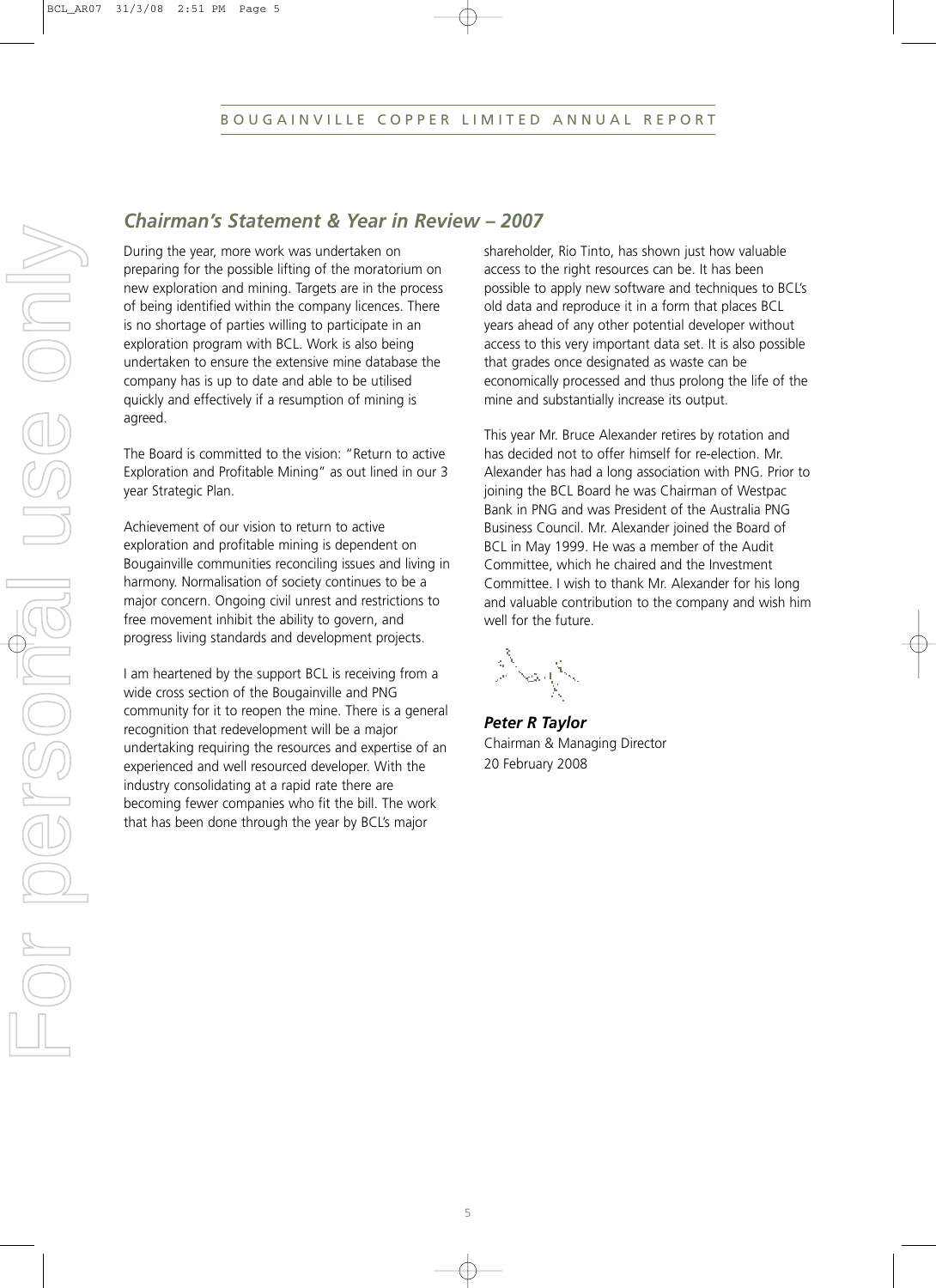# *Chairman's Statement & Year in Review – 2007*

During the year, more work was undertaken on preparing for the possible lifting of the moratorium on new exploration and mining. Targets are in the process of being identified within the company licences. There is no shortage of parties willing to participate in an exploration program with BCL. Work is also being undertaken to ensure the extensive mine database the company has is up to date and able to be utilised quickly and effectively if a resumption of mining is agreed.

The Board is committed to the vision: "Return to active Exploration and Profitable Mining" as out lined in our 3 year Strategic Plan.

Achievement of our vision to return to active exploration and profitable mining is dependent on Bougainville communities reconciling issues and living in harmony. Normalisation of society continues to be a major concern. Ongoing civil unrest and restrictions to free movement inhibit the ability to govern, and progress living standards and development projects.

I am heartened by the support BCL is receiving from a wide cross section of the Bougainville and PNG community for it to reopen the mine. There is a general recognition that redevelopment will be a major undertaking requiring the resources and expertise of an experienced and well resourced developer. With the industry consolidating at a rapid rate there are becoming fewer companies who fit the bill. The work that has been done through the year by BCL's major

shareholder, Rio Tinto, has shown just how valuable access to the right resources can be. It has been possible to apply new software and techniques to BCL's old data and reproduce it in a form that places BCL years ahead of any other potential developer without access to this very important data set. It is also possible that grades once designated as waste can be economically processed and thus prolong the life of the mine and substantially increase its output.

This year Mr. Bruce Alexander retires by rotation and has decided not to offer himself for re-election. Mr. Alexander has had a long association with PNG. Prior to joining the BCL Board he was Chairman of Westpac Bank in PNG and was President of the Australia PNG Business Council. Mr. Alexander joined the Board of BCL in May 1999. He was a member of the Audit Committee, which he chaired and the Investment Committee. I wish to thank Mr. Alexander for his long and valuable contribution to the company and wish him well for the future.

冷冷

*Peter R Taylor* Chairman & Managing Director 20 February 2008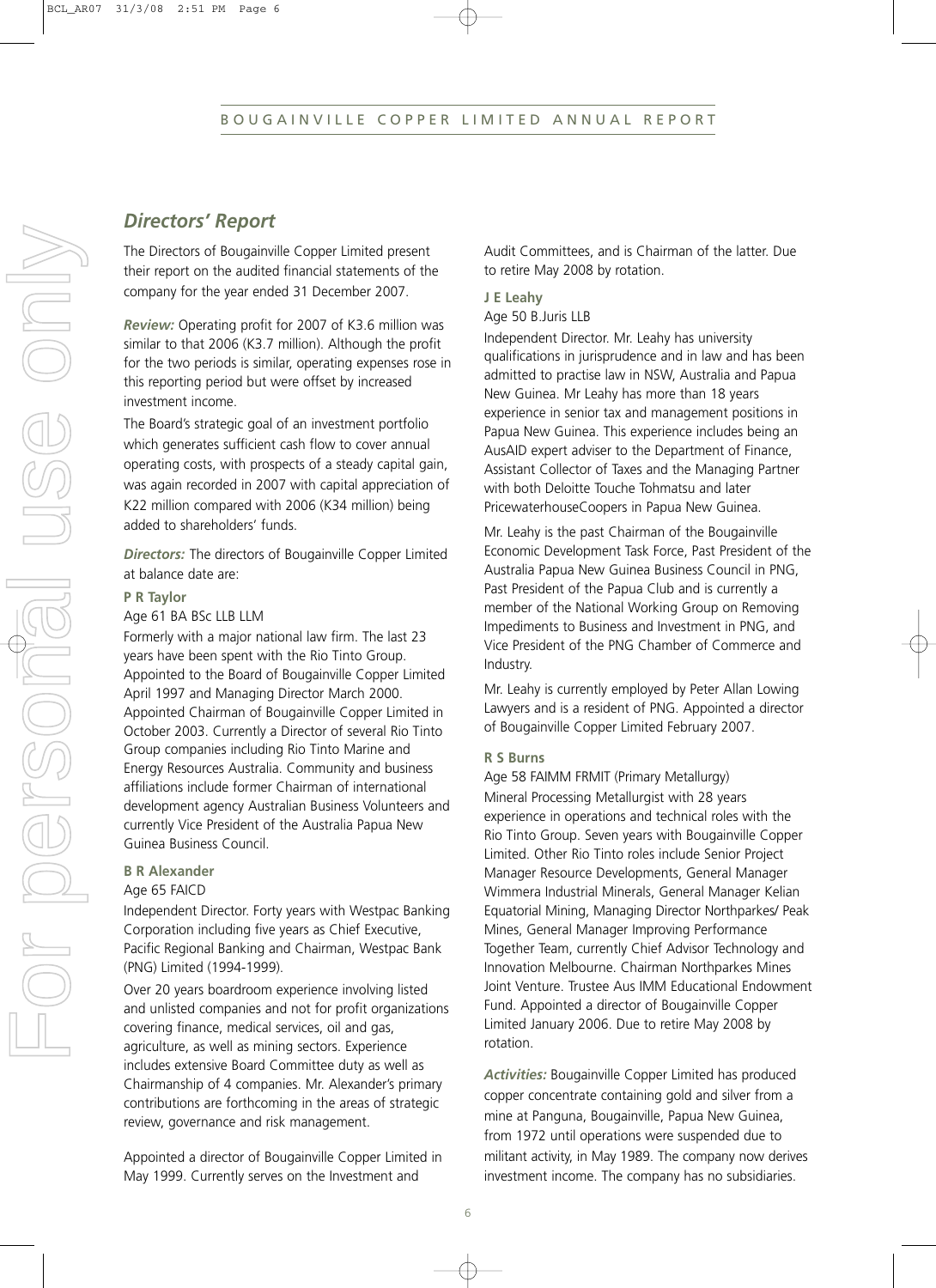# *Directors' Report*

The Directors of Bougainville Copper Limited present their report on the audited financial statements of the company for the year ended 31 December 2007.

*Review:* Operating profit for 2007 of K3.6 million was similar to that 2006 (K3.7 million). Although the profit for the two periods is similar, operating expenses rose in this reporting period but were offset by increased investment income.

The Board's strategic goal of an investment portfolio which generates sufficient cash flow to cover annual operating costs, with prospects of a steady capital gain, was again recorded in 2007 with capital appreciation of K22 million compared with 2006 (K34 million) being added to shareholders' funds.

*Directors:* The directors of Bougainville Copper Limited at balance date are:

**P R Taylor** Age 61 BA BSc LLB LLM

Formerly with a major national law firm. The last 23 years have been spent with the Rio Tinto Group. Appointed to the Board of Bougainville Copper Limited April 1997 and Managing Director March 2000. Appointed Chairman of Bougainville Copper Limited in October 2003. Currently a Director of several Rio Tinto Group companies including Rio Tinto Marine and Energy Resources Australia. Community and business affiliations include former Chairman of international development agency Australian Business Volunteers and currently Vice President of the Australia Papua New Guinea Business Council.

# **B R Alexander**

Age 65 FAICD

Independent Director. Forty years with Westpac Banking Corporation including five years as Chief Executive, Pacific Regional Banking and Chairman, Westpac Bank (PNG) Limited (1994-1999).

Over 20 years boardroom experience involving listed and unlisted companies and not for profit organizations covering finance, medical services, oil and gas, agriculture, as well as mining sectors. Experience includes extensive Board Committee duty as well as Chairmanship of 4 companies. Mr. Alexander's primary contributions are forthcoming in the areas of strategic review, governance and risk management.

Appointed a director of Bougainville Copper Limited in May 1999. Currently serves on the Investment and

Audit Committees, and is Chairman of the latter. Due to retire May 2008 by rotation.

#### **J E Leahy**

Age 50 B.Juris LLB

Independent Director. Mr. Leahy has university qualifications in jurisprudence and in law and has been admitted to practise law in NSW, Australia and Papua New Guinea. Mr Leahy has more than 18 years experience in senior tax and management positions in Papua New Guinea. This experience includes being an AusAID expert adviser to the Department of Finance, Assistant Collector of Taxes and the Managing Partner with both Deloitte Touche Tohmatsu and later PricewaterhouseCoopers in Papua New Guinea.

Mr. Leahy is the past Chairman of the Bougainville Economic Development Task Force, Past President of the Australia Papua New Guinea Business Council in PNG, Past President of the Papua Club and is currently a member of the National Working Group on Removing Impediments to Business and Investment in PNG, and Vice President of the PNG Chamber of Commerce and Industry.

Mr. Leahy is currently employed by Peter Allan Lowing Lawyers and is a resident of PNG. Appointed a director of Bougainville Copper Limited February 2007.

#### **R S Burns**

Age 58 FAIMM FRMIT (Primary Metallurgy)

Mineral Processing Metallurgist with 28 years experience in operations and technical roles with the Rio Tinto Group. Seven years with Bougainville Copper Limited. Other Rio Tinto roles include Senior Project Manager Resource Developments, General Manager Wimmera Industrial Minerals, General Manager Kelian Equatorial Mining, Managing Director Northparkes/ Peak Mines, General Manager Improving Performance Together Team, currently Chief Advisor Technology and Innovation Melbourne. Chairman Northparkes Mines Joint Venture. Trustee Aus IMM Educational Endowment Fund. Appointed a director of Bougainville Copper Limited January 2006. Due to retire May 2008 by rotation.

*Activities:* Bougainville Copper Limited has produced copper concentrate containing gold and silver from a mine at Panguna, Bougainville, Papua New Guinea, from 1972 until operations were suspended due to militant activity, in May 1989. The company now derives investment income. The company has no subsidiaries.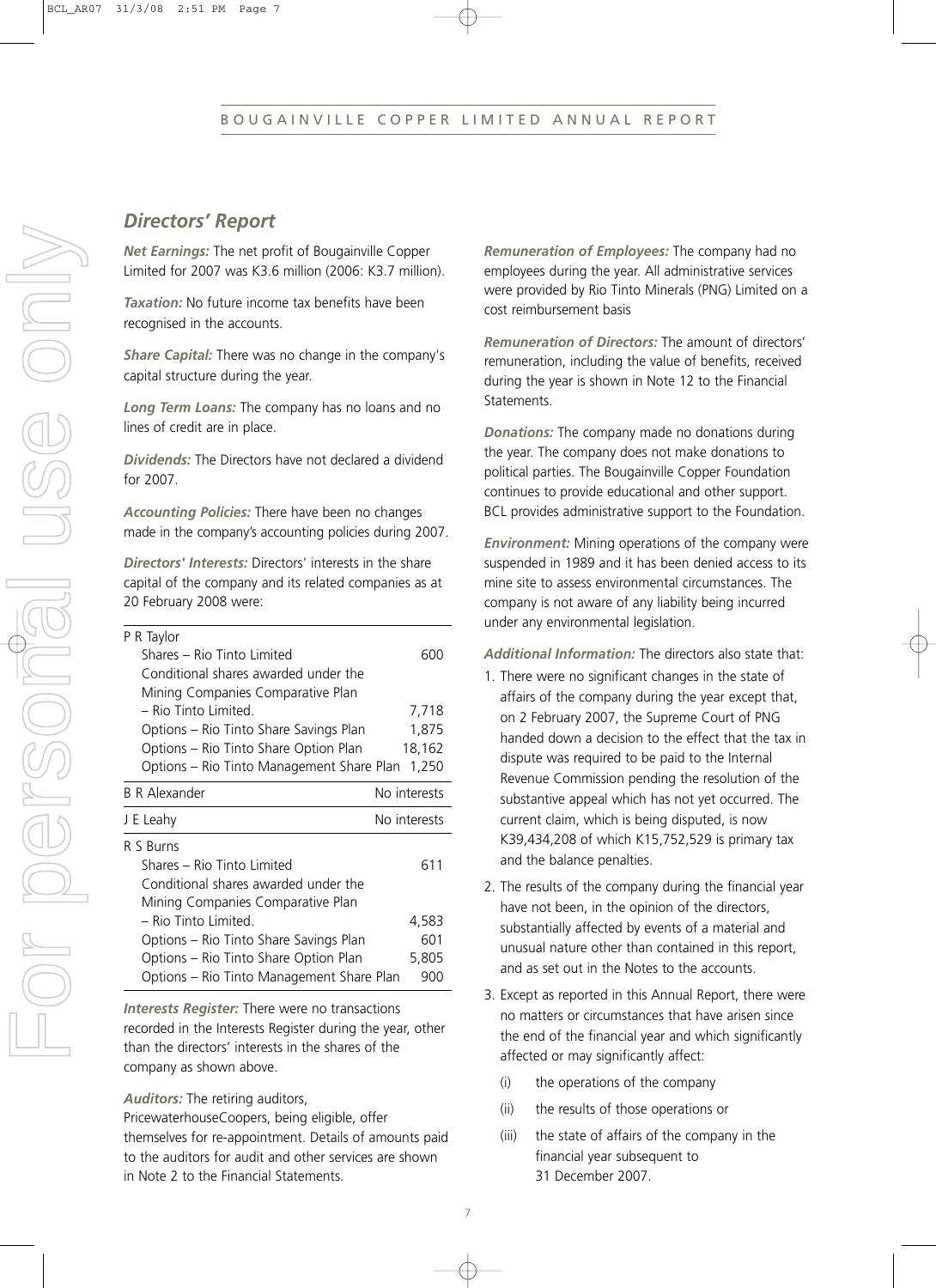# *Directors' Report*

*Net Earnings:* The net profit of Bougainville Copper Limited for 2007 was K3.6 million (2006: K3.7 million).

*Taxation:* No future income tax benefits have been recognised in the accounts.

*Share Capital:* There was no change in the company's capital structure during the year.

*Long Term Loans:* The company has no loans and no lines of credit are in place.

*Dividends:* The Directors have not declared a dividend for 2007.

*Accounting Policies:* There have been no changes made in the company's accounting policies during 2007.

*Directors' Interests:* Directors' interests in the share capital of the company and its related companies as at 20 February 2008 were:

| P R Taylor                                |              |
|-------------------------------------------|--------------|
| Shares – Rio Tinto Limited                | 600          |
| Conditional shares awarded under the      |              |
| Mining Companies Comparative Plan         |              |
| – Rio Tinto Limited.                      | 7,718        |
| Options - Rio Tinto Share Savings Plan    | 1,875        |
| Options – Rio Tinto Share Option Plan     | 18,162       |
| Options – Rio Tinto Management Share Plan | 1,250        |
| <b>B R Alexander</b>                      | No interests |
| J E Leahy                                 | No interests |
| R S Burns                                 |              |
| Shares – Rio Tinto Limited                | 611          |
| Conditional shares awarded under the      |              |
| Mining Companies Comparative Plan         |              |
| – Rio Tinto Limited.                      | 4,583        |
| Options – Rio Tinto Share Savings Plan    | 601          |
| Options - Rio Tinto Share Option Plan     | 5,805        |
| Options - Rio Tinto Management Share Plan | 900          |

*Interests Register:* There were no transactions recorded in the Interests Register during the year, other than the directors' interests in the shares of the company as shown above.

*Auditors:* The retiring auditors,

PricewaterhouseCoopers, being eligible, offer themselves for re-appointment. Details of amounts paid to the auditors for audit and other services are shown in Note 2 to the Financial Statements.

*Remuneration of Employees:* The company had no employees during the year. All administrative services were provided by Rio Tinto Minerals (PNG) Limited on a cost reimbursement basis

*Remuneration of Directors:* The amount of directors' remuneration, including the value of benefits, received during the year is shown in Note 12 to the Financial Statements.

*Donations:* The company made no donations during the year. The company does not make donations to political parties. The Bougainville Copper Foundation continues to provide educational and other support. BCL provides administrative support to the Foundation.

*Environment:* Mining operations of the company were suspended in 1989 and it has been denied access to its mine site to assess environmental circumstances. The company is not aware of any liability being incurred under any environmental legislation.

*Additional Information:* The directors also state that:

- 1. There were no significant changes in the state of affairs of the company during the year except that, on 2 February 2007, the Supreme Court of PNG handed down a decision to the effect that the tax in dispute was required to be paid to the Internal Revenue Commission pending the resolution of the substantive appeal which has not yet occurred. The current claim, which is being disputed, is now K39,434,208 of which K15,752,529 is primary tax and the balance penalties.
- 2. The results of the company during the financial year have not been, in the opinion of the directors, substantially affected by events of a material and unusual nature other than contained in this report, and as set out in the Notes to the accounts.
- 3. Except as reported in this Annual Report, there were no matters or circumstances that have arisen since the end of the financial year and which significantly affected or may significantly affect:
	- (i) the operations of the company
	- (ii) the results of those operations or
	- (iii) the state of affairs of the company in the financial year subsequent to 31 December 2007.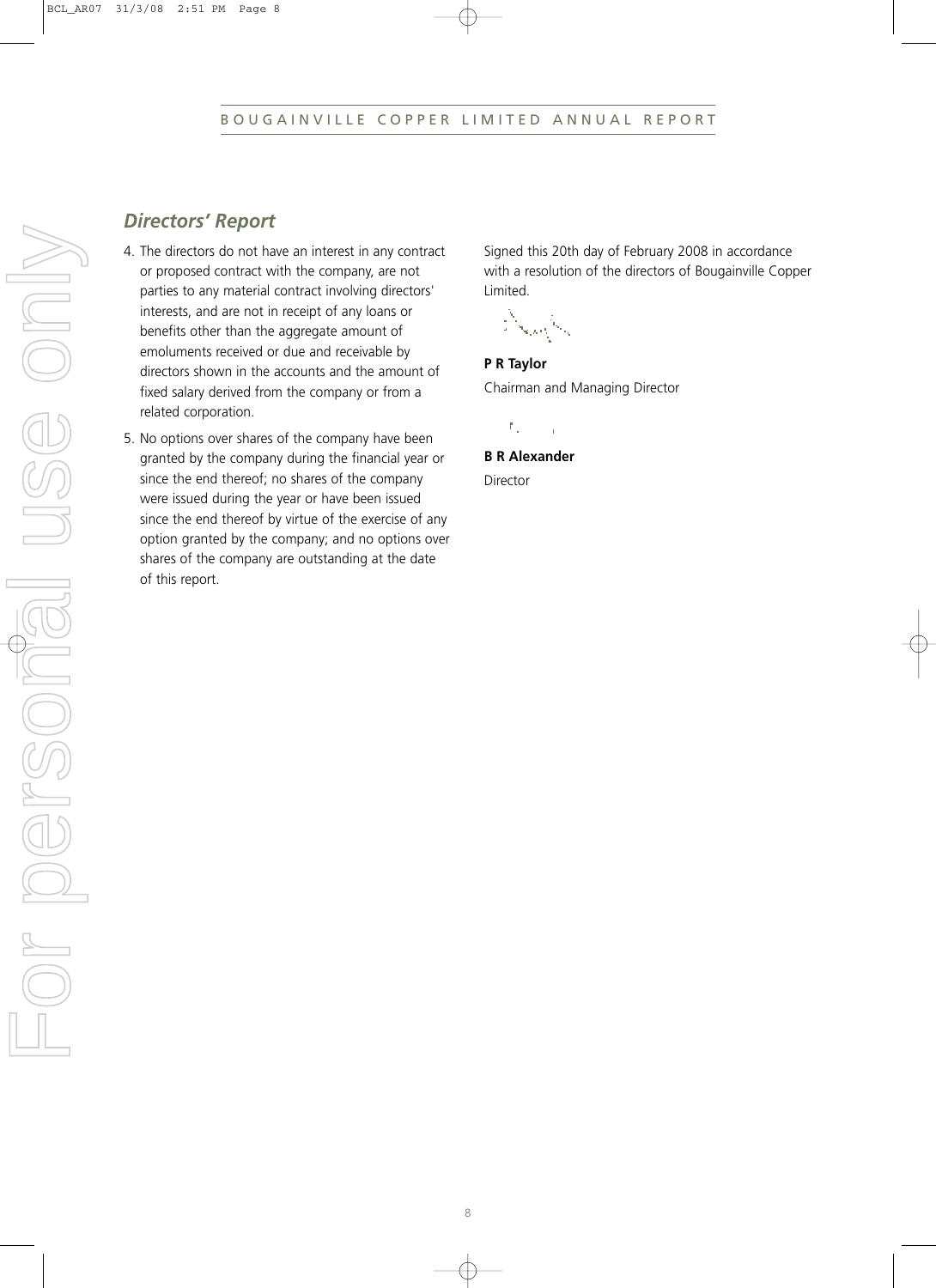# *Directors' Report*

- 4. The directors do not have an interest in any contract or proposed contract with the company, are not parties to any material contract involving directors' interests, and are not in receipt of any loans or benefits other than the aggregate amount of emoluments received or due and receivable by directors shown in the accounts and the amount of fixed salary derived from the company or from a related corporation.
- 5. No options over shares of the company have been granted by the company during the financial year or since the end thereof; no shares of the company were issued during the year or have been issued since the end thereof by virtue of the exercise of any option granted by the company; and no options over shares of the company are outstanding at the date of this report.

Signed this 20th day of February 2008 in accordance with a resolution of the directors of Bougainville Copper Limited.

Angka

**P R Taylor** Chairman and Managing Director

٢. ï

**B R Alexander**

Director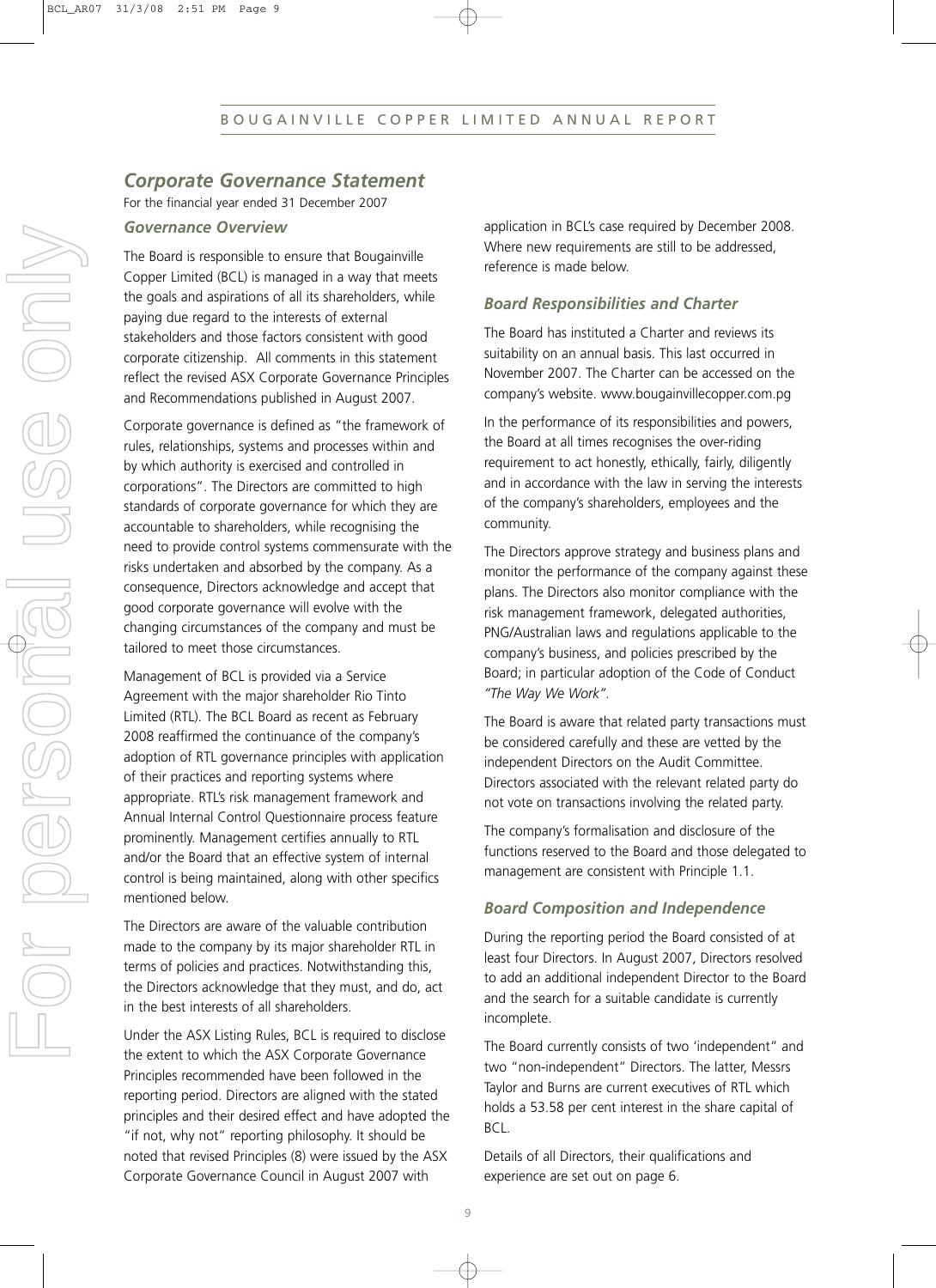# *Corporate Governance Statement*

For the financial year ended 31 December 2007

#### *Governance Overview*

The Board is responsible to ensure that Bougainville Copper Limited (BCL) is managed in a way that meets the goals and aspirations of all its shareholders, while paying due regard to the interests of external stakeholders and those factors consistent with good corporate citizenship. All comments in this statement reflect the revised ASX Corporate Governance Principles and Recommendations published in August 2007.

Corporate governance is defined as "the framework of rules, relationships, systems and processes within and by which authority is exercised and controlled in corporations". The Directors are committed to high standards of corporate governance for which they are accountable to shareholders, while recognising the need to provide control systems commensurate with the risks undertaken and absorbed by the company. As a consequence, Directors acknowledge and accept that good corporate governance will evolve with the changing circumstances of the company and must be tailored to meet those circumstances.

Management of BCL is provided via a Service Agreement with the major shareholder Rio Tinto Limited (RTL). The BCL Board as recent as February 2008 reaffirmed the continuance of the company's adoption of RTL governance principles with application of their practices and reporting systems where appropriate. RTL's risk management framework and Annual Internal Control Questionnaire process feature prominently. Management certifies annually to RTL and/or the Board that an effective system of internal control is being maintained, along with other specifics mentioned below.

The Directors are aware of the valuable contribution made to the company by its major shareholder RTL in terms of policies and practices. Notwithstanding this, the Directors acknowledge that they must, and do, act in the best interests of all shareholders.

Under the ASX Listing Rules, BCL is required to disclose the extent to which the ASX Corporate Governance Principles recommended have been followed in the reporting period. Directors are aligned with the stated principles and their desired effect and have adopted the "if not, why not" reporting philosophy. It should be noted that revised Principles (8) were issued by the ASX Corporate Governance Council in August 2007 with

application in BCL's case required by December 2008. Where new requirements are still to be addressed, reference is made below.

#### *Board Responsibilities and Charter*

The Board has instituted a Charter and reviews its suitability on an annual basis. This last occurred in November 2007. The Charter can be accessed on the company's website. www.bougainvillecopper.com.pg

In the performance of its responsibilities and powers, the Board at all times recognises the over-riding requirement to act honestly, ethically, fairly, diligently and in accordance with the law in serving the interests of the company's shareholders, employees and the community.

The Directors approve strategy and business plans and monitor the performance of the company against these plans. The Directors also monitor compliance with the risk management framework, delegated authorities, PNG/Australian laws and regulations applicable to the company's business, and policies prescribed by the Board; in particular adoption of the Code of Conduct *"The Way We Work"*.

The Board is aware that related party transactions must be considered carefully and these are vetted by the independent Directors on the Audit Committee. Directors associated with the relevant related party do not vote on transactions involving the related party.

The company's formalisation and disclosure of the functions reserved to the Board and those delegated to management are consistent with Principle 1.1.

#### *Board Composition and Independence*

During the reporting period the Board consisted of at least four Directors. In August 2007, Directors resolved to add an additional independent Director to the Board and the search for a suitable candidate is currently incomplete.

The Board currently consists of two 'independent" and two "non-independent" Directors. The latter, Messrs Taylor and Burns are current executives of RTL which holds a 53.58 per cent interest in the share capital of BCL.

Details of all Directors, their qualifications and experience are set out on page 6.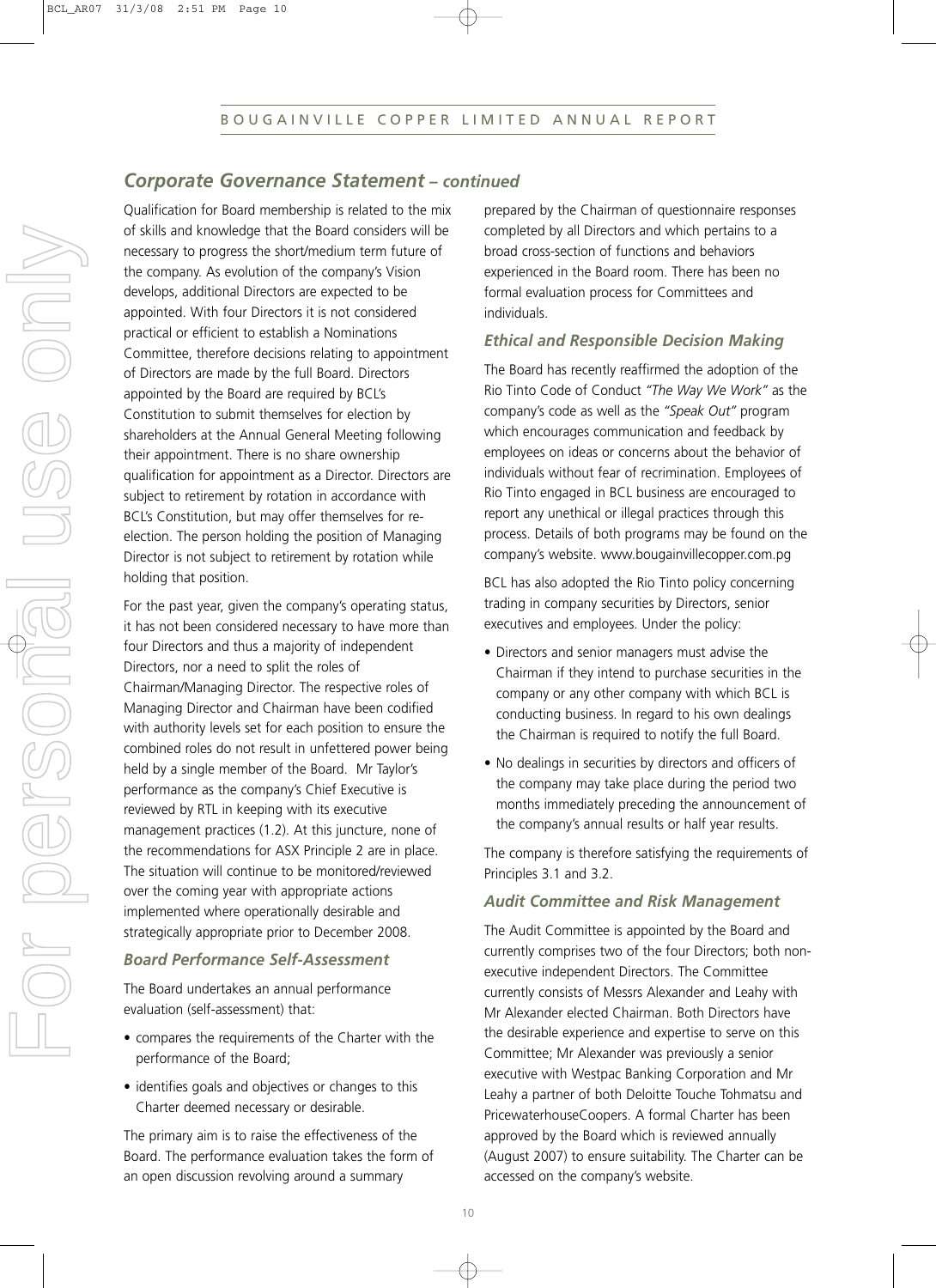## *Corporate Governance Statement – continued*

Qualification for Board membership is related to the mix of skills and knowledge that the Board considers will be necessary to progress the short/medium term future of the company. As evolution of the company's Vision develops, additional Directors are expected to be appointed. With four Directors it is not considered practical or efficient to establish a Nominations Committee, therefore decisions relating to appointment of Directors are made by the full Board. Directors appointed by the Board are required by BCL's Constitution to submit themselves for election by shareholders at the Annual General Meeting following their appointment. There is no share ownership qualification for appointment as a Director. Directors are subject to retirement by rotation in accordance with BCL's Constitution, but may offer themselves for reelection. The person holding the position of Managing Director is not subject to retirement by rotation while holding that position.

For the past year, given the company's operating status, it has not been considered necessary to have more than four Directors and thus a majority of independent Directors, nor a need to split the roles of Chairman/Managing Director. The respective roles of Managing Director and Chairman have been codified with authority levels set for each position to ensure the combined roles do not result in unfettered power being held by a single member of the Board. Mr Taylor's performance as the company's Chief Executive is reviewed by RTL in keeping with its executive management practices (1.2). At this juncture, none of the recommendations for ASX Principle 2 are in place. The situation will continue to be monitored/reviewed over the coming year with appropriate actions implemented where operationally desirable and strategically appropriate prior to December 2008.

#### *Board Performance Self-Assessment*

The Board undertakes an annual performance evaluation (self-assessment) that:

- compares the requirements of the Charter with the performance of the Board;
- identifies goals and objectives or changes to this Charter deemed necessary or desirable.

The primary aim is to raise the effectiveness of the Board. The performance evaluation takes the form of an open discussion revolving around a summary

prepared by the Chairman of questionnaire responses completed by all Directors and which pertains to a broad cross-section of functions and behaviors experienced in the Board room. There has been no formal evaluation process for Committees and individuals.

#### *Ethical and Responsible Decision Making*

The Board has recently reaffirmed the adoption of the Rio Tinto Code of Conduct *"The Way We Work"* as the company's code as well as the *"Speak Out"* program which encourages communication and feedback by employees on ideas or concerns about the behavior of individuals without fear of recrimination. Employees of Rio Tinto engaged in BCL business are encouraged to report any unethical or illegal practices through this process. Details of both programs may be found on the company's website. www.bougainvillecopper.com.pg

BCL has also adopted the Rio Tinto policy concerning trading in company securities by Directors, senior executives and employees. Under the policy:

- Directors and senior managers must advise the Chairman if they intend to purchase securities in the company or any other company with which BCL is conducting business. In regard to his own dealings the Chairman is required to notify the full Board.
- No dealings in securities by directors and officers of the company may take place during the period two months immediately preceding the announcement of the company's annual results or half year results.

The company is therefore satisfying the requirements of Principles 3.1 and 3.2.

#### *Audit Committee and Risk Management*

The Audit Committee is appointed by the Board and currently comprises two of the four Directors; both nonexecutive independent Directors. The Committee currently consists of Messrs Alexander and Leahy with Mr Alexander elected Chairman. Both Directors have the desirable experience and expertise to serve on this Committee; Mr Alexander was previously a senior executive with Westpac Banking Corporation and Mr Leahy a partner of both Deloitte Touche Tohmatsu and PricewaterhouseCoopers. A formal Charter has been approved by the Board which is reviewed annually (August 2007) to ensure suitability. The Charter can be accessed on the company's website.

</u>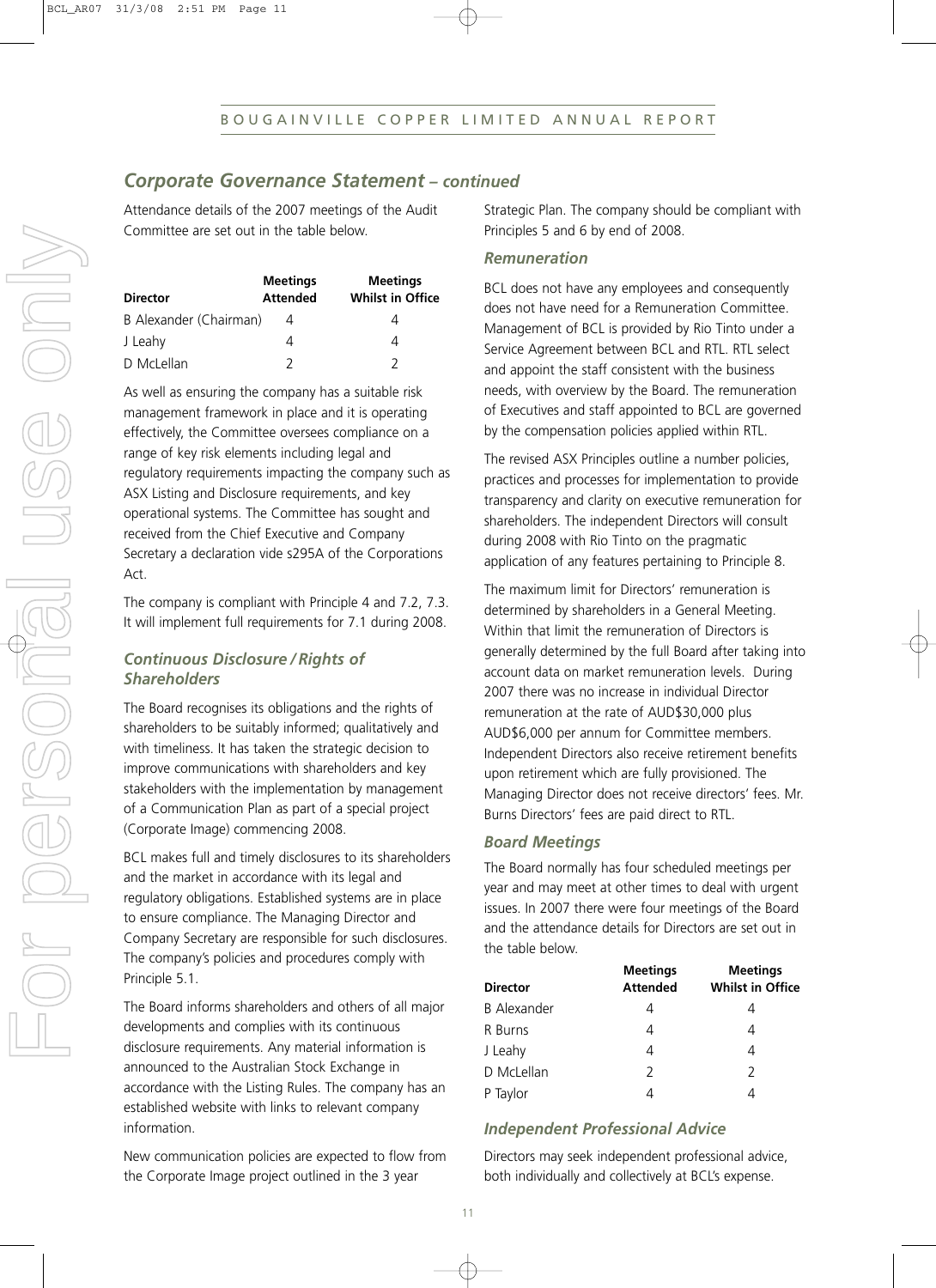## *Corporate Governance Statement – continued*

Attendance details of the 2007 meetings of the Audit Committee are set out in the table below.

| <b>Director</b>        | <b>Meetings</b><br><b>Attended</b> | <b>Meetings</b><br><b>Whilst in Office</b> |
|------------------------|------------------------------------|--------------------------------------------|
| B Alexander (Chairman) |                                    |                                            |
| J Leahy                |                                    |                                            |
| D McLellan             |                                    |                                            |

As well as ensuring the company has a suitable risk management framework in place and it is operating effectively, the Committee oversees compliance on a range of key risk elements including legal and regulatory requirements impacting the company such as ASX Listing and Disclosure requirements, and key operational systems. The Committee has sought and received from the Chief Executive and Company Secretary a declaration vide s295A of the Corporations Act.

The company is compliant with Principle 4 and 7.2, 7.3. It will implement full requirements for 7.1 during 2008.

# *Continuous Disclosure / Rights of Shareholders*

The Board recognises its obligations and the rights of shareholders to be suitably informed; qualitatively and with timeliness. It has taken the strategic decision to improve communications with shareholders and key stakeholders with the implementation by management of a Communication Plan as part of a special project (Corporate Image) commencing 2008.

BCL makes full and timely disclosures to its shareholders and the market in accordance with its legal and regulatory obligations. Established systems are in place to ensure compliance. The Managing Director and Company Secretary are responsible for such disclosures. The company's policies and procedures comply with Principle 5.1.

The Board informs shareholders and others of all major developments and complies with its continuous disclosure requirements. Any material information is announced to the Australian Stock Exchange in accordance with the Listing Rules. The company has an established website with links to relevant company information.

New communication policies are expected to flow from the Corporate Image project outlined in the 3 year

Strategic Plan. The company should be compliant with Principles 5 and 6 by end of 2008.

#### *Remuneration*

BCL does not have any employees and consequently does not have need for a Remuneration Committee. Management of BCL is provided by Rio Tinto under a Service Agreement between BCL and RTL. RTL select and appoint the staff consistent with the business needs, with overview by the Board. The remuneration of Executives and staff appointed to BCL are governed by the compensation policies applied within RTL.

The revised ASX Principles outline a number policies, practices and processes for implementation to provide transparency and clarity on executive remuneration for shareholders. The independent Directors will consult during 2008 with Rio Tinto on the pragmatic application of any features pertaining to Principle 8.

The maximum limit for Directors' remuneration is determined by shareholders in a General Meeting. Within that limit the remuneration of Directors is generally determined by the full Board after taking into account data on market remuneration levels. During 2007 there was no increase in individual Director remuneration at the rate of AUD\$30,000 plus AUD\$6,000 per annum for Committee members. Independent Directors also receive retirement benefits upon retirement which are fully provisioned. The Managing Director does not receive directors' fees. Mr. Burns Directors' fees are paid direct to RTL.

# *Board Meetings*

The Board normally has four scheduled meetings per year and may meet at other times to deal with urgent issues. In 2007 there were four meetings of the Board and the attendance details for Directors are set out in the table below.

| <b>Director</b>    | <b>Meetings</b><br><b>Attended</b> | <b>Meetings</b><br><b>Whilst in Office</b> |  |
|--------------------|------------------------------------|--------------------------------------------|--|
| <b>B</b> Alexander |                                    |                                            |  |
| R Burns            |                                    |                                            |  |
| J Leahy            | 4                                  |                                            |  |
| D McLellan         | $\mathcal{L}$                      | $\mathcal{L}$                              |  |
| P Taylor           |                                    |                                            |  |

#### *Independent Professional Advice*

Directors may seek independent professional advice, both individually and collectively at BCL's expense.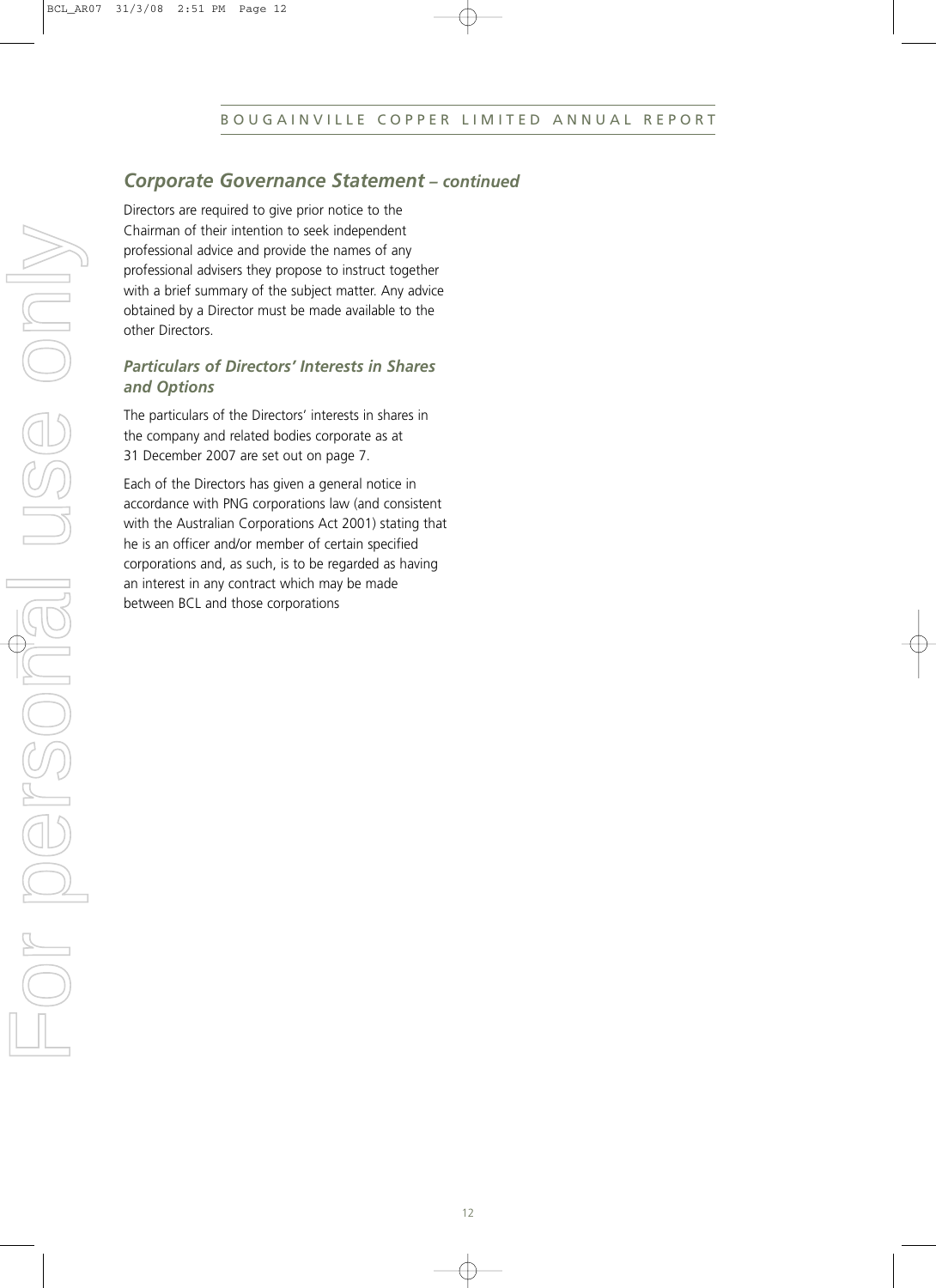# *Corporate Governance Statement – continued*

Directors are required to give prior notice to the Chairman of their intention to seek independent professional advice and provide the names of any professional advisers they propose to instruct together with a brief summary of the subject matter. Any advice obtained by a Director must be made available to the other Directors.

# *Particulars of Directors' Interests in Shares and Options*

The particulars of the Directors' interests in shares in the company and related bodies corporate as at 31 December 2007 are set out on page 7.

Each of the Directors has given a general notice in accordance with PNG corporations law (and consistent with the Australian Corporations Act 2001) stating that he is an officer and/or member of certain specified corporations and, as such, is to be regarded as having an interest in any contract which may be made between BCL and those corporations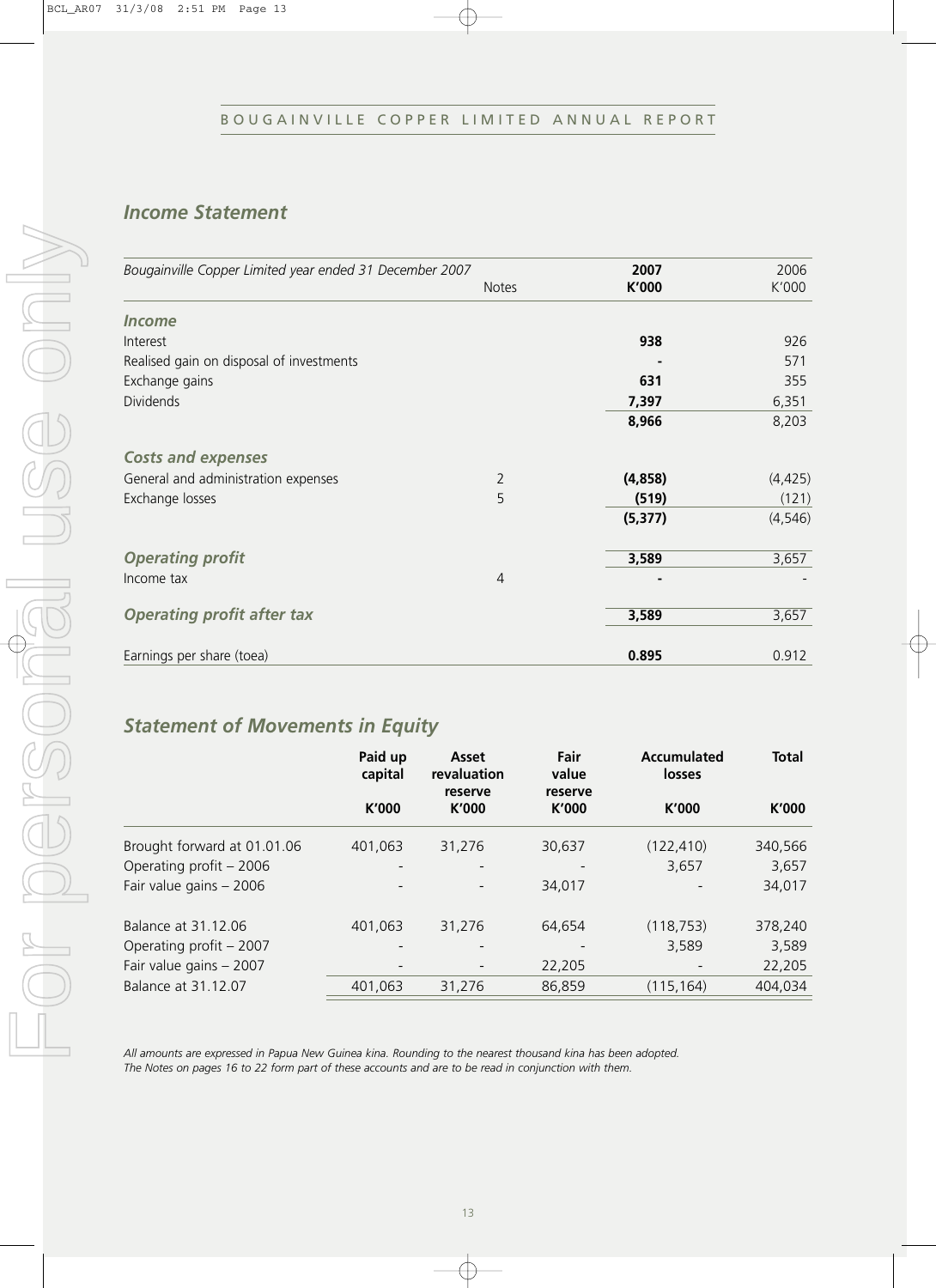# *Income Statement*

| Bougainville Copper Limited year ended 31 December 2007 |                | 2007     | 2006     |
|---------------------------------------------------------|----------------|----------|----------|
|                                                         | <b>Notes</b>   | K'000    | K'000    |
| <b>Income</b>                                           |                |          |          |
| Interest                                                |                | 938      | 926      |
| Realised gain on disposal of investments                |                |          | 571      |
| Exchange gains                                          |                | 631      | 355      |
| <b>Dividends</b>                                        |                | 7,397    | 6,351    |
|                                                         |                | 8,966    | 8,203    |
| <b>Costs and expenses</b>                               |                |          |          |
| General and administration expenses                     | $\overline{2}$ | (4,858)  | (4, 425) |
| Exchange losses                                         | 5              | (519)    | (121)    |
|                                                         |                | (5, 377) | (4, 546) |
| <b>Operating profit</b>                                 |                | 3,589    | 3,657    |
| Income tax                                              | 4              |          |          |
| <b>Operating profit after tax</b>                       |                | 3,589    | 3,657    |
| Earnings per share (toea)                               |                | 0.895    | 0.912    |

# *Statement of Movements in Equity*

|                             | Paid up<br>capital       | Asset<br>revaluation | Fair<br>value    | Accumulated<br>losses | <b>Total</b> |
|-----------------------------|--------------------------|----------------------|------------------|-----------------------|--------------|
|                             | K'000                    | reserve<br>K'000     | reserve<br>K'000 | K'000                 | K'000        |
| Brought forward at 01.01.06 | 401,063                  | 31,276               | 30,637           | (122, 410)            | 340,566      |
| Operating profit - 2006     | -                        |                      |                  | 3,657                 | 3,657        |
| Fair value gains - 2006     | $\overline{\phantom{a}}$ |                      | 34,017           |                       | 34,017       |
| Balance at 31.12.06         | 401,063                  | 31,276               | 64,654           | (118, 753)            | 378,240      |
| Operating profit - 2007     |                          |                      |                  | 3,589                 | 3,589        |
| Fair value gains - 2007     | $\overline{\phantom{a}}$ |                      | 22,205           |                       | 22,205       |
| Balance at 31.12.07         | 401,063                  | 31,276               | 86,859           | (115, 164)            | 404,034      |

*All amounts are expressed in Papua New Guinea kina. Rounding to the nearest thousand kina has been adopted. The Notes on pages 16 to 22 form part of these accounts and are to be read in conjunction with them.*

 $\oplus$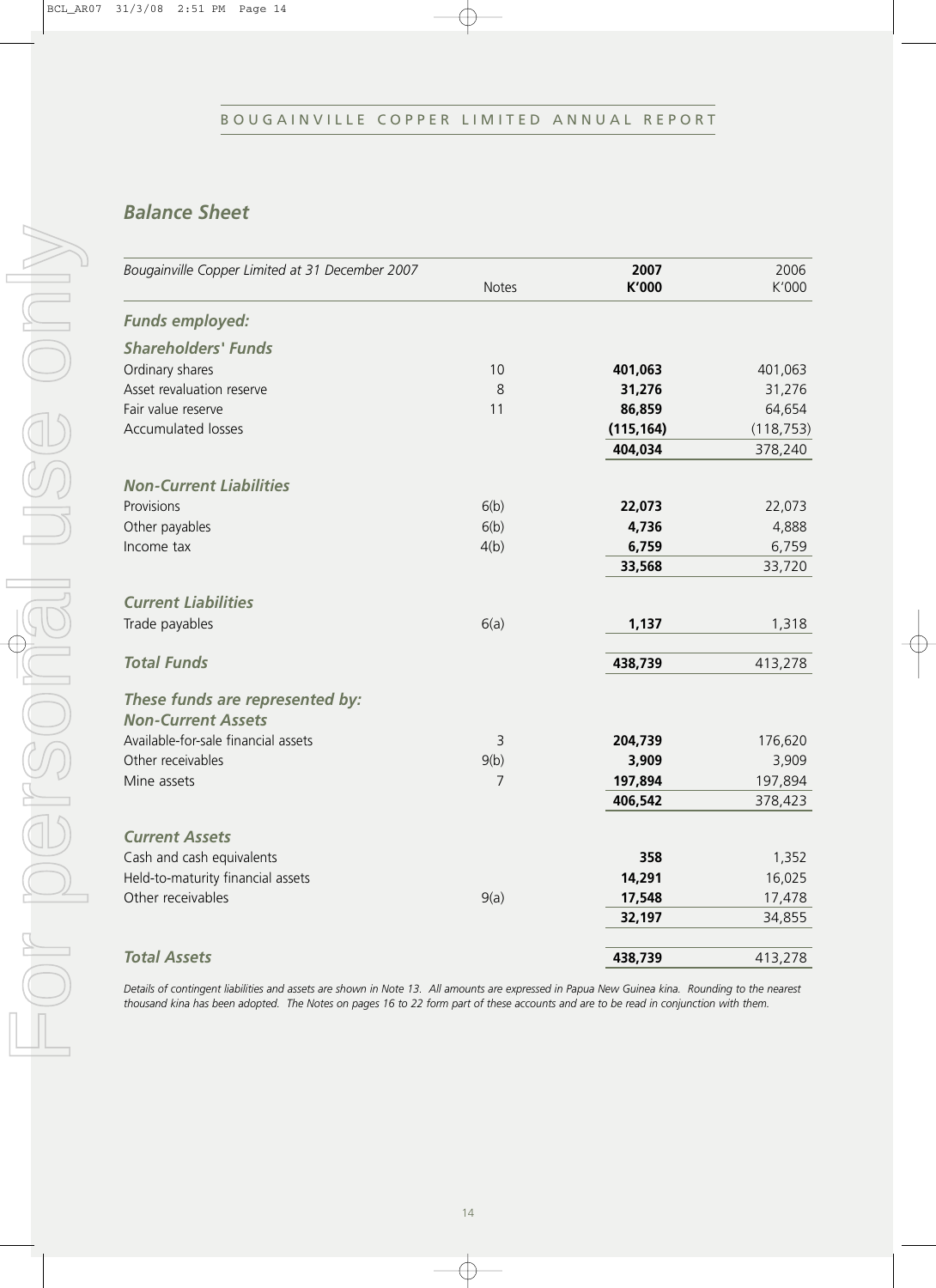# *Balance Sheet*

| Bougainville Copper Limited at 31 December 2007              | <b>Notes</b>   | 2007<br>K'000 | 2006<br>K'000 |
|--------------------------------------------------------------|----------------|---------------|---------------|
| <b>Funds employed:</b>                                       |                |               |               |
| <b>Shareholders' Funds</b>                                   |                |               |               |
| Ordinary shares                                              | 10             | 401,063       | 401,063       |
| Asset revaluation reserve                                    | 8              | 31,276        | 31,276        |
| Fair value reserve                                           | 11             | 86,859        | 64,654        |
| <b>Accumulated losses</b>                                    | (115, 164)     |               | (118, 753)    |
|                                                              |                | 404,034       | 378,240       |
| <b>Non-Current Liabilities</b>                               |                |               |               |
| Provisions                                                   | 6(b)           | 22,073        | 22,073        |
| Other payables                                               | 6(b)           | 4,736         | 4,888         |
| Income tax                                                   | 4(b)           | 6,759         | 6,759         |
|                                                              |                | 33,568        | 33,720        |
| <b>Current Liabilities</b>                                   |                |               |               |
| Trade payables                                               | 6(a)           | 1,137         | 1,318         |
| <b>Total Funds</b>                                           |                | 438,739       | 413,278       |
| These funds are represented by:<br><b>Non-Current Assets</b> |                |               |               |
| Available-for-sale financial assets                          | 3              | 204,739       | 176,620       |
| Other receivables                                            | 9(b)           | 3,909         | 3,909         |
| Mine assets                                                  | $\overline{7}$ | 197,894       | 197,894       |
|                                                              |                | 406,542       | 378,423       |
| <b>Current Assets</b>                                        |                |               |               |
| Cash and cash equivalents                                    |                | 358           | 1,352         |
| Held-to-maturity financial assets                            |                | 14,291        | 16,025        |
| Other receivables                                            | 9(a)           | 17,548        | 17,478        |
|                                                              |                | 32,197        | 34,855        |
| <b>Total Assets</b>                                          |                | 438,739       | 413,278       |

*Details of contingent liabilities and assets are shown in Note 13. All amounts are expressed in Papua New Guinea kina. Rounding to the nearest thousand kina has been adopted. The Notes on pages 16 to 22 form part of these accounts and are to be read in conjunction with them.*

 $\oplus$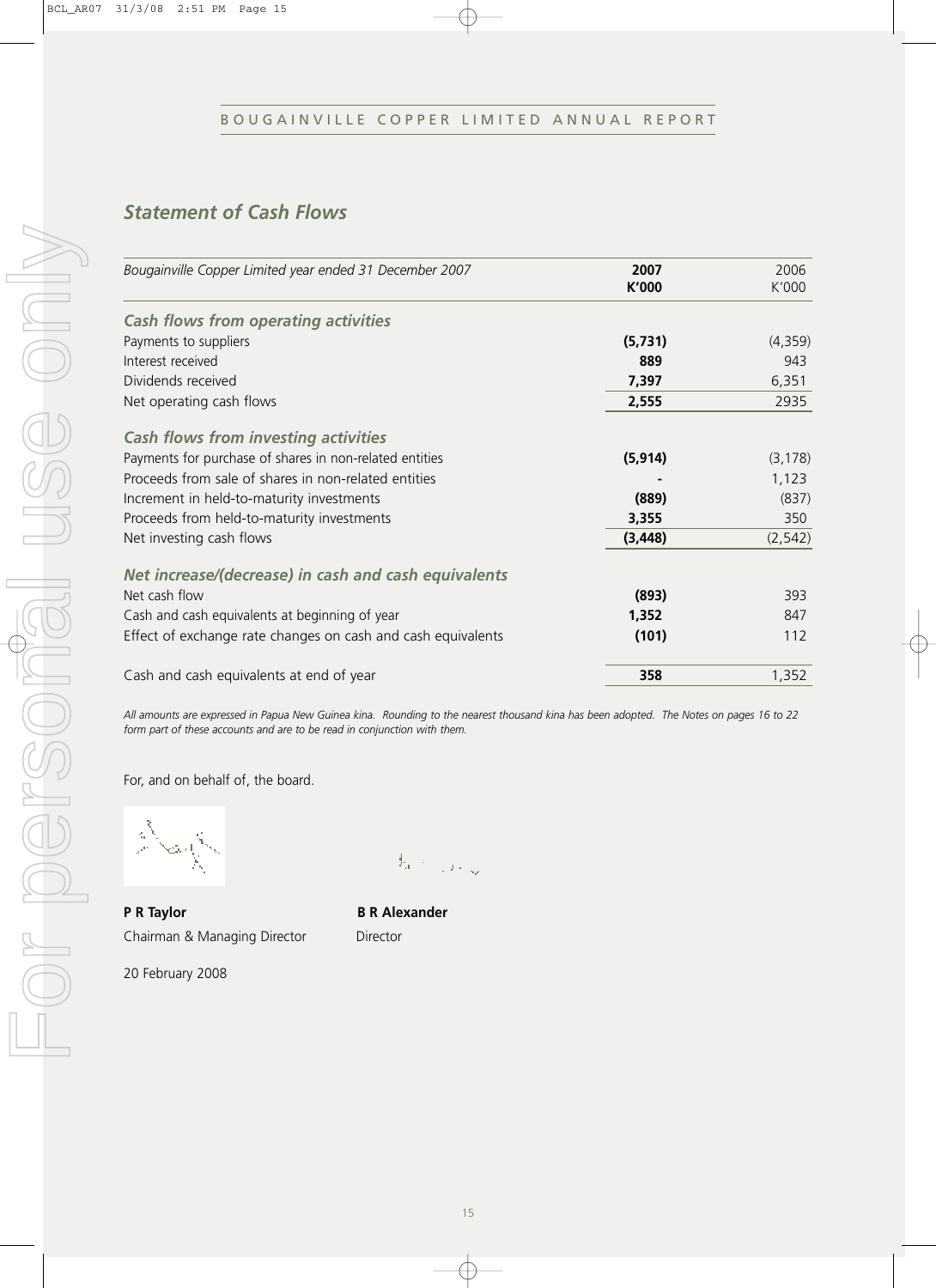# *Statement of Cash Flows*

| Bougainville Copper Limited year ended 31 December 2007      | 2007<br>K'000 | 2006<br>K'000 |
|--------------------------------------------------------------|---------------|---------------|
| <b>Cash flows from operating activities</b>                  |               |               |
| Payments to suppliers                                        | (5,731)       | (4,359)       |
| Interest received                                            | 889           | 943           |
| Dividends received                                           | 7,397         | 6,351         |
| Net operating cash flows                                     | 2,555         | 2935          |
| <b>Cash flows from investing activities</b>                  |               |               |
| Payments for purchase of shares in non-related entities      | (5, 914)      | (3, 178)      |
| Proceeds from sale of shares in non-related entities         |               | 1,123         |
| Increment in held-to-maturity investments                    | (889)         | (837)         |
| Proceeds from held-to-maturity investments                   | 3,355         | 350           |
| Net investing cash flows                                     | (3, 448)      | (2, 542)      |
| Net increase/(decrease) in cash and cash equivalents         |               |               |
| Net cash flow                                                | (893)         | 393           |
| Cash and cash equivalents at beginning of year               | 1,352         | 847           |
| Effect of exchange rate changes on cash and cash equivalents | (101)         | 112           |
| Cash and cash equivalents at end of year                     | 358           | 1,352         |

*All amounts are expressed in Papua New Guinea kina. Rounding to the nearest thousand kina has been adopted. The Notes on pages 16 to 22 form part of these accounts and are to be read in conjunction with them.*

For, and on behalf of, the board.

**P R Taylor B R Alexander** Chairman & Managing Director Director

 $b_{\alpha} < \frac{1}{2} \, \mu_{\alpha, \zeta \bar{\zeta}}$ 

20 February 2008

⊕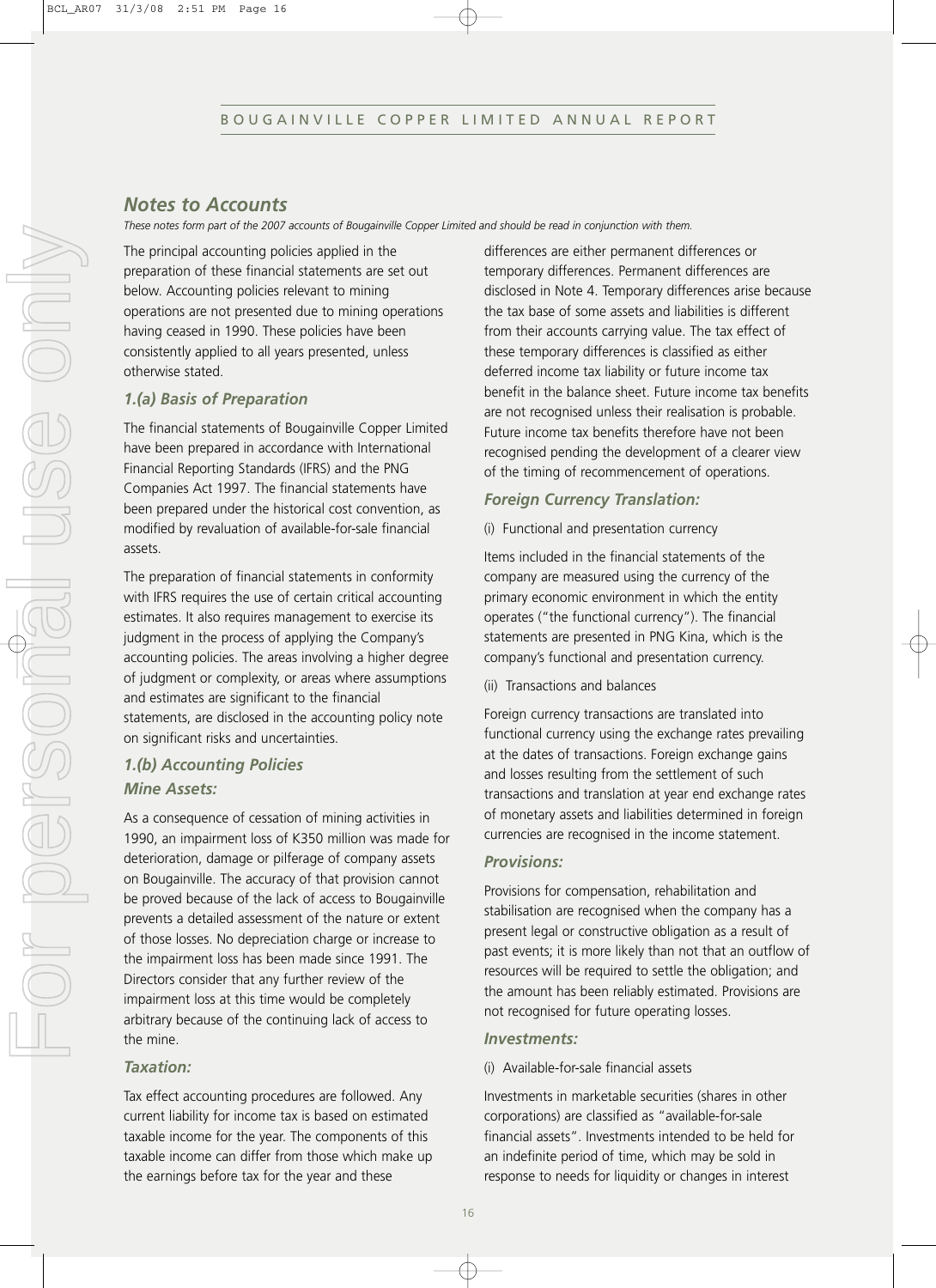#### *Notes to Accounts*

*These notes form part of the 2007 accounts of Bougainville Copper Limited and should be read in conjunction with them.*

The principal accounting policies applied in the preparation of these financial statements are set out below. Accounting policies relevant to mining operations are not presented due to mining operations having ceased in 1990. These policies have been consistently applied to all years presented, unless otherwise stated.

#### *1.(a) Basis of Preparation*

The financial statements of Bougainville Copper Limited have been prepared in accordance with International Financial Reporting Standards (IFRS) and the PNG Companies Act 1997. The financial statements have been prepared under the historical cost convention, as modified by revaluation of available-for-sale financial assets.

The preparation of financial statements in conformity with IFRS requires the use of certain critical accounting estimates. It also requires management to exercise its judgment in the process of applying the Company's accounting policies. The areas involving a higher degree of judgment or complexity, or areas where assumptions and estimates are significant to the financial statements, are disclosed in the accounting policy note on significant risks and uncertainties.

# *1.(b) Accounting Policies Mine Assets:*

As a consequence of cessation of mining activities in 1990, an impairment loss of K350 million was made for deterioration, damage or pilferage of company assets on Bougainville. The accuracy of that provision cannot be proved because of the lack of access to Bougainville prevents a detailed assessment of the nature or extent of those losses. No depreciation charge or increase to the impairment loss has been made since 1991. The Directors consider that any further review of the impairment loss at this time would be completely arbitrary because of the continuing lack of access to the mine.

#### *Taxation:*

Tax effect accounting procedures are followed. Any current liability for income tax is based on estimated taxable income for the year. The components of this taxable income can differ from those which make up the earnings before tax for the year and these

differences are either permanent differences or temporary differences. Permanent differences are disclosed in Note 4. Temporary differences arise because the tax base of some assets and liabilities is different from their accounts carrying value. The tax effect of these temporary differences is classified as either deferred income tax liability or future income tax benefit in the balance sheet. Future income tax benefits are not recognised unless their realisation is probable. Future income tax benefits therefore have not been recognised pending the development of a clearer view of the timing of recommencement of operations.

#### *Foreign Currency Translation:*

#### (i) Functional and presentation currency

Items included in the financial statements of the company are measured using the currency of the primary economic environment in which the entity operates ("the functional currency"). The financial statements are presented in PNG Kina, which is the company's functional and presentation currency.

(ii) Transactions and balances

Foreign currency transactions are translated into functional currency using the exchange rates prevailing at the dates of transactions. Foreign exchange gains and losses resulting from the settlement of such transactions and translation at year end exchange rates of monetary assets and liabilities determined in foreign currencies are recognised in the income statement.

#### *Provisions:*

Provisions for compensation, rehabilitation and stabilisation are recognised when the company has a present legal or constructive obligation as a result of past events; it is more likely than not that an outflow of resources will be required to settle the obligation; and the amount has been reliably estimated. Provisions are not recognised for future operating losses.

#### *Investments:*

#### (i) Available-for-sale financial assets

Investments in marketable securities (shares in other corporations) are classified as "available-for-sale financial assets". Investments intended to be held for an indefinite period of time, which may be sold in response to needs for liquidity or changes in interest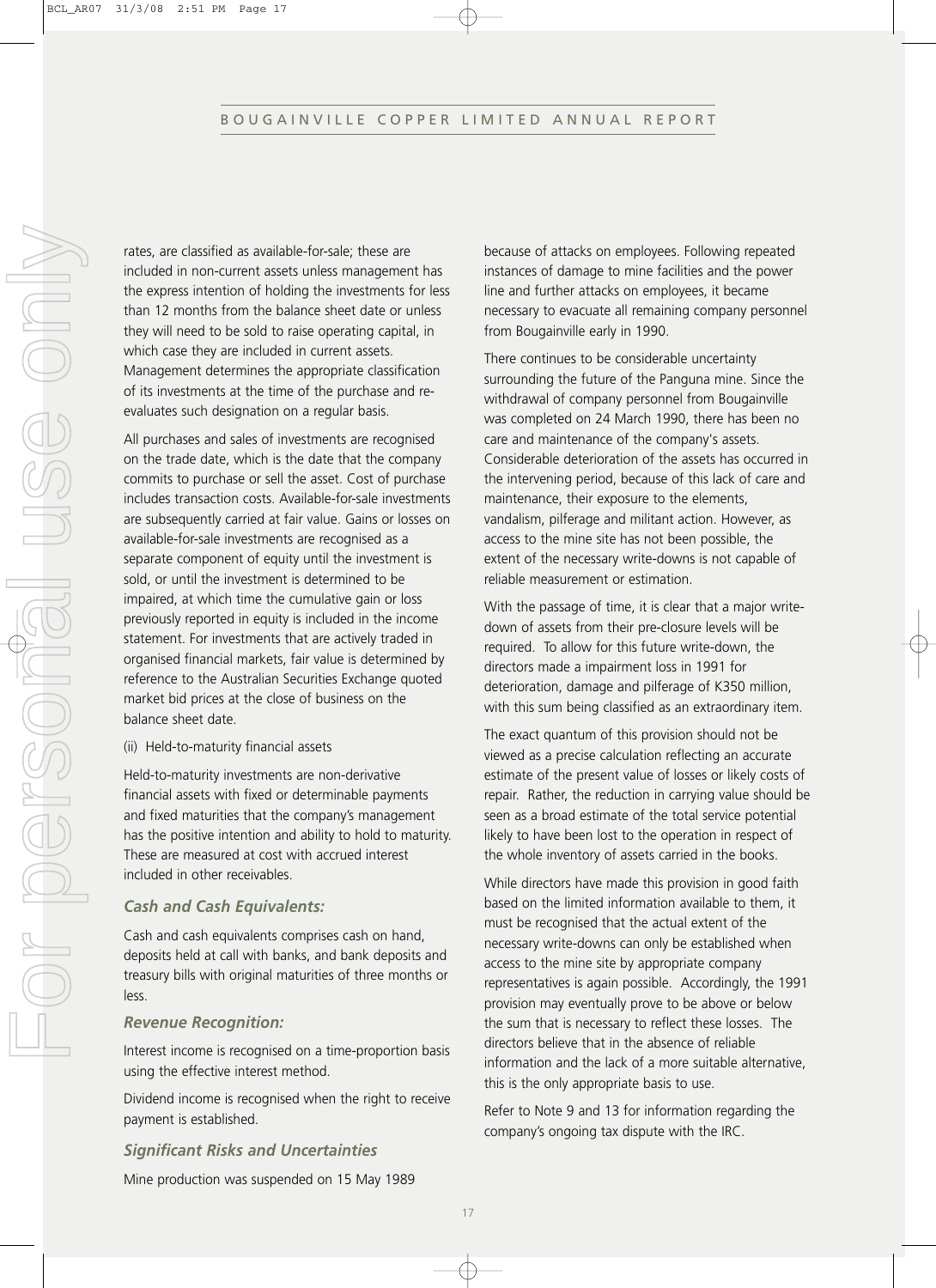rates, are classified as available-for-sale; these are included in non-current assets unless management has the express intention of holding the investments for less than 12 months from the balance sheet date or unless they will need to be sold to raise operating capital, in which case they are included in current assets. Management determines the appropriate classification of its investments at the time of the purchase and reevaluates such designation on a regular basis.

All purchases and sales of investments are recognised on the trade date, which is the date that the company commits to purchase or sell the asset. Cost of purchase includes transaction costs. Available-for-sale investments are subsequently carried at fair value. Gains or losses on available-for-sale investments are recognised as a separate component of equity until the investment is sold, or until the investment is determined to be impaired, at which time the cumulative gain or loss previously reported in equity is included in the income statement. For investments that are actively traded in organised financial markets, fair value is determined by reference to the Australian Securities Exchange quoted market bid prices at the close of business on the balance sheet date.

#### (ii) Held-to-maturity financial assets

Held-to-maturity investments are non-derivative financial assets with fixed or determinable payments and fixed maturities that the company's management has the positive intention and ability to hold to maturity. These are measured at cost with accrued interest included in other receivables.

#### *Cash and Cash Equivalents:*

Cash and cash equivalents comprises cash on hand, deposits held at call with banks, and bank deposits and treasury bills with original maturities of three months or less.

#### *Revenue Recognition:*

Interest income is recognised on a time-proportion basis using the effective interest method.

Dividend income is recognised when the right to receive payment is established.

#### *Significant Risks and Uncertainties*

Mine production was suspended on 15 May 1989

because of attacks on employees. Following repeated instances of damage to mine facilities and the power line and further attacks on employees, it became necessary to evacuate all remaining company personnel from Bougainville early in 1990.

There continues to be considerable uncertainty surrounding the future of the Panguna mine. Since the withdrawal of company personnel from Bougainville was completed on 24 March 1990, there has been no care and maintenance of the company's assets. Considerable deterioration of the assets has occurred in the intervening period, because of this lack of care and maintenance, their exposure to the elements, vandalism, pilferage and militant action. However, as access to the mine site has not been possible, the extent of the necessary write-downs is not capable of reliable measurement or estimation.

With the passage of time, it is clear that a major writedown of assets from their pre-closure levels will be required. To allow for this future write-down, the directors made a impairment loss in 1991 for deterioration, damage and pilferage of K350 million, with this sum being classified as an extraordinary item.

The exact quantum of this provision should not be viewed as a precise calculation reflecting an accurate estimate of the present value of losses or likely costs of repair. Rather, the reduction in carrying value should be seen as a broad estimate of the total service potential likely to have been lost to the operation in respect of the whole inventory of assets carried in the books.

While directors have made this provision in good faith based on the limited information available to them, it must be recognised that the actual extent of the necessary write-downs can only be established when access to the mine site by appropriate company representatives is again possible. Accordingly, the 1991 provision may eventually prove to be above or below the sum that is necessary to reflect these losses. The directors believe that in the absence of reliable information and the lack of a more suitable alternative, this is the only appropriate basis to use.

Refer to Note 9 and 13 for information regarding the company's ongoing tax dispute with the IRC.

⊕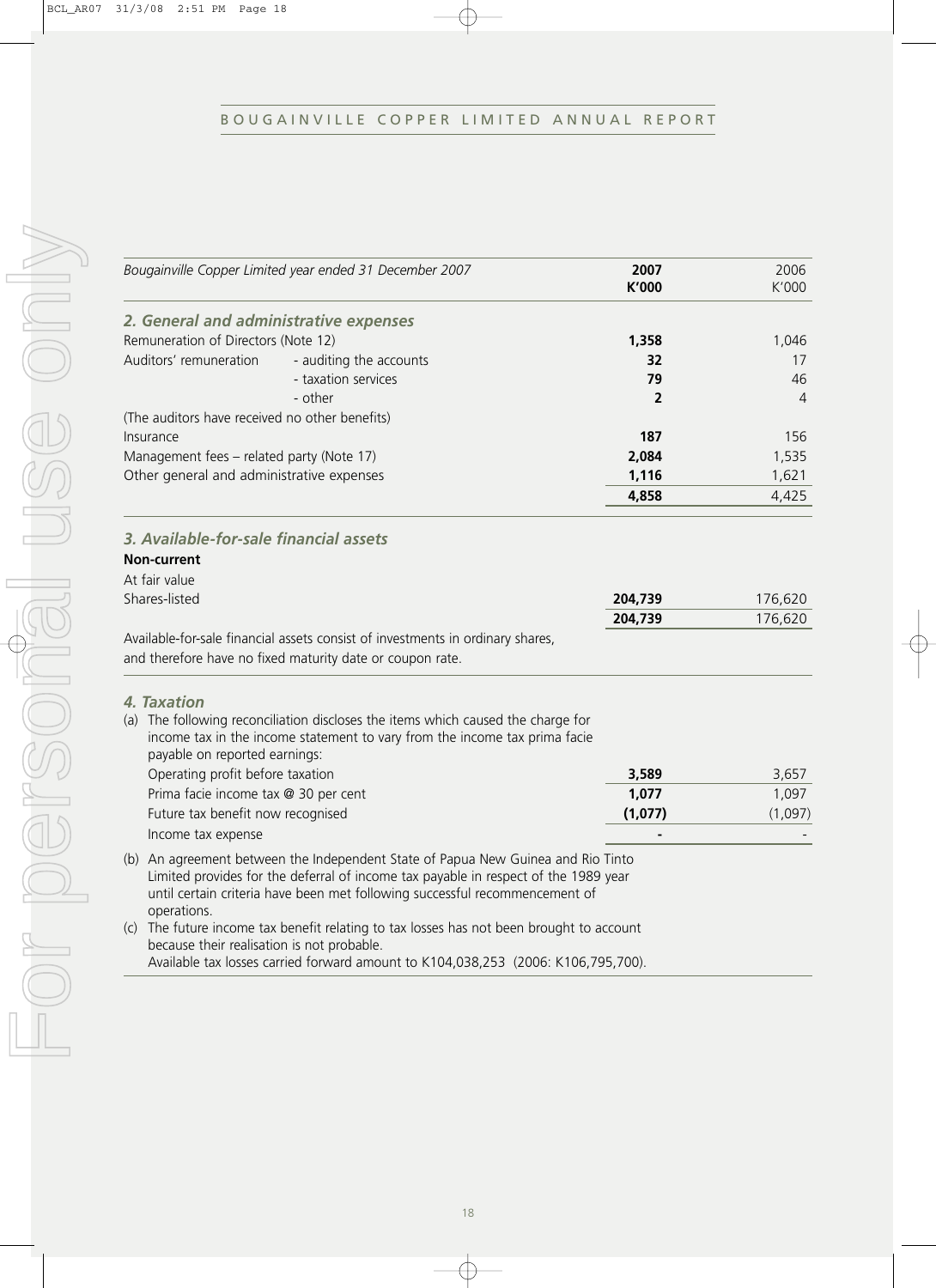| Bougainville Copper Limited year ended 31 December 2007                                                                                                                                                                                                                                                                                                                                                         | 2007<br>K'000 | 2006<br>K'000      |
|-----------------------------------------------------------------------------------------------------------------------------------------------------------------------------------------------------------------------------------------------------------------------------------------------------------------------------------------------------------------------------------------------------------------|---------------|--------------------|
| 2. General and administrative expenses                                                                                                                                                                                                                                                                                                                                                                          |               |                    |
| Remuneration of Directors (Note 12)                                                                                                                                                                                                                                                                                                                                                                             | 1,358         | 1,046              |
| Auditors' remuneration<br>- auditing the accounts                                                                                                                                                                                                                                                                                                                                                               | 32            | 17                 |
| - taxation services                                                                                                                                                                                                                                                                                                                                                                                             | 79            | 46                 |
| - other                                                                                                                                                                                                                                                                                                                                                                                                         | 2             | 4                  |
| (The auditors have received no other benefits)                                                                                                                                                                                                                                                                                                                                                                  |               |                    |
| Insurance                                                                                                                                                                                                                                                                                                                                                                                                       | 187           | 156                |
| Management fees - related party (Note 17)                                                                                                                                                                                                                                                                                                                                                                       | 2,084         | 1,535              |
| Other general and administrative expenses                                                                                                                                                                                                                                                                                                                                                                       | 1,116         | 1,621              |
|                                                                                                                                                                                                                                                                                                                                                                                                                 | 4,858         | 4,425              |
| 3. Available-for-sale financial assets                                                                                                                                                                                                                                                                                                                                                                          |               |                    |
| <b>Non-current</b>                                                                                                                                                                                                                                                                                                                                                                                              |               |                    |
| At fair value                                                                                                                                                                                                                                                                                                                                                                                                   |               |                    |
|                                                                                                                                                                                                                                                                                                                                                                                                                 |               |                    |
| Shares-listed                                                                                                                                                                                                                                                                                                                                                                                                   | 204,739       |                    |
| Available-for-sale financial assets consist of investments in ordinary shares,<br>and therefore have no fixed maturity date or coupon rate.                                                                                                                                                                                                                                                                     | 204,739       |                    |
|                                                                                                                                                                                                                                                                                                                                                                                                                 |               |                    |
| 4. Taxation<br>(a) The following reconciliation discloses the items which caused the charge for<br>income tax in the income statement to vary from the income tax prima facie<br>payable on reported earnings:                                                                                                                                                                                                  |               | 176,620<br>176,620 |
| Operating profit before taxation                                                                                                                                                                                                                                                                                                                                                                                | 3,589         | 3,657              |
| Prima facie income tax @ 30 per cent                                                                                                                                                                                                                                                                                                                                                                            | 1,077         | 1,097              |
| Future tax benefit now recognised                                                                                                                                                                                                                                                                                                                                                                               | (1,077)       | (1,097)            |
| Income tax expense                                                                                                                                                                                                                                                                                                                                                                                              |               |                    |
| (b) An agreement between the Independent State of Papua New Guinea and Rio Tinto<br>Limited provides for the deferral of income tax payable in respect of the 1989 year<br>until certain criteria have been met following successful recommencement of<br>operations.<br>(c) The future income tax benefit relating to tax losses has not been brought to account<br>because their realisation is not probable. |               |                    |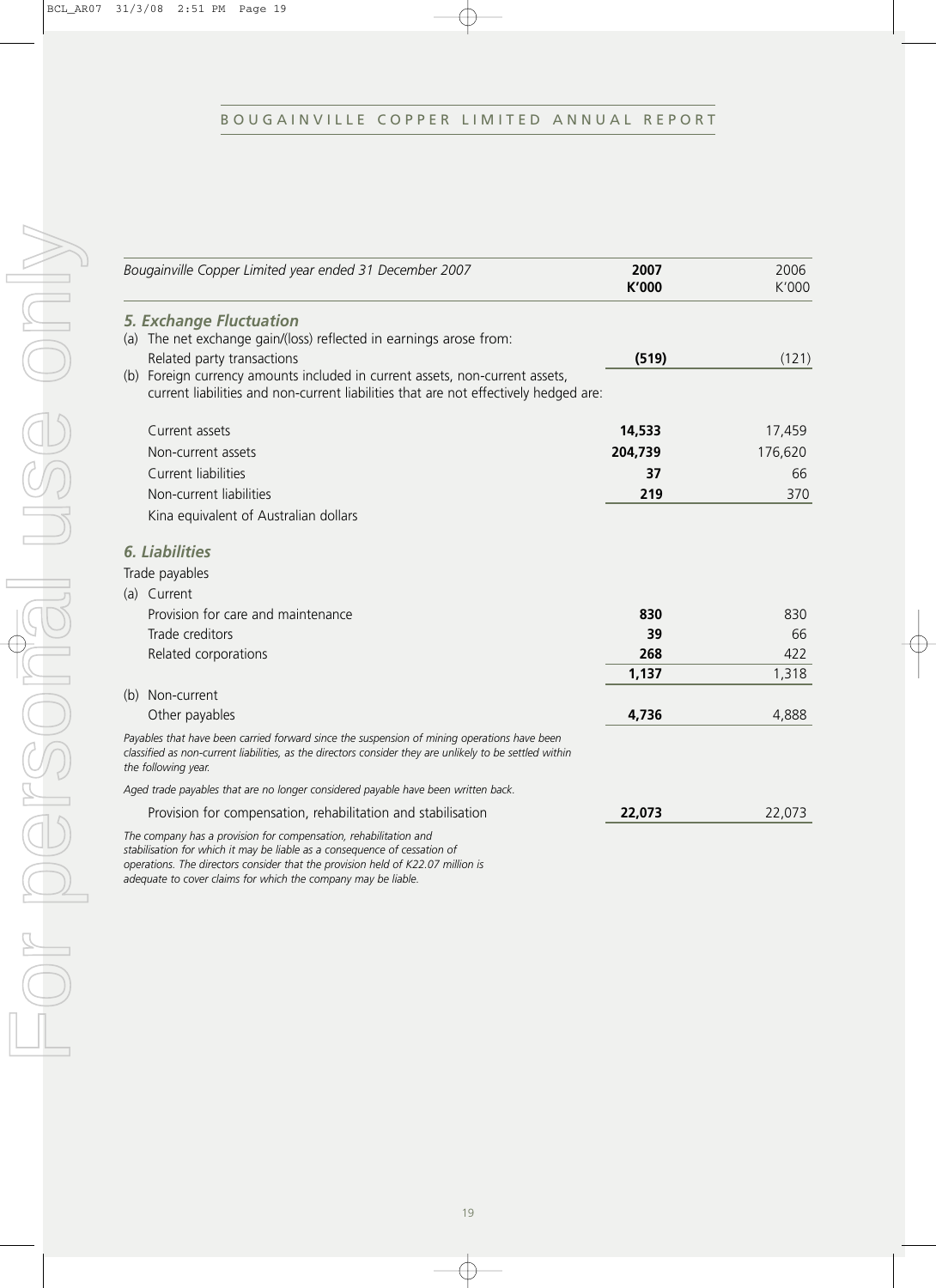$\bigoplus$ 

| Bougainville Copper Limited year ended 31 December 2007                                                                                                                                                                                                                                           | 2007<br>K'000 | 2006<br>K'000 |
|---------------------------------------------------------------------------------------------------------------------------------------------------------------------------------------------------------------------------------------------------------------------------------------------------|---------------|---------------|
| <b>5. Exchange Fluctuation</b>                                                                                                                                                                                                                                                                    |               |               |
| (a) The net exchange gain/(loss) reflected in earnings arose from:                                                                                                                                                                                                                                |               |               |
| Related party transactions                                                                                                                                                                                                                                                                        | (519)         | (121)         |
| Foreign currency amounts included in current assets, non-current assets,<br>(b)<br>current liabilities and non-current liabilities that are not effectively hedged are:                                                                                                                           |               |               |
| Current assets                                                                                                                                                                                                                                                                                    | 14,533        | 17,459        |
| Non-current assets                                                                                                                                                                                                                                                                                | 204,739       | 176,620       |
| Current liabilities                                                                                                                                                                                                                                                                               | 37            | 66            |
| Non-current liabilities                                                                                                                                                                                                                                                                           | 219           | 370           |
| Kina equivalent of Australian dollars                                                                                                                                                                                                                                                             |               |               |
| <b>6. Liabilities</b>                                                                                                                                                                                                                                                                             |               |               |
| Trade payables                                                                                                                                                                                                                                                                                    |               |               |
| (a) Current                                                                                                                                                                                                                                                                                       |               |               |
| Provision for care and maintenance                                                                                                                                                                                                                                                                | 830           | 830           |
| Trade creditors                                                                                                                                                                                                                                                                                   | 39            | 66            |
| Related corporations                                                                                                                                                                                                                                                                              | 268           | 422           |
|                                                                                                                                                                                                                                                                                                   | 1,137         | 1,318         |
| Non-current<br>(b)                                                                                                                                                                                                                                                                                |               |               |
| Other payables                                                                                                                                                                                                                                                                                    | 4,736         | 4,888         |
| Payables that have been carried forward since the suspension of mining operations have been<br>classified as non-current liabilities, as the directors consider they are unlikely to be settled within<br>the following year.                                                                     |               |               |
| Aged trade payables that are no longer considered payable have been written back.                                                                                                                                                                                                                 |               |               |
| Provision for compensation, rehabilitation and stabilisation                                                                                                                                                                                                                                      | 22,073        | 22,073        |
| The company has a provision for compensation, rehabilitation and<br>stabilisation for which it may be liable as a consequence of cessation of<br>operations. The directors consider that the provision held of K22.07 million is<br>adequate to cover claims for which the company may be liable. |               |               |

 $\overline{\bigoplus}$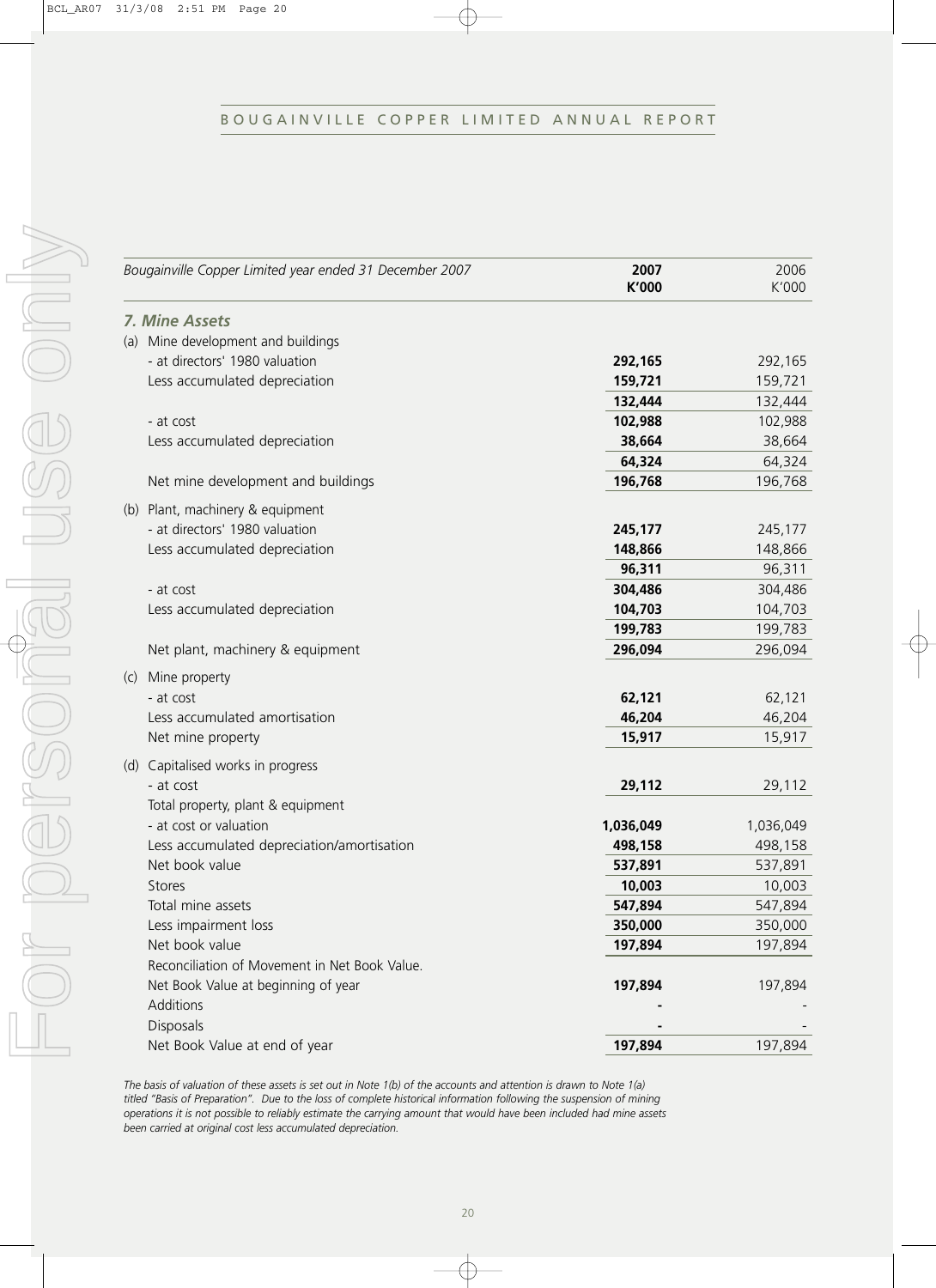| Bougainville Copper Limited year ended 31 December 2007 | 2007<br>K'000 | 2006<br>K'000 |
|---------------------------------------------------------|---------------|---------------|
| 7. Mine Assets                                          |               |               |
| (a) Mine development and buildings                      |               |               |
| - at directors' 1980 valuation                          | 292,165       | 292,165       |
| Less accumulated depreciation                           | 159,721       | 159,721       |
|                                                         | 132,444       | 132,444       |
| - at cost                                               | 102,988       | 102,988       |
| Less accumulated depreciation                           | 38,664        | 38,664        |
|                                                         | 64,324        | 64,324        |
| Net mine development and buildings                      | 196,768       | 196,768       |
| (b) Plant, machinery & equipment                        |               |               |
| - at directors' 1980 valuation                          | 245,177       | 245,177       |
| Less accumulated depreciation                           | 148,866       | 148,866       |
|                                                         | 96,311        | 96,311        |
| - at cost                                               | 304,486       | 304,486       |
| Less accumulated depreciation                           | 104,703       | 104,703       |
|                                                         | 199,783       | 199,783       |
| Net plant, machinery & equipment                        | 296,094       | 296,094       |
| Mine property<br>(C)                                    |               |               |
| - at cost                                               | 62,121        | 62,121        |
| Less accumulated amortisation                           | 46,204        | 46,204        |
| Net mine property                                       | 15,917        | 15,917        |
| (d) Capitalised works in progress                       |               |               |
| - at cost                                               | 29,112        | 29,112        |
| Total property, plant & equipment                       |               |               |
| - at cost or valuation                                  | 1,036,049     | 1,036,049     |
| Less accumulated depreciation/amortisation              | 498,158       | 498,158       |
| Net book value                                          | 537,891       | 537,891       |
| <b>Stores</b>                                           | 10,003        | 10,003        |
| Total mine assets                                       | 547,894       | 547,894       |
| Less impairment loss                                    | 350,000       | 350,000       |
| Net book value                                          | 197,894       | 197,894       |
| Reconciliation of Movement in Net Book Value.           |               |               |
| Net Book Value at beginning of year                     | 197,894       | 197,894       |
| Additions                                               |               |               |
| Disposals                                               |               |               |
| Net Book Value at end of year                           | 197,894       | 197,894       |

*The basis of valuation of these assets is set out in Note 1(b) of the accounts and attention is drawn to Note 1(a) titled "Basis of Preparation". Due to the loss of complete historical information following the suspension of mining operations it is not possible to reliably estimate the carrying amount that would have been included had mine assets been carried at original cost less accumulated depreciation.*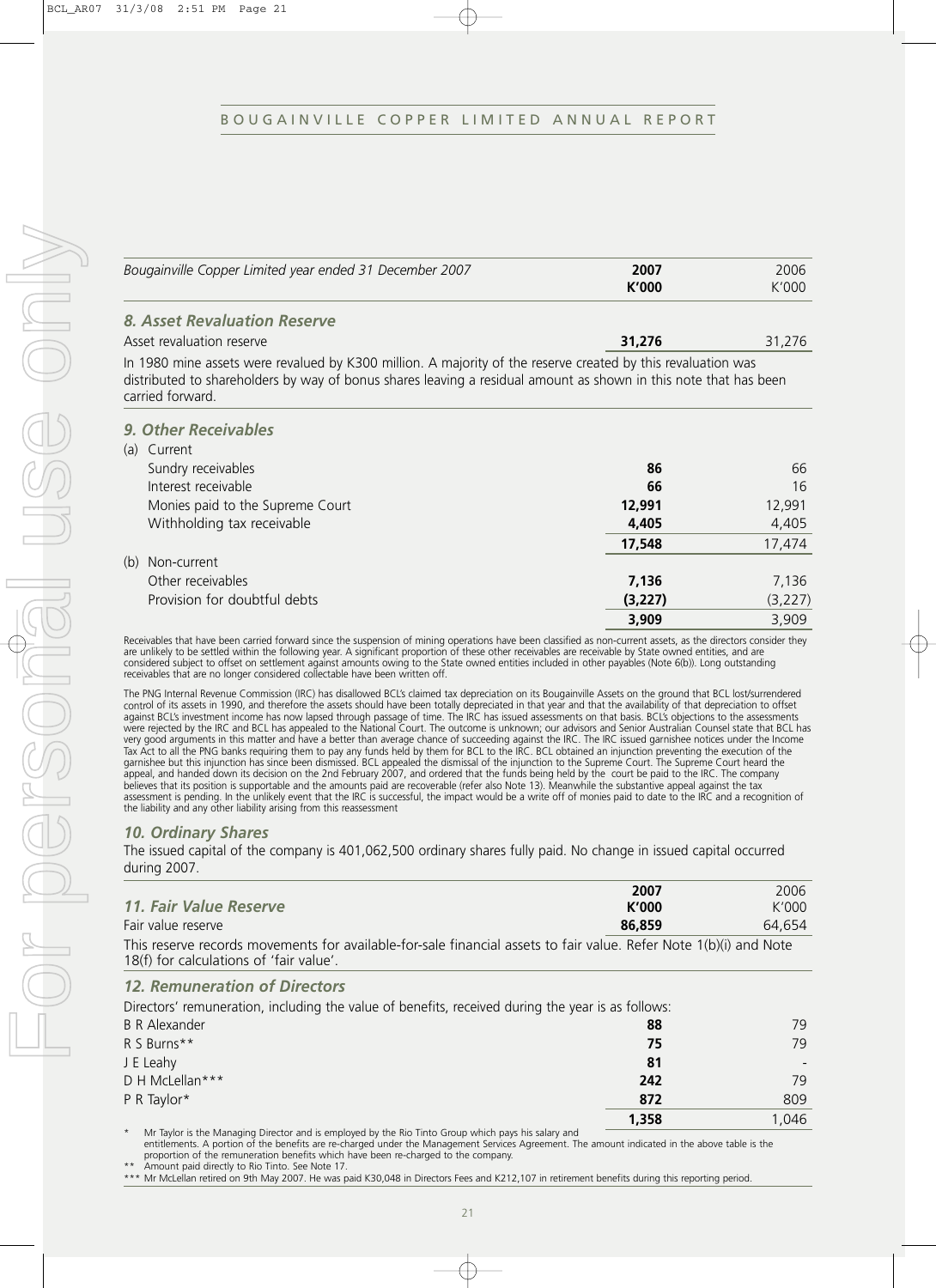| Bougainville Copper Limited year ended 31 December 2007                                                                                                                                                                                              | 2007    | 2006    |
|------------------------------------------------------------------------------------------------------------------------------------------------------------------------------------------------------------------------------------------------------|---------|---------|
|                                                                                                                                                                                                                                                      | K'000   | K'000   |
| <b>8. Asset Revaluation Reserve</b>                                                                                                                                                                                                                  |         |         |
| Asset revaluation reserve                                                                                                                                                                                                                            | 31,276  | 31,276  |
| In 1980 mine assets were revalued by K300 million. A majority of the reserve created by this revaluation was<br>distributed to shareholders by way of bonus shares leaving a residual amount as shown in this note that has been<br>carried forward. |         |         |
| <b>9. Other Receivables</b>                                                                                                                                                                                                                          |         |         |
| (a) Current                                                                                                                                                                                                                                          |         |         |
| Sundry receivables                                                                                                                                                                                                                                   | 86      | 66      |
| Interest receivable                                                                                                                                                                                                                                  | 66      | 16      |
| Monies paid to the Supreme Court                                                                                                                                                                                                                     | 12,991  | 12,991  |
| Withholding tax receivable                                                                                                                                                                                                                           | 4,405   | 4,405   |
|                                                                                                                                                                                                                                                      | 17,548  | 17,474  |
| Non-current<br>(b)                                                                                                                                                                                                                                   |         |         |
| Other receivables                                                                                                                                                                                                                                    | 7,136   | 7,136   |
| Provision for doubtful debts                                                                                                                                                                                                                         | (3,227) | (3,227) |
|                                                                                                                                                                                                                                                      | 3,909   | 3,909   |

Receivables that have been carried forward since the suspension of mining operations have been classified as non-current assets, as the directors consider they<br>are unlikely to be settled within the following year. A signif considered subject to offset on settlement against amounts owing to the State owned entities included in other payables (Note 6(b)). Long outstanding receivables that are no longer considered collectable have been written off.

The PNG Internal Revenue Commission (IRC) has disallowed BCL's claimed tax depreciation on its Bougainville Assets on the ground that BCL lost/surrendered<br>control of its assets in 1990, and therefore the assets should have very good arguments in this matter and have a better than average chance of succeeding against the IRC. The IRC issued garnishee notices under the Income<br>Tax Act to all the PNG banks requiring them to pay any funds held by appeal, and handed down its decision on the 2nd February 2007, and ordered that the funds being held by the court be paid to the IRC. The company<br>believes that its position is supportable and the amounts paid are recoverab the liability and any other liability arising from this reassessment

#### *10. Ordinary Shares*

The issued capital of the company is 401,062,500 ordinary shares fully paid. No change in issued capital occurred during 2007.

|                                                                                                                                    | 2007   | 2006   |
|------------------------------------------------------------------------------------------------------------------------------------|--------|--------|
| 11. Fair Value Reserve                                                                                                             | K'000  | K'000  |
| Fair value reserve                                                                                                                 | 86.859 | 64,654 |
| $\tau$ . The set of the set of the set of the set of $\Lambda$ and $\Lambda$ $\Lambda$ $\Lambda$ . The set of the set of $\Lambda$ |        |        |

This reserve records movements for available-for-sale financial assets to fair value. Refer Note 1(b)(i) and Note 18(f) for calculations of 'fair value'.

#### *12. Remuneration of Directors*

Directors' remuneration, including the value of benefits, received during the year is as follows:

| <b>B R Alexander</b> | 88    | 79                       |
|----------------------|-------|--------------------------|
| R S Burns**          | 75    | 79                       |
| J E Leahy            | 81    | $\overline{\phantom{0}}$ |
| D H McLellan***      | 242   | 79                       |
| P R Taylor*          | 872   | 809                      |
|                      | 1,358 | ,046                     |

Mr Taylor is the Managing Director and is employed by the Rio Tinto Group which pays his salary and

entitlements. A portion of the benefits are re-charged under the Management Services Agreement. The amount indicated in the above table is the<br>proportion of the remuneration benefits which have been re-charged to the compa

Amount paid directly to Rio Tinto. See Note 17.

\*\*\* Mr McLellan retired on 9th May 2007. He was paid K30,048 in Directors Fees and K212,107 in retirement benefits during this reporting period.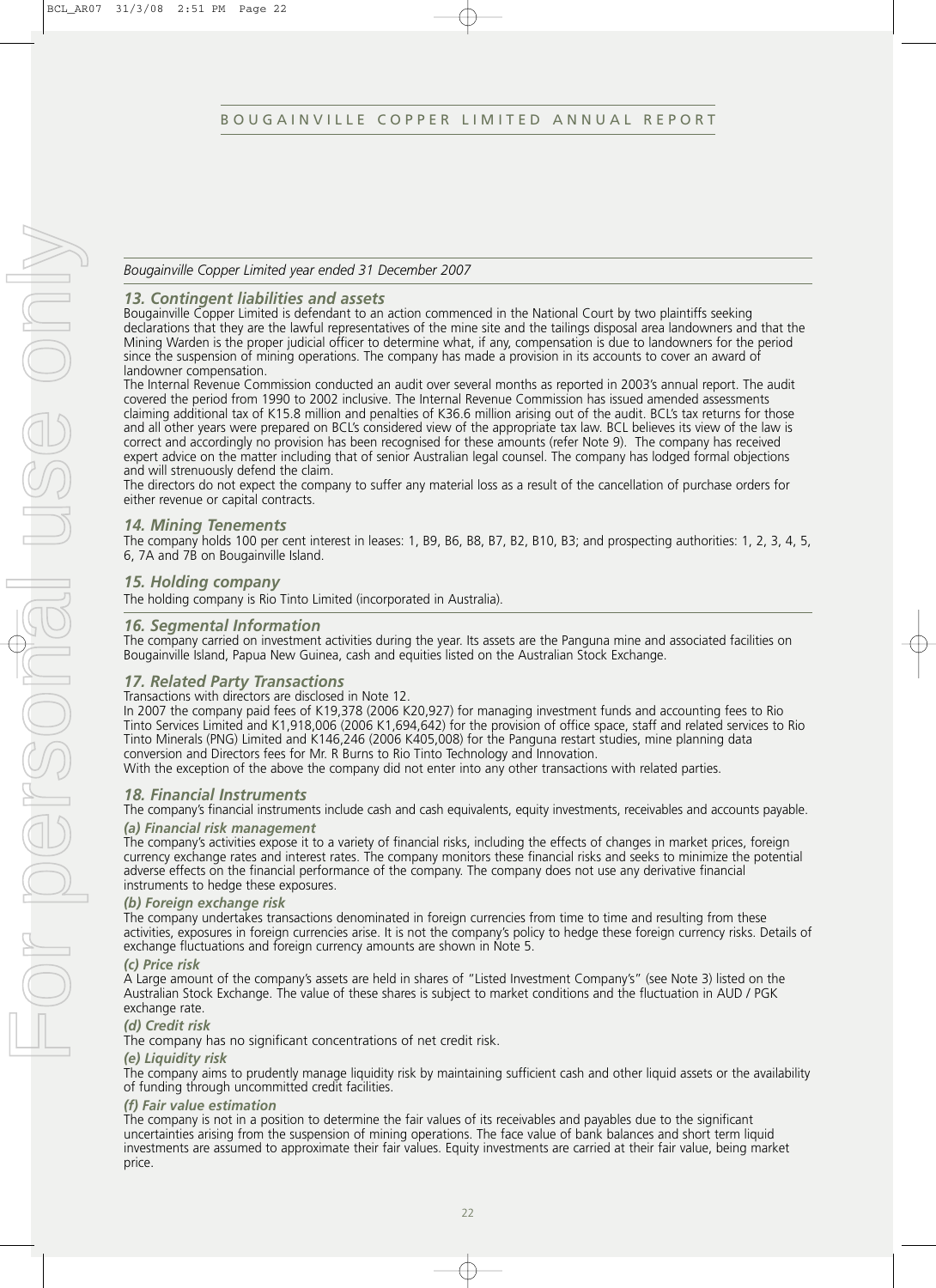#### *Bougainville Copper Limited year ended 31 December 2007*

#### *13. Contingent liabilities and assets*

Bougainville Copper Limited is defendant to an action commenced in the National Court by two plaintiffs seeking declarations that they are the lawful representatives of the mine site and the tailings disposal area landowners and that the Mining Warden is the proper judicial officer to determine what, if any, compensation is due to landowners for the period since the suspension of mining operations. The company has made a provision in its accounts to cover an award of landowner compensation.

The Internal Revenue Commission conducted an audit over several months as reported in 2003's annual report. The audit covered the period from 1990 to 2002 inclusive. The Internal Revenue Commission has issued amended assessments claiming additional tax of K15.8 million and penalties of K36.6 million arising out of the audit. BCL's tax returns for those and all other years were prepared on BCL's considered view of the appropriate tax law. BCL believes its view of the law is correct and accordingly no provision has been recognised for these amounts (refer Note 9). The company has received expert advice on the matter including that of senior Australian legal counsel. The company has lodged formal objections and will strenuously defend the claim.

The directors do not expect the company to suffer any material loss as a result of the cancellation of purchase orders for either revenue or capital contracts.

#### *14. Mining Tenements*

The company holds 100 per cent interest in leases: 1, B9, B6, B8, B7, B2, B10, B3; and prospecting authorities: 1, 2, 3, 4, 5, 6, 7A and 7B on Bougainville Island.

#### *15. Holding company*

The holding company is Rio Tinto Limited (incorporated in Australia).

#### *16. Segmental Information*

The company carried on investment activities during the year. Its assets are the Panguna mine and associated facilities on Bougainville Island, Papua New Guinea, cash and equities listed on the Australian Stock Exchange.

#### *17. Related Party Transactions*

Transactions with directors are disclosed in Note 12.

In 2007 the company paid fees of K19,378 (2006 K20,927) for managing investment funds and accounting fees to Rio Tinto Services Limited and K1,918,006 (2006 K1,694,642) for the provision of office space, staff and related services to Rio Tinto Minerals (PNG) Limited and K146,246 (2006 K405,008) for the Panguna restart studies, mine planning data conversion and Directors fees for Mr. R Burns to Rio Tinto Technology and Innovation.

With the exception of the above the company did not enter into any other transactions with related parties.

#### *18. Financial Instruments*

The company's financial instruments include cash and cash equivalents, equity investments, receivables and accounts payable.

#### *(a) Financial risk management*

The company's activities expose it to a variety of financial risks, including the effects of changes in market prices, foreign currency exchange rates and interest rates. The company monitors these financial risks and seeks to minimize the potential adverse effects on the financial performance of the company. The company does not use any derivative financial instruments to hedge these exposures.

#### *(b) Foreign exchange risk*

The company undertakes transactions denominated in foreign currencies from time to time and resulting from these activities, exposures in foreign currencies arise. It is not the company's policy to hedge these foreign currency risks. Details of exchange fluctuations and foreign currency amounts are shown in Note 5.

#### *(c) Price risk*

A Large amount of the company's assets are held in shares of "Listed Investment Company's" (see Note 3) listed on the Australian Stock Exchange. The value of these shares is subject to market conditions and the fluctuation in AUD / PGK exchange rate.

#### *(d) Credit risk*

The company has no significant concentrations of net credit risk.

#### *(e) Liquidity risk*

The company aims to prudently manage liquidity risk by maintaining sufficient cash and other liquid assets or the availability of funding through uncommitted credit facilities.

#### *(f) Fair value estimation*

The company is not in a position to determine the fair values of its receivables and payables due to the significant uncertainties arising from the suspension of mining operations. The face value of bank balances and short term liquid investments are assumed to approximate their fair values. Equity investments are carried at their fair value, being market price.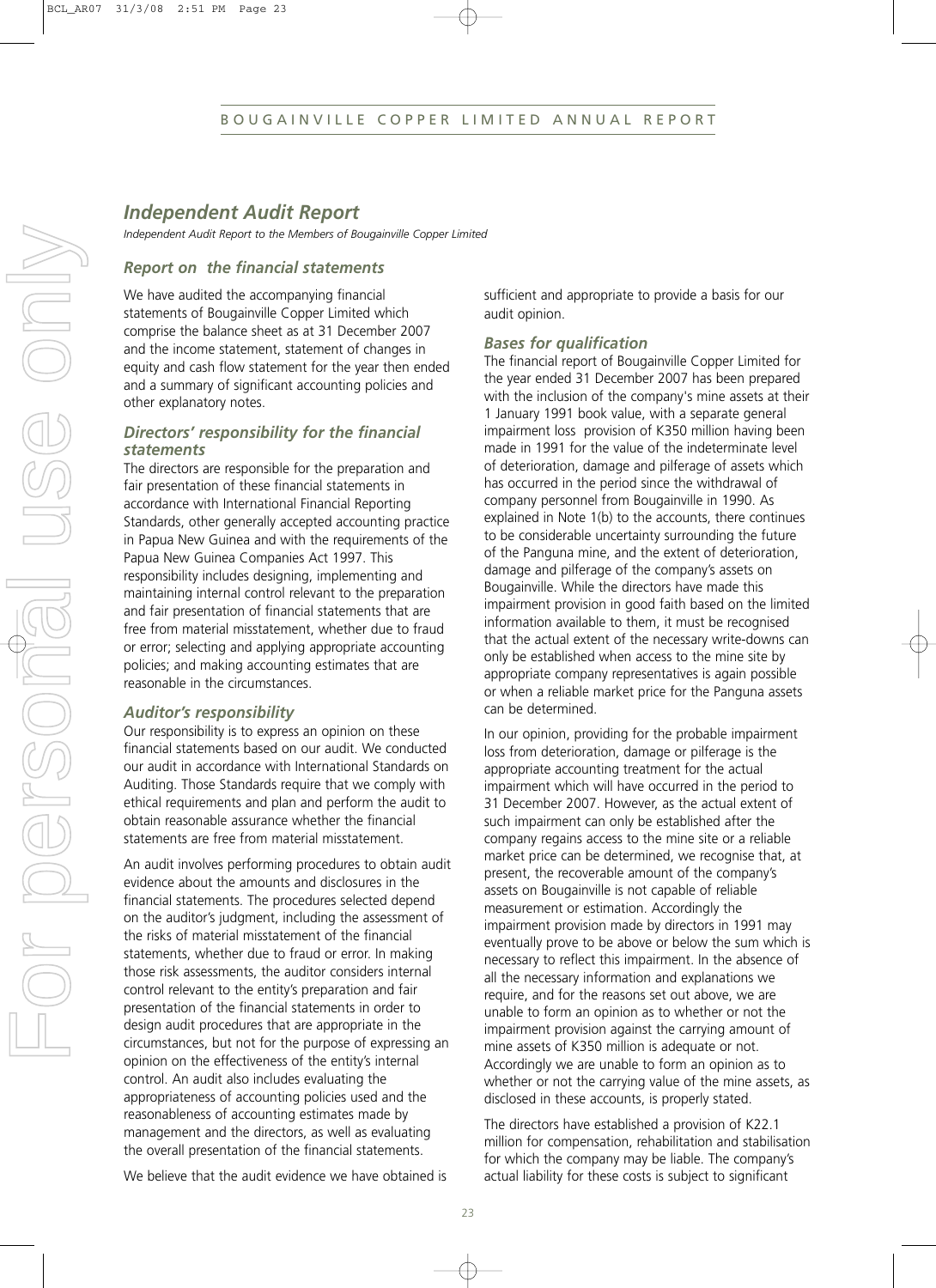#### *Independent Audit Report*

*Independent Audit Report to the Members of Bougainville Copper Limited*

#### *Report on the financial statements*

We have audited the accompanying financial statements of Bougainville Copper Limited which comprise the balance sheet as at 31 December 2007 and the income statement, statement of changes in equity and cash flow statement for the year then ended and a summary of significant accounting policies and other explanatory notes.

#### *Directors' responsibility for the financial statements*

The directors are responsible for the preparation and fair presentation of these financial statements in accordance with International Financial Reporting Standards, other generally accepted accounting practice in Papua New Guinea and with the requirements of the Papua New Guinea Companies Act 1997. This responsibility includes designing, implementing and maintaining internal control relevant to the preparation and fair presentation of financial statements that are free from material misstatement, whether due to fraud or error; selecting and applying appropriate accounting policies; and making accounting estimates that are reasonable in the circumstances.

#### *Auditor's responsibility*

Our responsibility is to express an opinion on these financial statements based on our audit. We conducted our audit in accordance with International Standards on Auditing. Those Standards require that we comply with ethical requirements and plan and perform the audit to obtain reasonable assurance whether the financial statements are free from material misstatement.

An audit involves performing procedures to obtain audit evidence about the amounts and disclosures in the financial statements. The procedures selected depend on the auditor's judgment, including the assessment of the risks of material misstatement of the financial statements, whether due to fraud or error. In making those risk assessments, the auditor considers internal control relevant to the entity's preparation and fair presentation of the financial statements in order to design audit procedures that are appropriate in the circumstances, but not for the purpose of expressing an opinion on the effectiveness of the entity's internal control. An audit also includes evaluating the appropriateness of accounting policies used and the reasonableness of accounting estimates made by management and the directors, as well as evaluating the overall presentation of the financial statements.

We believe that the audit evidence we have obtained is

sufficient and appropriate to provide a basis for our audit opinion.

#### *Bases for qualification*

The financial report of Bougainville Copper Limited for the year ended 31 December 2007 has been prepared with the inclusion of the company's mine assets at their 1 January 1991 book value, with a separate general impairment loss provision of K350 million having been made in 1991 for the value of the indeterminate level of deterioration, damage and pilferage of assets which has occurred in the period since the withdrawal of company personnel from Bougainville in 1990. As explained in Note 1(b) to the accounts, there continues to be considerable uncertainty surrounding the future of the Panguna mine, and the extent of deterioration, damage and pilferage of the company's assets on Bougainville. While the directors have made this impairment provision in good faith based on the limited information available to them, it must be recognised that the actual extent of the necessary write-downs can only be established when access to the mine site by appropriate company representatives is again possible or when a reliable market price for the Panguna assets can be determined.

In our opinion, providing for the probable impairment loss from deterioration, damage or pilferage is the appropriate accounting treatment for the actual impairment which will have occurred in the period to 31 December 2007. However, as the actual extent of such impairment can only be established after the company regains access to the mine site or a reliable market price can be determined, we recognise that, at present, the recoverable amount of the company's assets on Bougainville is not capable of reliable measurement or estimation. Accordingly the impairment provision made by directors in 1991 may eventually prove to be above or below the sum which is necessary to reflect this impairment. In the absence of all the necessary information and explanations we require, and for the reasons set out above, we are unable to form an opinion as to whether or not the impairment provision against the carrying amount of mine assets of K350 million is adequate or not. Accordingly we are unable to form an opinion as to whether or not the carrying value of the mine assets, as disclosed in these accounts, is properly stated.

The directors have established a provision of K22.1 million for compensation, rehabilitation and stabilisation for which the company may be liable. The company's actual liability for these costs is subject to significant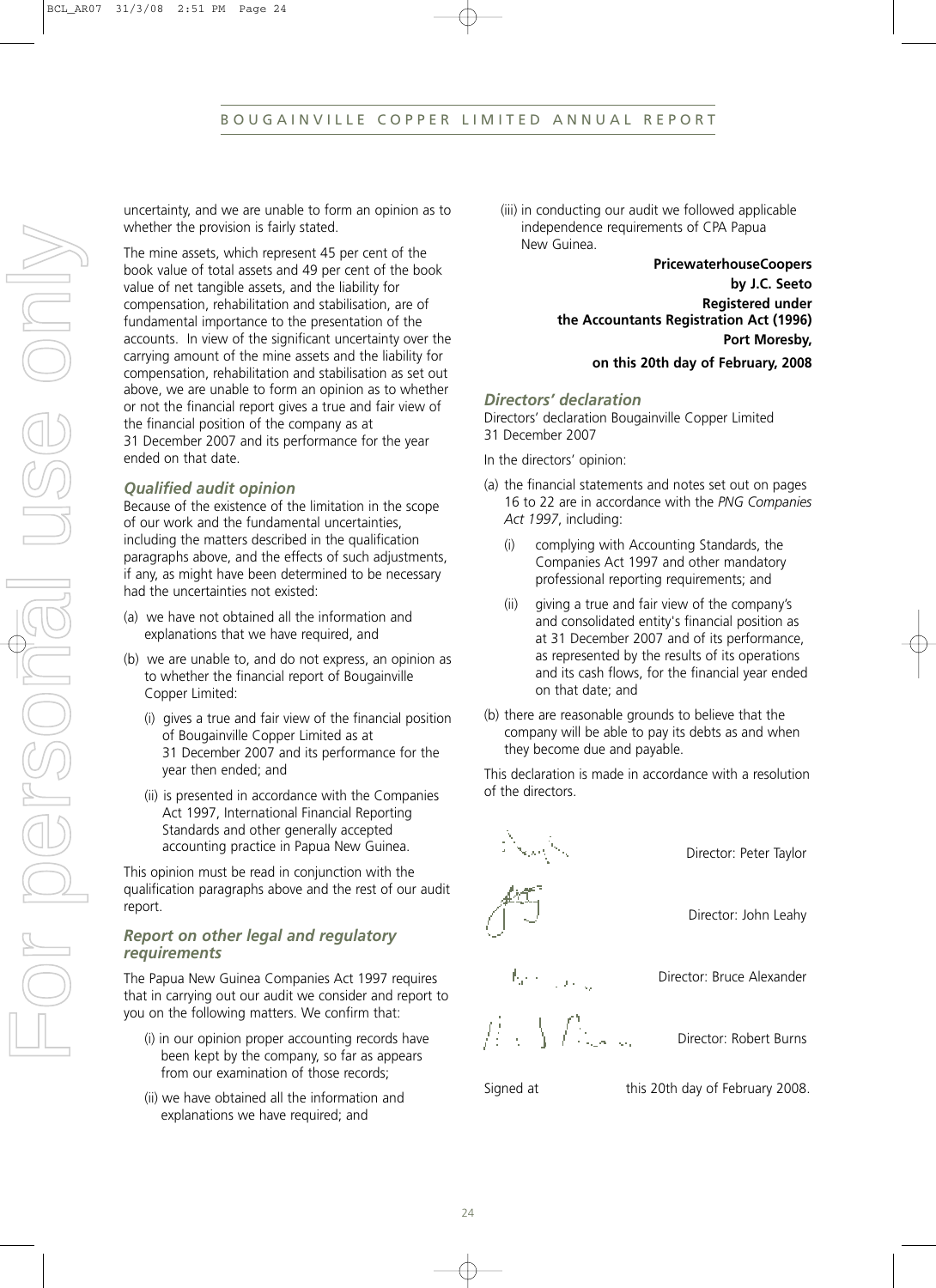uncertainty, and we are unable to form an opinion as to whether the provision is fairly stated.

The mine assets, which represent 45 per cent of the book value of total assets and 49 per cent of the book value of net tangible assets, and the liability for compensation, rehabilitation and stabilisation, are of fundamental importance to the presentation of the accounts. In view of the significant uncertainty over the carrying amount of the mine assets and the liability for compensation, rehabilitation and stabilisation as set out above, we are unable to form an opinion as to whether or not the financial report gives a true and fair view of the financial position of the company as at 31 December 2007 and its performance for the year ended on that date.

#### *Qualified audit opinion*

For personal use only

Because of the existence of the limitation in the scope of our work and the fundamental uncertainties, including the matters described in the qualification paragraphs above, and the effects of such adjustments, if any, as might have been determined to be necessary had the uncertainties not existed:

- (a) we have not obtained all the information and explanations that we have required, and
- (b) we are unable to, and do not express, an opinion as to whether the financial report of Bougainville Copper Limited:
	- (i) gives a true and fair view of the financial position of Bougainville Copper Limited as at 31 December 2007 and its performance for the year then ended; and
	- (ii) is presented in accordance with the Companies Act 1997, International Financial Reporting Standards and other generally accepted accounting practice in Papua New Guinea.

This opinion must be read in conjunction with the qualification paragraphs above and the rest of our audit report.

#### *Report on other legal and regulatory requirements*

The Papua New Guinea Companies Act 1997 requires that in carrying out our audit we consider and report to you on the following matters. We confirm that:

- (i) in our opinion proper accounting records have been kept by the company, so far as appears from our examination of those records;
- (ii) we have obtained all the information and explanations we have required; and

(iii) in conducting our audit we followed applicable independence requirements of CPA Papua New Guinea.

> **PricewaterhouseCoopers by J.C. Seeto Registered under the Accountants Registration Act (1996) Port Moresby,**

> > **on this 20th day of February, 2008**

#### *Directors' declaration*

Directors' declaration Bougainville Copper Limited 31 December 2007

In the directors' opinion:

- (a) the financial statements and notes set out on pages 16 to 22 are in accordance with the *PNG Companies Act 1997*, including:
	- (i) complying with Accounting Standards, the Companies Act 1997 and other mandatory professional reporting requirements; and
	- (ii) giving a true and fair view of the company's and consolidated entity's financial position as at 31 December 2007 and of its performance, as represented by the results of its operations and its cash flows, for the financial year ended on that date; and
- (b) there are reasonable grounds to believe that the company will be able to pay its debts as and when they become due and payable.

This declaration is made in accordance with a resolution of the directors.



Director: Peter Taylor

Director: John Leahy

Director: Bruce Alexander

 $\bigcap_{\omega\in\mathbb{R}}$ 

Director: Robert Burns

Signed at this 20th day of February 2008.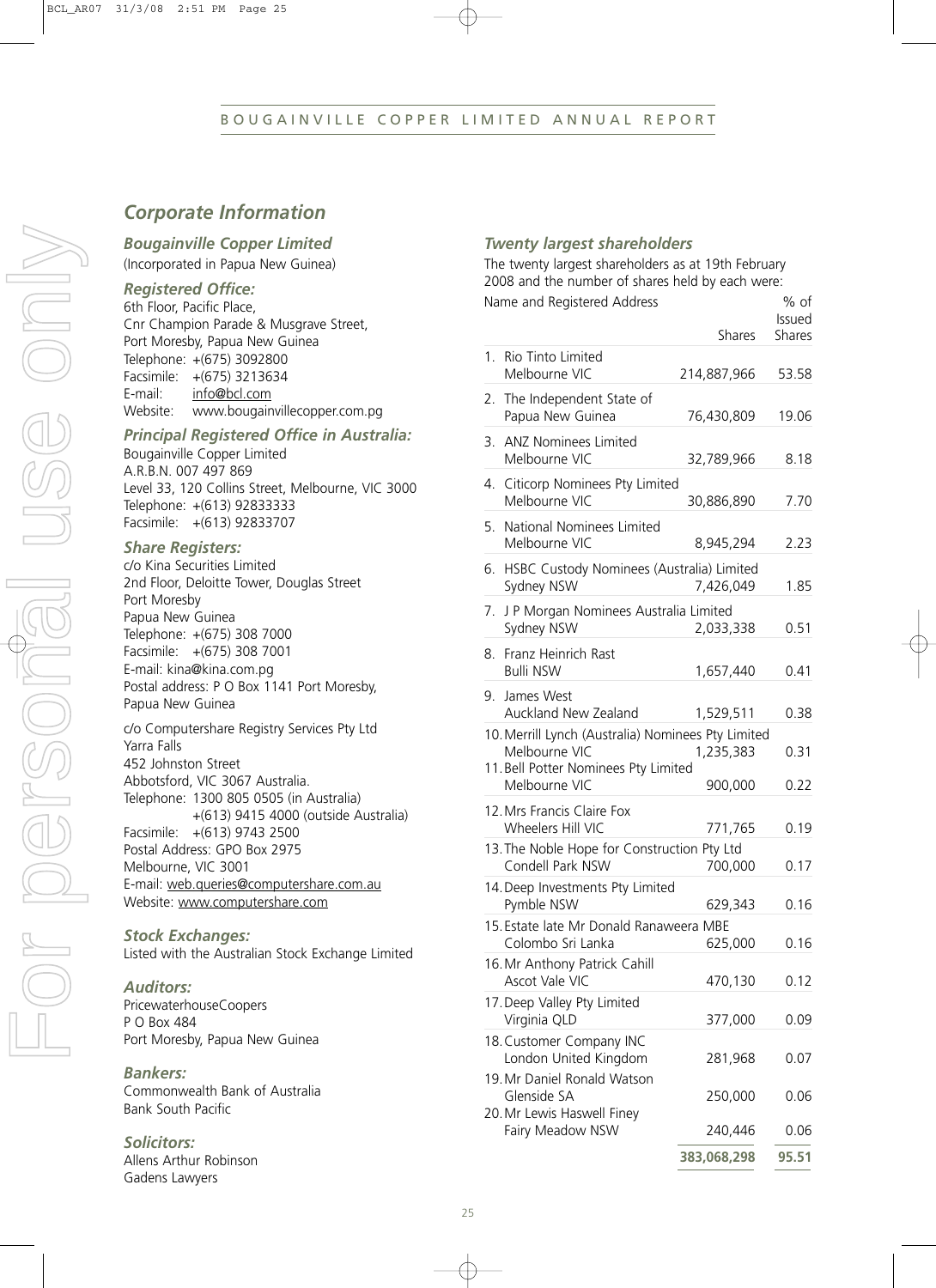# *Corporate Information*

## *Bougainville Copper Limited*  (Incorporated in Papua New Guinea)

*Registered Office:*

6th Floor, Pacific Place, Cnr Champion Parade & Musgrave Street, Port Moresby, Papua New Guinea Telephone: +(675) 3092800 Facsimile: +(675) 3213634<br>F-mail: info@bcl.com info@bcl.com Website: www.bougainvillecopper.com.pg

#### *Principal Registered Office in Australia:*

Bougainville Copper Limited A.R.B.N. 007 497 869 Level 33, 120 Collins Street, Melbourne, VIC 3000 Telephone: +(613) 92833333 Facsimile: +(613) 92833707

#### *Share Registers:*

c/o Kina Securities Limited 2nd Floor, Deloitte Tower, Douglas Street Port Moresby Papua New Guinea Telephone: +(675) 308 7000 Facsimile: +(675) 308 7001 E-mail: kina@kina.com.pg Postal address: P O Box 1141 Port Moresby, Papua New Guinea

c/o Computershare Registry Services Pty Ltd Yarra Falls 452 Johnston Street Abbotsford, VIC 3067 Australia. Telephone: 1300 805 0505 (in Australia) +(613) 9415 4000 (outside Australia) Facsimile: +(613) 9743 2500 Postal Address: GPO Box 2975 Melbourne, VIC 3001 E-mail: web.queries@computershare.com.au Website: www.computershare.com

#### *Stock Exchanges:*

Listed with the Australian Stock Exchange Limited

#### *Auditors:*

PricewaterhouseCoopers P O Box 484 Port Moresby, Papua New Guinea

#### *Bankers:*

Commonwealth Bank of Australia Bank South Pacific

#### *Solicitors:*

Allens Arthur Robinson Gadens Lawyers

#### *Twenty largest shareholders*

The twenty largest shareholders as at 19th February 2008 and the number of shares held by each were: d Pogistered Addr

|    | Name and Registered Address                                                                                                  | <b>Shares</b>        | % of<br><b>Issued</b><br>Shares |
|----|------------------------------------------------------------------------------------------------------------------------------|----------------------|---------------------------------|
| 1. | Rio Tinto Limited<br>Melbourne VIC                                                                                           | 214,887,966          | 53.58                           |
| 2. | The Independent State of<br>Papua New Guinea                                                                                 | 76,430,809           | 19.06                           |
| 3. | <b>ANZ Nominees Limited</b><br>Melbourne VIC                                                                                 | 32,789,966           | 8.18                            |
| 4. | Citicorp Nominees Pty Limited<br>Melbourne VIC                                                                               | 30,886,890           | 7.70                            |
|    | 5. National Nominees Limited<br>Melbourne VIC                                                                                | 8,945,294            | 2.23                            |
| 6. | HSBC Custody Nominees (Australia) Limited<br>Sydney NSW                                                                      | 7,426,049            | 1.85                            |
|    | 7. J P Morgan Nominees Australia Limited<br>Sydney NSW                                                                       | 2,033,338            | 0.51                            |
| 8. | Franz Heinrich Rast<br><b>Bulli NSW</b>                                                                                      | 1,657,440            | 0.41                            |
| 9. | James West<br>Auckland New Zealand                                                                                           | 1,529,511            | 0.38                            |
|    | 10. Merrill Lynch (Australia) Nominees Pty Limited<br>Melbourne VIC<br>11. Bell Potter Nominees Pty Limited<br>Melbourne VIC | 1,235,383<br>900,000 | 0.31<br>0.22                    |
|    | 12. Mrs Francis Claire Fox<br>Wheelers Hill VIC                                                                              | 771,765              | 0.19                            |
|    | 13. The Noble Hope for Construction Pty Ltd<br>Condell Park NSW                                                              | 700,000              | 0.17                            |
|    | 14. Deep Investments Pty Limited<br>Pymble NSW                                                                               | 629,343              | 0.16                            |
|    | 15. Estate late Mr Donald Ranaweera MBE<br>Colombo Sri Lanka                                                                 | 625,000              | 0.16                            |
|    | 16. Mr Anthony Patrick Cahill<br>Ascot Vale VIC                                                                              | 470,130              | 0.12                            |
|    | 17. Deep Valley Pty Limited<br>Virginia QLD                                                                                  | 377,000              | 0.09                            |
|    | 18. Customer Company INC<br>London United Kingdom                                                                            | 281,968              | 0.07                            |
|    | 19. Mr Daniel Ronald Watson<br>Glenside SA<br>20. Mr Lewis Haswell Finey                                                     | 250,000              | 0.06                            |
|    | Fairy Meadow NSW                                                                                                             | 240,446              | 0.06                            |
|    |                                                                                                                              | 383,068,298          | 95.51                           |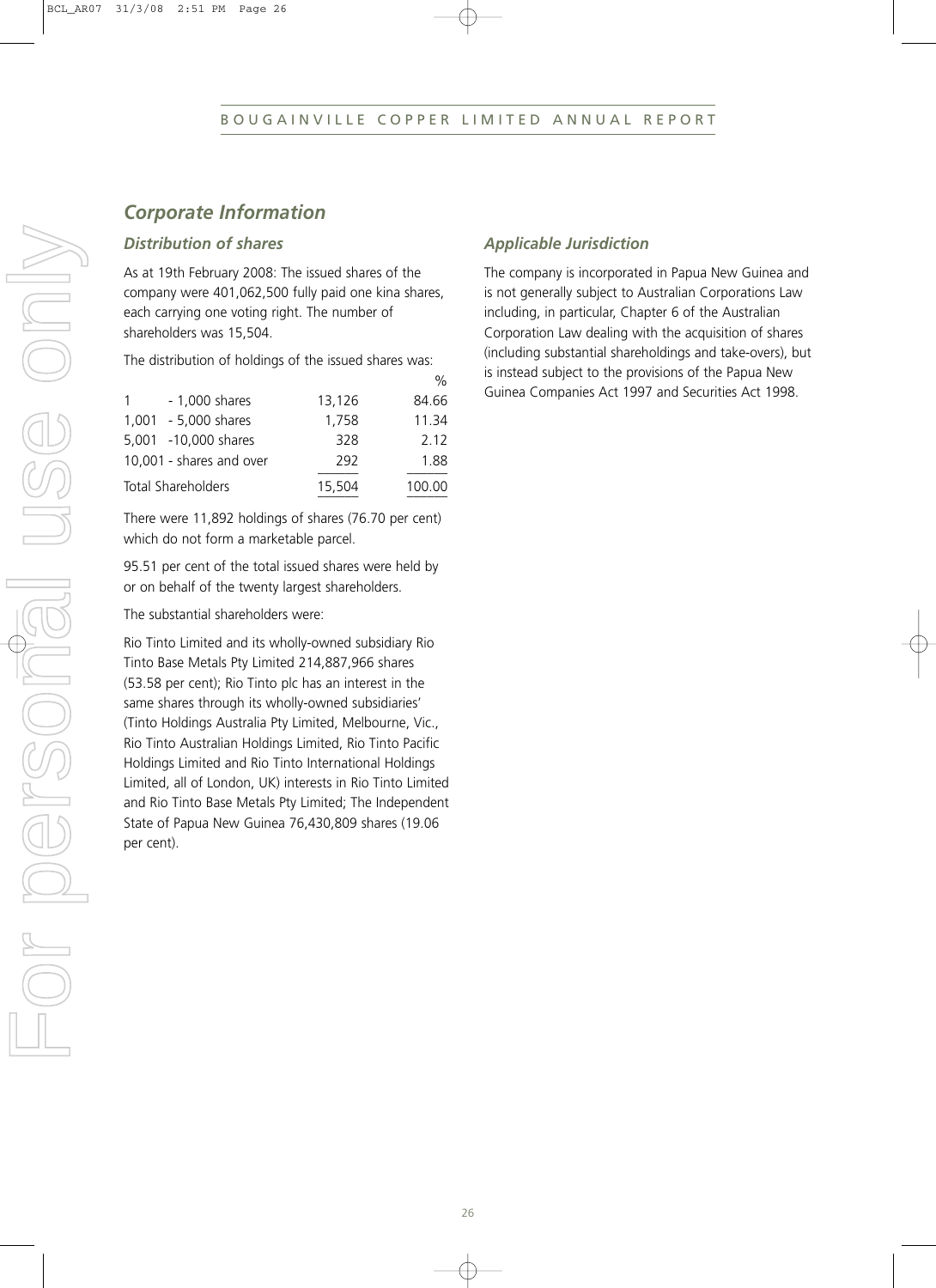# *Corporate Information*

## *Distribution of shares*

As at 19th February 2008: The issued shares of the company were 401,062,500 fully paid one kina shares, each carrying one voting right. The number of shareholders was 15,504.

The distribution of holdings of the issued shares was:

|                                |        | $\%$   |
|--------------------------------|--------|--------|
| - 1,000 shares<br>$\mathbf{1}$ | 13,126 | 84.66  |
| - 5,000 shares<br>1.001        | 1,758  | 11.34  |
| 5,001 -10,000 shares           | 328    | 2.12   |
| 10,001 - shares and over       | 292    | 1.88   |
| Total Shareholders             | 15,504 | 100.00 |

There were 11,892 holdings of shares (76.70 per cent) which do not form a marketable parcel.

95.51 per cent of the total issued shares were held by or on behalf of the twenty largest shareholders.

#### The substantial shareholders were:

Rio Tinto Limited and its wholly-owned subsidiary Rio Tinto Base Metals Pty Limited 214,887,966 shares (53.58 per cent); Rio Tinto plc has an interest in the same shares through its wholly-owned subsidiaries' (Tinto Holdings Australia Pty Limited, Melbourne, Vic., Rio Tinto Australian Holdings Limited, Rio Tinto Pacific Holdings Limited and Rio Tinto International Holdings Limited, all of London, UK) interests in Rio Tinto Limited and Rio Tinto Base Metals Pty Limited; The Independent State of Papua New Guinea 76,430,809 shares (19.06 per cent).

# *Applicable Jurisdiction*

The company is incorporated in Papua New Guinea and is not generally subject to Australian Corporations Law including, in particular, Chapter 6 of the Australian Corporation Law dealing with the acquisition of shares (including substantial shareholdings and take-overs), but is instead subject to the provisions of the Papua New Guinea Companies Act 1997 and Securities Act 1998.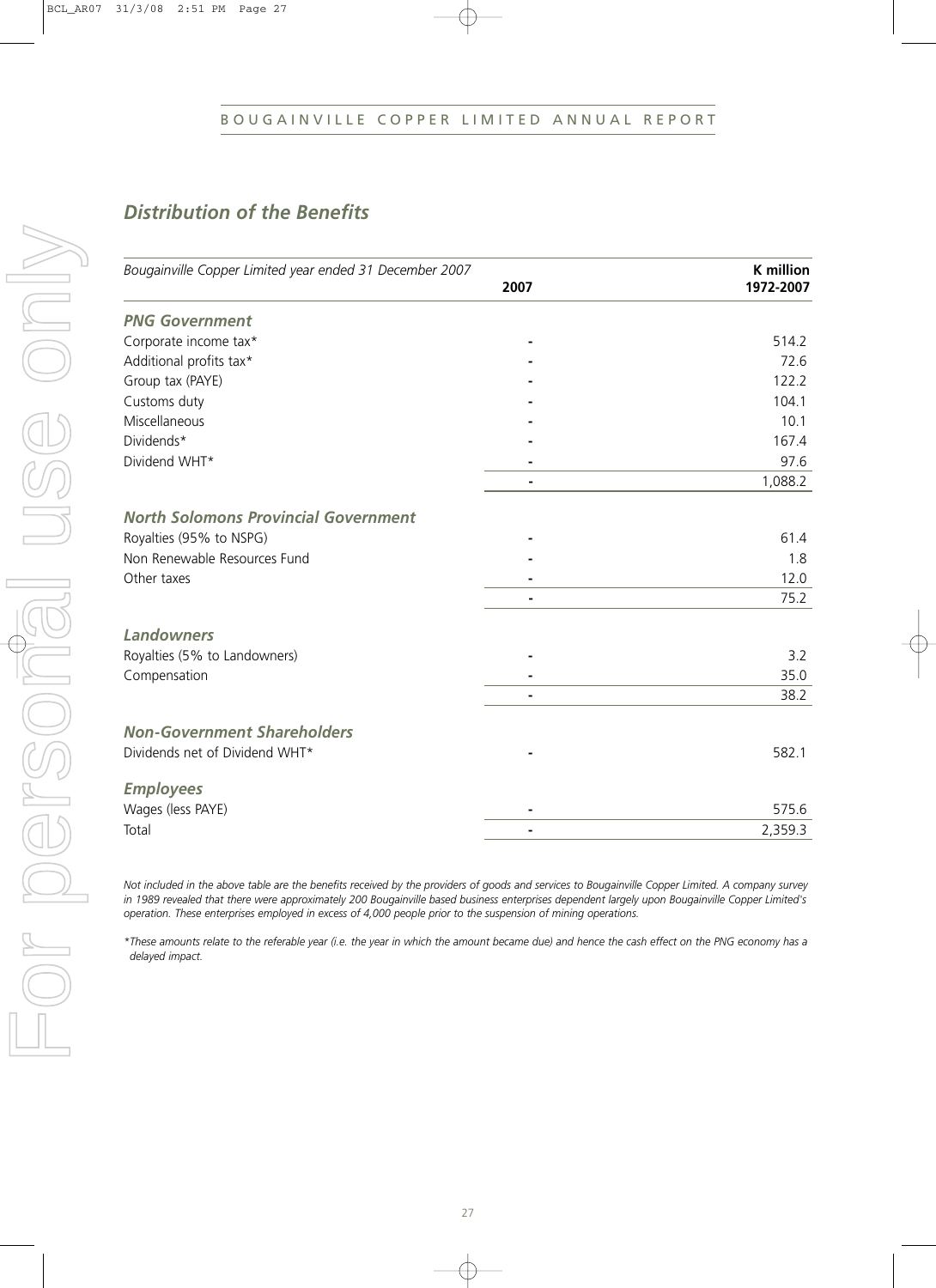# *Distribution of the Benefits*

| Bougainville Copper Limited year ended 31 December 2007 | 2007 | <b>K</b> million<br>1972-2007 |  |  |
|---------------------------------------------------------|------|-------------------------------|--|--|
| <b>PNG Government</b>                                   |      |                               |  |  |
| Corporate income tax*                                   |      | 514.2                         |  |  |
| Additional profits tax*                                 |      | 72.6                          |  |  |
| Group tax (PAYE)                                        |      | 122.2                         |  |  |
| Customs duty                                            |      | 104.1                         |  |  |
| Miscellaneous                                           |      | 10.1                          |  |  |
| Dividends*                                              |      | 167.4                         |  |  |
| Dividend WHT*                                           |      | 97.6                          |  |  |
|                                                         |      | 1,088.2                       |  |  |
|                                                         |      |                               |  |  |
| <b>North Solomons Provincial Government</b>             |      |                               |  |  |
| Royalties (95% to NSPG)                                 |      | 61.4                          |  |  |
| Non Renewable Resources Fund                            |      | 1.8                           |  |  |
| Other taxes                                             |      | 12.0                          |  |  |
|                                                         |      | 75.2                          |  |  |
| <b>Landowners</b>                                       |      |                               |  |  |
| Royalties (5% to Landowners)                            |      | 3.2                           |  |  |
| Compensation                                            |      | 35.0                          |  |  |
|                                                         |      | 38.2                          |  |  |
|                                                         |      |                               |  |  |
| <b>Non-Government Shareholders</b>                      |      |                               |  |  |
| Dividends net of Dividend WHT*                          |      | 582.1                         |  |  |
| <b>Employees</b>                                        |      |                               |  |  |
| Wages (less PAYE)                                       |      | 575.6                         |  |  |
| Total                                                   |      | 2,359.3                       |  |  |

*Not included in the above table are the benefits received by the providers of goods and services to Bougainville Copper Limited. A company survey in 1989 revealed that there were approximately 200 Bougainville based business enterprises dependent largely upon Bougainville Copper Limited's operation. These enterprises employed in excess of 4,000 people prior to the suspension of mining operations.*

*\*These amounts relate to the referable year (i.e. the year in which the amount became due) and hence the cash effect on the PNG economy has a delayed impact.*

€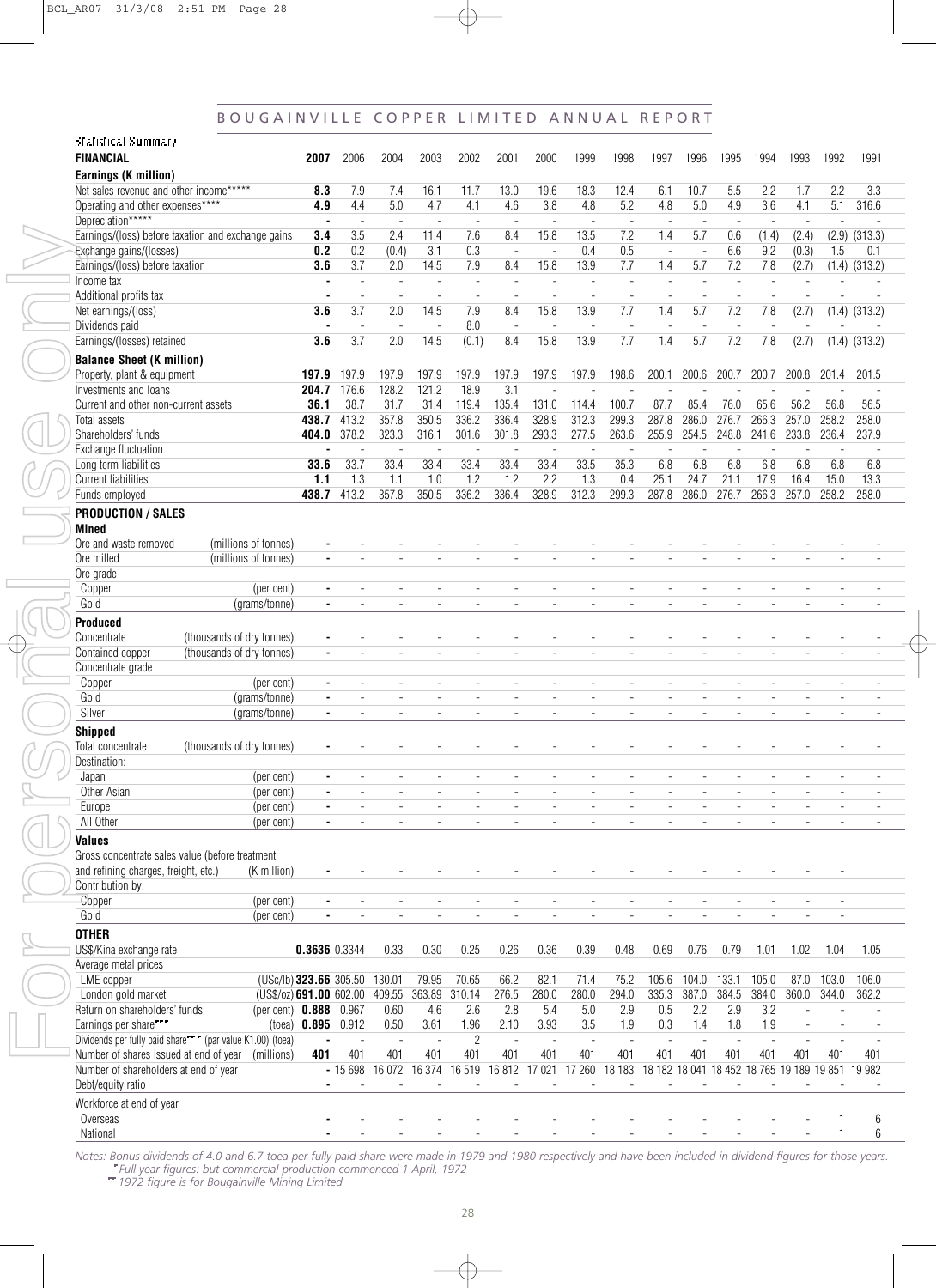| <b>Statistical Summary</b>                                                                |                          |                          |                          |                          |                                    |                          |                          |                          |                          |                                                  |                          |                          |                          |                          |                |                              |
|-------------------------------------------------------------------------------------------|--------------------------|--------------------------|--------------------------|--------------------------|------------------------------------|--------------------------|--------------------------|--------------------------|--------------------------|--------------------------------------------------|--------------------------|--------------------------|--------------------------|--------------------------|----------------|------------------------------|
| <b>FINANCIAL</b>                                                                          | 2007                     | 2006                     | 2004                     | 2003                     | 2002                               | 2001                     | 2000                     | 1999                     | 1998                     | 1997                                             | 1996                     | 1995                     | 1994                     | 1993                     | 1992           | 1991                         |
| Earnings (K million)                                                                      |                          |                          |                          |                          |                                    |                          |                          |                          |                          |                                                  |                          |                          |                          |                          |                |                              |
| Net sales revenue and other income*****                                                   | 8.3                      | 7.9                      | 7.4                      | 16.1                     | 11.7                               | 13.0                     | 19.6                     | 18.3                     | 12.4                     | 6.1                                              | 10.7                     | 5.5                      | 2.2                      | 1.7                      | 2.2            | 3.3                          |
| Operating and other expenses****                                                          | 4.9                      | 4.4                      | 5.0                      | 4.7                      | 4.1                                | 4.6                      | 3.8                      | 4.8                      | 5.2                      | 4.8                                              | 5.0                      | 4.9                      | 3.6                      | 4.1                      | 5.1            | 316.6                        |
| Depreciation*****                                                                         | $\overline{\phantom{a}}$ | $\overline{a}$           | $\overline{\phantom{a}}$ |                          | $\overline{\phantom{a}}$           | $\overline{\phantom{a}}$ | $\overline{a}$           | $\overline{\phantom{a}}$ | $\overline{a}$           | $\sim$                                           | ٠                        | $\overline{\phantom{a}}$ | $\overline{\phantom{a}}$ | $\overline{\phantom{a}}$ |                |                              |
| Earnings/(loss) before taxation and exchange gains                                        | 3.4                      | 3.5                      | 2.4                      | 11.4                     | 7.6                                | 8.4                      | 15.8                     | 13.5                     | 7.2                      | 1.4                                              | 5.7                      | 0.6                      | (1.4)                    | (2.4)                    |                | $(2.9)$ $(313.3)$            |
| Exchange gains/(losses)                                                                   | 0.2                      | 0.2                      | (0.4)                    | 3.1                      | 0.3                                | $\overline{\phantom{a}}$ | Ĭ.                       | 0.4                      | 0.5                      | $\sim$                                           |                          | 6.6                      | 9.2                      | (0.3)                    | 1.5            | 0.1                          |
| Earnings/(loss) before taxation                                                           | 3.6                      | 3.7                      | 2.0                      | 14.5                     | 7.9                                | 8.4                      | 15.8                     | 13.9                     | 7.7                      | 1.4                                              | 5.7                      | 7.2                      | 7.8                      | (2.7)                    |                | $(1.4)$ $(313.2)$            |
| Income tax                                                                                | $\overline{\phantom{a}}$ | $\overline{\phantom{a}}$ | $\sim$                   | $\sim$                   | $\overline{\phantom{a}}$           | $\overline{\phantom{a}}$ | $\overline{a}$           | $\overline{\phantom{a}}$ | $\overline{a}$           | $\sim$                                           | L,                       |                          | $\overline{a}$           | $\overline{\phantom{a}}$ |                |                              |
| Additional profits tax                                                                    | $\blacksquare$           | $\overline{\phantom{a}}$ | $\sim$                   | $\sim$                   | $\overline{\phantom{a}}$           | $\overline{\phantom{a}}$ | $\overline{\phantom{a}}$ | $\overline{\phantom{a}}$ | $\overline{a}$           | $\sim$                                           | $\overline{a}$           | $\overline{\phantom{a}}$ | $\overline{\phantom{a}}$ | $\overline{a}$           |                |                              |
| Net earnings/(loss)                                                                       | 3.6                      | 3.7                      | 2.0                      | 14.5                     | 7.9                                | 8.4                      | 15.8                     | 13.9                     | 7.7                      | 1.4                                              | 5.7                      | 7.2                      | 7.8                      | (2.7)                    | (1.4)          | (313.2)                      |
| Dividends paid                                                                            |                          | $\overline{a}$           | $\sim$                   |                          | 8.0                                | $\overline{\phantom{a}}$ | $\overline{a}$           | $\overline{\phantom{a}}$ | $\overline{a}$           | $\overline{a}$                                   | $\overline{a}$           | $\overline{\phantom{a}}$ |                          |                          |                |                              |
| Earnings/(losses) retained                                                                | 3.6                      | 3.7                      | 2.0                      | 14.5                     | (0.1)                              | 8.4                      | 15.8                     | 13.9                     | 7.7                      | 1.4                                              | 5.7                      | 7.2                      | 7.8                      | (2.7)                    |                | $(1.4)$ $(313.2)$            |
| <b>Balance Sheet (K million)</b>                                                          |                          |                          |                          |                          |                                    |                          |                          |                          |                          |                                                  |                          |                          |                          |                          |                |                              |
| Property, plant & equipment                                                               | 197.9                    | 197.9                    | 197.9                    | 197.9                    | 197.9                              | 197.9                    | 197.9                    | 197.9                    | 198.6                    | 200.1                                            | 200.6                    | 200.7                    | 200.7                    | 200.8                    | 201.4          | 201.5                        |
| Investments and Ioans                                                                     | 204.7                    | 176.6                    | 128.2                    | 121.2                    | 18.9                               | 3.1                      | $\overline{\phantom{a}}$ |                          |                          |                                                  |                          |                          |                          |                          |                |                              |
| Current and other non-current assets                                                      | 36.1                     | 38.7                     | 31.7                     | 31.4                     | 119.4                              | 135.4                    | 131.0                    | 114.4                    | 100.7                    | 87.7                                             | 85.4                     | 76.0                     | 65.6                     | 56.2                     | 56.8           | 56.5                         |
| Total assets                                                                              | 438.7                    | 413.2                    | 357.8                    | 350.5                    | 336.2                              | 336.4                    | 328.9                    | 312.3                    | 299.3                    | 287.8                                            | 286.0                    | 276.7                    | 266.3                    | 257.0                    | 258.2          | 258.0                        |
| Shareholders' funds                                                                       | 404.0                    | 378.2                    | 323.3                    | 316.1                    | 301.6                              | 301.8                    | 293.3                    | 277.5                    | 263.6                    | 255.9                                            | 254.5                    | 248.8                    | 241.6                    | 233.8                    | 236.4          | 237.9                        |
| Exchange fluctuation                                                                      |                          | $\overline{a}$           | $\overline{\phantom{a}}$ | $\sim$                   | $\overline{a}$                     |                          | $\overline{a}$           |                          |                          |                                                  |                          |                          |                          |                          |                |                              |
| Long term liabilities                                                                     | 33.6                     | 33.7                     | 33.4                     | 33.4                     | 33.4                               | 33.4                     | 33.4                     | 33.5                     | 35.3                     | 6.8                                              | 6.8                      | 6.8                      | 6.8                      | 6.8                      | 6.8            | 6.8                          |
| <b>Current liabilities</b>                                                                | 1.1                      | 1.3                      | 1.1                      | 1.0                      | 1.2                                | 1.2                      | 2.2                      | 1.3                      | 0.4                      | 25.1                                             | 24.7                     | 21.1                     | 17.9                     | 16.4                     | 15.0           | 13.3                         |
| Funds employed                                                                            | 438.7                    | 413.2                    | 357.8                    | 350.5                    | 336.2                              | 336.4                    | 328.9                    | 312.3                    | 299.3                    | 287.8                                            | 286.0                    | 276.7                    | 266.3                    | 257.0                    | 258.2          | 258.0                        |
| <b>PRODUCTION / SALES</b>                                                                 |                          |                          |                          |                          |                                    |                          |                          |                          |                          |                                                  |                          |                          |                          |                          |                |                              |
| Mined                                                                                     |                          |                          |                          |                          |                                    |                          |                          |                          |                          |                                                  |                          |                          |                          |                          |                |                              |
| Ore and waste removed<br>(millions of tonnes)                                             |                          |                          |                          |                          |                                    |                          |                          |                          |                          |                                                  |                          |                          |                          |                          |                |                              |
| Ore milled<br>(millions of tonnes)                                                        |                          |                          |                          |                          |                                    |                          |                          |                          |                          |                                                  |                          |                          |                          |                          |                |                              |
| Ore grade<br>Copper<br>(per cent)                                                         |                          |                          |                          |                          |                                    |                          |                          |                          |                          |                                                  |                          |                          |                          |                          |                |                              |
| Gold<br>(grams/tonne)                                                                     |                          |                          | $\overline{\phantom{a}}$ | $\overline{a}$           |                                    |                          |                          |                          |                          |                                                  |                          |                          |                          |                          |                |                              |
|                                                                                           |                          |                          |                          |                          |                                    |                          |                          |                          |                          |                                                  |                          |                          |                          |                          |                |                              |
| Produced                                                                                  |                          |                          |                          |                          |                                    |                          |                          |                          |                          |                                                  |                          |                          |                          |                          |                |                              |
| Concentrate<br>(thousands of dry tonnes)<br>Contained copper<br>(thousands of dry tonnes) |                          |                          |                          |                          |                                    |                          |                          |                          |                          |                                                  |                          |                          |                          |                          |                |                              |
| Concentrate grade                                                                         |                          |                          |                          |                          |                                    |                          |                          |                          |                          |                                                  |                          |                          |                          |                          |                |                              |
| Copper<br>(per cent)                                                                      |                          |                          |                          |                          |                                    |                          |                          |                          |                          |                                                  |                          |                          |                          |                          |                |                              |
| Gold<br>(grams/tonne)                                                                     | $\blacksquare$           | $\overline{\phantom{0}}$ | $\overline{a}$           | $\overline{\phantom{a}}$ | $\overline{\phantom{a}}$           | $\overline{\phantom{a}}$ | $\overline{\phantom{a}}$ | $\overline{\phantom{0}}$ | $\overline{a}$           | $\overline{\phantom{a}}$                         | $\overline{a}$           | $\overline{\phantom{a}}$ | $\overline{\phantom{a}}$ | $\overline{a}$           | ۰              | $\qquad \qquad \blacksquare$ |
| Silver<br>(grams/tonne)                                                                   | $\blacksquare$           | L.                       | $\overline{a}$           | $\overline{\phantom{a}}$ |                                    | $\overline{\phantom{a}}$ | $\overline{\phantom{a}}$ | $\overline{a}$           | $\overline{a}$           |                                                  |                          |                          |                          |                          |                |                              |
| <b>Shipped</b>                                                                            |                          |                          |                          |                          |                                    |                          |                          |                          |                          |                                                  |                          |                          |                          |                          |                |                              |
| (thousands of dry tonnes)<br>Total concentrate                                            |                          |                          |                          |                          |                                    |                          |                          |                          |                          |                                                  |                          |                          |                          |                          |                |                              |
| Destination:                                                                              |                          |                          |                          |                          |                                    |                          |                          |                          |                          |                                                  |                          |                          |                          |                          |                |                              |
| (per cent)<br>Japan                                                                       |                          |                          |                          |                          |                                    |                          |                          |                          |                          |                                                  |                          |                          |                          |                          |                |                              |
| Other Asian<br>(per cent)                                                                 |                          | ٠                        |                          |                          |                                    |                          |                          |                          | $\overline{\phantom{a}}$ |                                                  |                          |                          |                          |                          |                |                              |
| Europe<br>(per cent)                                                                      | $\overline{\phantom{a}}$ | ۰                        | $\overline{\phantom{a}}$ | $\overline{\phantom{a}}$ |                                    | $\overline{\phantom{a}}$ | $\overline{a}$           | $\overline{\phantom{a}}$ | $\overline{a}$           |                                                  | $\overline{\phantom{a}}$ |                          |                          | $\overline{\phantom{a}}$ | $\overline{a}$ |                              |
| All Other<br>(per cent)                                                                   | $\blacksquare$           | L,                       |                          | $\overline{\phantom{0}}$ |                                    |                          |                          |                          | $\overline{a}$           |                                                  |                          |                          |                          |                          |                |                              |
| <b>Values</b>                                                                             |                          |                          |                          |                          |                                    |                          |                          |                          |                          |                                                  |                          |                          |                          |                          |                |                              |
| Gross concentrate sales value (before treatment                                           |                          |                          |                          |                          |                                    |                          |                          |                          |                          |                                                  |                          |                          |                          |                          |                |                              |
| and refining charges, freight, etc.)<br>(K million)                                       |                          |                          |                          |                          |                                    |                          |                          |                          |                          |                                                  |                          |                          |                          |                          |                |                              |
| Contribution by:                                                                          |                          |                          |                          |                          |                                    |                          |                          |                          |                          |                                                  |                          |                          |                          |                          |                |                              |
| Copper<br>(per cent)                                                                      | $\blacksquare$           |                          |                          |                          |                                    |                          |                          |                          |                          |                                                  |                          |                          |                          |                          | $\overline{a}$ |                              |
| Gold<br>(per cent)                                                                        |                          |                          |                          |                          |                                    |                          |                          |                          |                          |                                                  |                          |                          |                          |                          |                |                              |
| <b>OTHER</b>                                                                              |                          |                          |                          |                          |                                    |                          |                          |                          |                          |                                                  |                          |                          |                          |                          |                |                              |
| US\$/Kina exchange rate                                                                   | 0.3636 0.3344            |                          | 0.33                     | 0.30                     | 0.25                               | 0.26                     | 0.36                     | 0.39                     | 0.48                     | 0.69                                             | 0.76                     | 0.79                     | 1.01                     | 1.02                     | 1.04           | 1.05                         |
| Average metal prices                                                                      |                          |                          |                          |                          |                                    |                          |                          |                          |                          |                                                  |                          |                          |                          |                          |                |                              |
| LME copper<br>(USc/lb) 323.66 305.50                                                      |                          |                          | 130.01                   | 79.95                    | 70.65                              | 66.2                     | 82.1                     | 71.4                     | 75.2                     | 105.6                                            | 104.0                    | 133.1                    | 105.0                    | 87.0                     | 103.0          | 106.0                        |
| London gold market<br>$(US$/oz)$ 691.00 602.00                                            |                          |                          | 409.55                   | 363.89                   | 310.14                             | 276.5                    | 280.0                    | 280.0                    | 294.0                    | 335.3                                            | 387.0                    | 384.5                    | 384.0                    | 360.0 344.0              |                | 362.2                        |
| Return on shareholders' funds<br>(per cent) 0.888 0.967                                   |                          |                          | 0.60                     | 4.6                      | 2.6                                | 2.8                      | 5.4                      | 5.0                      | 2.9                      | 0.5                                              | 2.2                      | 2.9                      | 3.2                      |                          |                |                              |
| Earnings per share                                                                        | $(10ea)$ 0.895 0.912     |                          | 0.50                     | 3.61                     | 1.96                               | 2.10                     | 3.93                     | 3.5                      | 1.9                      | 0.3                                              | 1.4                      | 1.8                      | 1.9                      | $\overline{\phantom{a}}$ |                | $\overline{a}$               |
| Dividends per fully paid share (par value K1.00) (toea)                                   | $\blacksquare$           | $\overline{\phantom{a}}$ | $\overline{\phantom{a}}$ | $\overline{\phantom{a}}$ | $\sqrt{2}$                         | $\overline{\phantom{a}}$ | $\overline{\phantom{a}}$ | $\overline{\phantom{a}}$ | $\overline{\phantom{a}}$ | $\overline{\phantom{a}}$                         | ÷,                       | $\overline{\phantom{a}}$ |                          | $\overline{\phantom{a}}$ |                | $\overline{a}$               |
| Number of shares issued at end of year<br>(millions)                                      | 401                      | 401                      | 401                      | 401                      | 401                                | 401                      | 401                      | 401                      | 401                      | 401                                              | 401                      | 401                      | 401                      | 401                      | 401            | 401                          |
| Number of shareholders at end of year                                                     | $\blacksquare$           | $-15698$                 |                          |                          | 16 072 16 374 16 519 16 812 17 021 |                          |                          | 17 260 18 183            |                          | 18 182 18 041 18 452 18 765 19 189 19 851 19 982 |                          |                          |                          |                          |                |                              |
| Debt/equity ratio                                                                         |                          |                          |                          |                          |                                    |                          |                          |                          |                          |                                                  |                          |                          |                          |                          |                |                              |
| Workforce at end of year                                                                  |                          |                          |                          |                          |                                    |                          |                          |                          |                          |                                                  |                          |                          |                          |                          |                |                              |
| Overseas                                                                                  |                          |                          |                          |                          |                                    |                          |                          |                          |                          |                                                  |                          |                          |                          |                          |                | 6<br>6                       |
| National                                                                                  |                          |                          |                          |                          |                                    |                          |                          |                          |                          |                                                  |                          |                          |                          |                          |                |                              |

Notes: Bonus dividends of 4.0 and 6.7 toea per fully paid share were made in 1979 and 1980 respectively and have been included in dividend figures for those years.<br>Full year figures: but commercial production commenced 1 A

 $\bigoplus$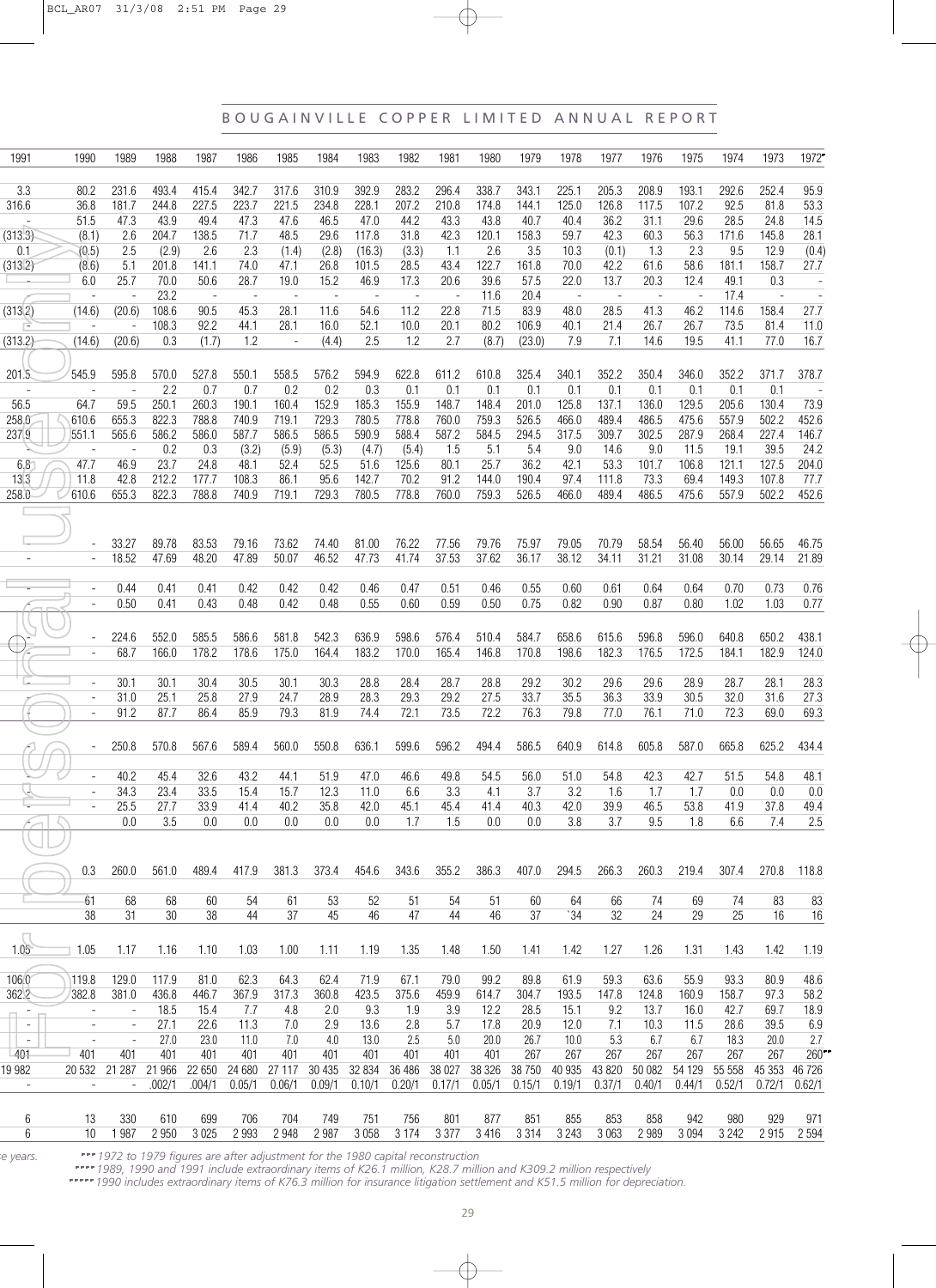BOUGAINVILLE COPPER LIMITED ANNUAL REPORT

| 1991         | 1990                     | 1989                               | 1988           | 1987                     | 1986                     | 1985                             | 1984           | 1983                     | 1982                     | 1981                     | 1980           | 1979            | 1978                     | 1977                     | 1976                     | 1975           | 1974          | 1973                     | 1972                     |
|--------------|--------------------------|------------------------------------|----------------|--------------------------|--------------------------|----------------------------------|----------------|--------------------------|--------------------------|--------------------------|----------------|-----------------|--------------------------|--------------------------|--------------------------|----------------|---------------|--------------------------|--------------------------|
|              |                          |                                    |                |                          |                          |                                  |                |                          |                          |                          |                |                 |                          |                          |                          |                |               |                          |                          |
| 3.3<br>316.6 | 80.2<br>36.8             | 231.6<br>181.7                     | 493.4<br>244.8 | 415.4<br>227.5           | 342.7<br>223.7           | 317.6<br>221.5                   | 310.9<br>234.8 | 392.9<br>228.1           | 283.2<br>207.2           | 296.4<br>210.8           | 338.7<br>174.8 | 343.1<br>144.1  | 225.1<br>125.0           | 205.3<br>126.8           | 208.9<br>117.5           | 193.1<br>107.2 | 292.6<br>92.5 | 252.4<br>81.8            | 95.9<br>53.3             |
|              | 51.5                     | 47.3                               | 43.9           | 49.4                     | 47.3                     | 47.6                             | 46.5           | 47.0                     | 44.2                     | 43.3                     | 43.8           | 40.7            | 40.4                     | 36.2                     | 31.1                     | 29.6           | 28.5          | 24.8                     | 14.5                     |
| (313.3)      | (8.1)                    | 2.6                                | 204.7          | 138.5                    | 71.7                     | 48.5                             | 29.6           | 117.8                    | 31.8                     | 42.3                     | 120.1          | 158.3           | 59.7                     | 42.3                     | 60.3                     | 56.3           | 171.6         | 145.8                    | 28.1                     |
| 0.1          | (0.5)                    | 2.5                                | (2.9)          | 2.6                      | 2.3                      | (1.4)                            | (2.8)          | (16.3)                   | (3.3)                    | 1.1                      | 2.6            | 3.5             | 10.3                     | (0.1)                    | 1.3                      | 2.3            | 9.5           | 12.9                     | (0.4)                    |
| (313.2)      | (8.6)                    | 5.1                                | 201.8          | 141.1                    | 74.0                     | 47.1                             | 26.8           | 101.5                    | 28.5                     | 43.4                     | 122.7          | 161.8           | 70.0                     | 42.2                     | 61.6                     | 58.6           | 181.1         | 158.7                    | 27.7                     |
|              | 6.0                      | 25.7                               | 70.0           | 50.6                     | 28.7                     | 19.0                             | 15.2           | 46.9                     | 17.3                     | 20.6                     | 39.6           | 57.5            | 22.0                     | 13.7                     | 20.3                     | 12.4           | 49.1          | 0.3                      | $\overline{\phantom{a}}$ |
|              | $\overline{\phantom{a}}$ |                                    | 23.2           | $\overline{\phantom{a}}$ | $\overline{\phantom{a}}$ | $\overline{\phantom{a}}$         |                | $\overline{\phantom{a}}$ | $\overline{\phantom{a}}$ | $\overline{\phantom{a}}$ | 11.6           | 20.4            | $\overline{\phantom{a}}$ | $\overline{\phantom{a}}$ | $\overline{\phantom{a}}$ | $\overline{a}$ | 17.4          | $\overline{\phantom{a}}$ | $\overline{\phantom{a}}$ |
| (313.2)      | (14.6)                   | (20.6)                             | 108.6          | 90.5                     | 45.3                     | 28.1                             | 11.6           | 54.6                     | 11.2                     | 22.8                     | 71.5           | 83.9            | 48.0                     | 28.5                     | 41.3                     | 46.2           | 114.6         | 158.4                    | 27.7                     |
|              |                          | $\overline{\phantom{a}}$<br>(20.6) | 108.3<br>0.3   | 92.2                     | 44.1<br>1.2              | 28.1<br>$\overline{\phantom{a}}$ | 16.0           | 52.1<br>2.5              | 10.0<br>1.2              | 20.1<br>2.7              | 80.2<br>(8.7)  | 106.9<br>(23.0) | 40.1                     | 21.4<br>7.1              | 26.7                     | 26.7<br>19.5   | 73.5          | 81.4                     | 11.0<br>16.7             |
| (313.2)      | (14.6)                   |                                    |                | (1.7)                    |                          |                                  | (4.4)          |                          |                          |                          |                |                 | 7.9                      |                          | 14.6                     |                | 41.1          | 77.0                     |                          |
| 201.5        | 545.9                    | 595.8                              | 570.0          | 527.8                    | 550.1                    | 558.5                            | 576.2          | 594.9                    | 622.8                    | 611.2                    | 610.8          | 325.4           | 340.1                    | 352.2                    | 350.4                    | 346.0          | 352.2         | 371.7                    | 378.7                    |
|              |                          |                                    | 2.2            | 0.7                      | 0.7                      | 0.2                              | 0.2            | 0.3                      | 0.1                      | 0.1                      | 0.1            | 0.1             | 0.1                      | 0.1                      | 0.1                      | 0.1            | 0.1           | 0.1                      | $\overline{\phantom{a}}$ |
| 56.5         | 64.7                     | 59.5                               | 250.1          | 260.3                    | 190.1                    | 160.4                            | 152.9          | 185.3                    | 155.9                    | 148.7                    | 148.4          | 201.0           | 125.8                    | 137.1                    | 136.0                    | 129.5          | 205.6         | 130.4                    | 73.9                     |
| 258,0        | 610.6                    | 655.3                              | 822.3          | 788.8                    | 740.9                    | 719.1                            | 729.3          | 780.5                    | 778.8                    | 760.0                    | 759.3          | 526.5           | 466.0                    | 489.4                    | 486.5                    | 475.6          | 557.9         | 502.2                    | 452.6                    |
| 237.9        | 551.1                    | 565.6                              | 586.2          | 586.0                    | 587.7                    | 586.5                            | 586.5          | 590.9                    | 588.4                    | 587.2                    | 584.5          | 294.5           | 317.5                    | 309.7                    | 302.5                    | 287.9          | 268.4         | 227.4                    | 146.7                    |
|              |                          |                                    | 0.2            | 0.3                      | (3.2)                    | (5.9)                            | (5.3)          | (4.7)                    | (5.4)                    | 1.5                      | 5.1            | 5.4             | 9.0                      | 14.6                     | 9.0                      | 11.5           | 19.1          | 39.5                     | 24.2                     |
| 6.8          | 47.7                     | 46.9                               | 23.7           | 24.8                     | 48.1                     | 52.4                             | 52.5           | 51.6                     | 125.6                    | 80.1                     | 25.7           | 36.2            | 42.1                     | 53.3                     | 101.7                    | 106.8          | 121.1         | 127.5                    | 204.0                    |
| 13.3         | 11.8                     | 42.8                               | 212.2          | 177.7                    | 108.3                    | 86.1                             | 95.6           | 142.7                    | 70.2                     | 91.2                     | 144.0          | 190.4           | 97.4                     | 111.8                    | 73.3                     | 69.4           | 149.3         | 107.8                    | 77.7                     |
| 258.0        | 610.6                    | 655.3                              | 822.3          | 788.8                    | 740.9                    | 719.1                            | 729.3          | 780.5                    | 778.8                    | 760.0                    | 759.3          | 526.5           | 466.0                    | 489.4                    | 486.5                    | 475.6          | 557.9         | 502.2                    | 452.6                    |
|              |                          |                                    |                |                          |                          |                                  |                |                          |                          |                          |                |                 |                          |                          |                          |                |               |                          |                          |
|              |                          |                                    |                |                          |                          |                                  |                |                          |                          |                          |                |                 |                          |                          |                          |                |               |                          |                          |
|              |                          | 33.27                              | 89.78          | 83.53                    | 79.16                    | 73.62                            | 74.40          | 81.00                    | 76.22                    | 77.56                    | 79.76          | 75.97           | 79.05                    | 70.79                    | 58.54                    | 56.40          | 56.00         | 56.65                    | 46.75                    |
|              | $\overline{a}$           | 18.52                              | 47.69          | 48.20                    | 47.89                    | 50.07                            | 46.52          | 47.73                    | 41.74                    | 37.53                    | 37.62          | 36.17           | 38.12                    | 34.11                    | 31.21                    | 31.08          | 30.14         | 29.14                    | 21.89                    |
|              | $\overline{a}$           |                                    |                |                          |                          |                                  |                |                          |                          |                          |                |                 |                          |                          |                          |                |               |                          |                          |
|              |                          | 0.44<br>0.50                       | 0.41<br>0.41   | 0.41<br>0.43             | 0.42<br>0.48             | 0.42<br>0.42                     | 0.42<br>0.48   | 0.46<br>0.55             | 0.47<br>0.60             | 0.51<br>0.59             | 0.46<br>0.50   | 0.55<br>0.75    | 0.60<br>0.82             | 0.61<br>0.90             | 0.64<br>0.87             | 0.64<br>0.80   | 0.70<br>1.02  | 0.73<br>1.03             | 0.76<br>0.77             |
|              |                          |                                    |                |                          |                          |                                  |                |                          |                          |                          |                |                 |                          |                          |                          |                |               |                          |                          |
|              |                          |                                    |                |                          |                          |                                  |                |                          |                          |                          |                |                 |                          |                          |                          |                |               |                          |                          |
|              |                          | 224.6                              | 552.0          | 585.5                    | 586.6                    | 581.8                            | 542.3          | 636.9                    | 598.6                    | 576.4                    | 510.4          | 584.7           | 658.6                    | 615.6                    | 596.8                    | 596.0          | 640.8         | 650.2                    | 438.1                    |
|              | $\overline{a}$           | 68.7                               | 166.0          | 178.2                    | 178.6                    | 175.0                            | 164.4          | 183.2                    | 170.0                    | 165.4                    | 146.8          | 170.8           | 198.6                    | 182.3                    | 176.5                    | 172.5          | 184.1         | 182.9                    | 124.0                    |
|              | $\overline{a}$           | 30.1                               | 30.1           | 30.4                     | 30.5                     | 30.1                             | 30.3           | 28.8                     | 28.4                     | 28.7                     | 28.8           | 29.2            | 30.2                     | 29.6                     | 29.6                     | 28.9           | 28.7          | 28.1                     | 28.3                     |
|              | $\overline{a}$           | 31.0                               | 25.1           | 25.8                     | 27.9                     | 24.7                             | 28.9           | 28.3                     | 29.3                     | 29.2                     | 27.5           | 33.7            | 35.5                     | 36.3                     | 33.9                     | 30.5           | 32.0          | 31.6                     | 27.3                     |
|              | $\overline{a}$           | 91.2                               | 87.7           | 86.4                     | 85.9                     | 79.3                             | 81.9           | 74.4                     | 72.1                     | 73.5                     | 72.2           | 76.3            | 79.8                     | 77.0                     | 76.1                     | 71.0           | 72.3          | 69.0                     | 69.3                     |
|              |                          |                                    |                |                          |                          |                                  |                |                          |                          |                          |                |                 |                          |                          |                          |                |               |                          |                          |
|              | $\overline{a}$           | 250.8                              | 570.8          | 567.6                    | 589.4                    | 560.0                            | 550.8          | 636.1                    | 599.6                    | 596.2                    | 494.4          | 586.5           | 640.9                    | 614.8                    | 605.8                    | 587.0          | 665.8         | 625.2                    | 434.4                    |
|              |                          |                                    |                |                          |                          |                                  |                |                          |                          |                          |                |                 |                          |                          |                          |                |               |                          |                          |
|              |                          | 40.2                               | 45.4           | 32.6                     | 43.2                     | 44.1                             | 51.9           | 47.0                     | 46.6                     | 49.8                     | 54.5           | 56.0            | 51.0                     | 54.8                     | 42.3                     | 42.7           | 51.5          | 54.8                     | 48.1                     |
|              | $\overline{a}$           | 34.3                               | 23.4           | 33.5                     | 15.4                     | 15.7                             | 12.3           | 11.0                     | 6.6                      | 3.3                      | 4.1            | 3.7             | 3.2                      | 1.6                      | 1.7                      | 1.7            | 0.0           | 0.0                      | 0.0                      |
|              | $\overline{a}$           | 25.5                               | 27.7           | 33.9                     | 41.4                     | 40.2                             | 35.8           | 42.0                     | 45.1                     | 45.4                     | 41.4           | 40.3            | 42.0                     | 39.9                     | 46.5                     | 53.8           | 41.9          | 37.8                     | 49.4                     |
|              |                          | 0.0                                | 3.5            | 0.0                      | 0.0                      | $0.0\,$                          | 0.0            | $0.0\,$                  | 1.7                      | 1.5                      | 0.0            | 0.0             | 3.8                      | 3.7                      | 9.5                      | 1.8            | 6.6           | 7.4                      | 2.5                      |
|              |                          |                                    |                |                          |                          |                                  |                |                          |                          |                          |                |                 |                          |                          |                          |                |               |                          |                          |
|              |                          |                                    |                |                          |                          |                                  |                |                          |                          |                          |                |                 |                          |                          |                          |                |               |                          |                          |
|              | 0.3                      | 260.0                              | 561.0          | 489.4                    | 417.9                    | 381.3                            | 373.4          | 454.6                    | 343.6                    | 355.2                    | 386.3          | 407.0           | 294.5                    | 266.3                    | 260.3                    | 219.4          | 307.4         | 270.8                    | 118.8                    |
|              |                          |                                    |                |                          |                          |                                  |                |                          |                          |                          |                |                 |                          |                          |                          |                |               |                          |                          |
|              | 61<br>38                 | 68<br>31                           | 68<br>30       | 60<br>38                 | 54<br>44                 | 61<br>37                         | 53<br>45       | 52<br>46                 | 51<br>47                 | 54<br>44                 | 51<br>46       | 60<br>37        | 64<br>34                 | 66<br>32                 | 74<br>24                 | 69<br>29       | 74<br>25      | 83<br>16                 | 83                       |
|              |                          |                                    |                |                          |                          |                                  |                |                          |                          |                          |                |                 |                          |                          |                          |                |               |                          | 16                       |
|              |                          |                                    |                |                          |                          |                                  |                |                          |                          |                          |                |                 |                          |                          |                          |                |               |                          |                          |
| 1.05         | 1.05                     | 1.17                               | 1.16           | 1.10                     | 1.03                     | 1.00                             | 1.11           | 1.19                     | 1.35                     | 1.48                     | 1.50           | 1.41            | 1.42                     | 1.27                     | 1.26                     | 1.31           | 1.43          | 1.42                     | 1.19                     |
| 106.0        | 119.8                    | 129.0                              | 117.9          | 81.0                     | 62.3                     | 64.3                             | 62.4           | 71.9                     | 67.1                     | 79.0                     | 99.2           | 89.8            | 61.9                     | 59.3                     | 63.6                     | 55.9           | 93.3          | 80.9                     | 48.6                     |
| 362.2        | 382.8                    | 381.0                              | 436.8          | 446.7                    | 367.9                    | 317.3                            | 360.8          | 423.5                    | 375.6                    | 459.9                    | 614.7          | 304.7           | 193.5                    | 147.8                    | 124.8                    | 160.9          | 158.7         | 97.3                     | 58.2                     |
| $\sim$       | $\overline{\phantom{a}}$ | $\overline{\phantom{a}}$           | 18.5           | 15.4                     | 7.7                      | 4.8                              | 2.0            | 9.3                      | 1.9                      | 3.9                      | 12.2           | 28.5            | 15.1                     | 9.2                      | 13.7                     | 16.0           | 42.7          | 69.7                     | 18.9                     |
| $\sim$       | $\overline{\phantom{a}}$ | $\overline{\phantom{a}}$           | 27.1           | 22.6                     | 11.3                     | 7.0                              | 2.9            | 13.6                     | 2.8                      | 5.7                      | 17.8           | 20.9            | 12.0                     | 7.1                      | 10.3                     | 11.5           | 28.6          | 39.5                     | 6.9                      |
| $\sim$       | $\overline{a}$           | $\overline{\phantom{a}}$           | 27.0           | 23.0                     | 11.0                     | 7.0                              | 4.0            | 13.0                     | 2.5                      | 5.0                      | 20.0           | 26.7            | 10.0                     | 5.3                      | 6.7                      | 6.7            | 18.3          | 20.0                     | 2.7                      |
| $-401$       | 401                      | 401                                | 401            | 401                      | 401                      | 401                              | 401            | 401                      | 401                      | 401                      | 401            | 267             | 267                      | 267                      | 267                      | 267            | 267           | 267                      | 260                      |
| 19 982       |                          | 20 532 21 287 21 966               |                | 22 650                   | 24 680                   | 27 117 30 435                    |                | 32 834                   | 36 486                   | 38 027                   | 38 326         | 38 750          | 40 935                   | 43 820                   | 50 082                   | 54 129         | 55 558        |                          | 45 353 46 726            |
|              |                          |                                    | .002/1         | .004/1                   | 0.05/1                   | 0.06/1                           | 0.09/1         | 0.10/1                   | 0.20/1                   | 0.17/1                   | 0.05/1         | 0.15/1          | 0.19/1                   | 0.37/1                   | 0.40/1                   | 0.44/1         | 0.52/1        |                          | $0.72/1$ $0.62/1$        |
|              |                          |                                    |                |                          |                          |                                  |                |                          |                          |                          |                |                 |                          |                          |                          |                |               |                          |                          |
| 6            | 13                       | 330                                | 610            | 699                      | 706                      | 704                              | 749            | 751                      | 756                      | 801                      | 877            | 851             | 855                      | 853                      | 858                      | 942            | 980           | 929                      | 971                      |
| 6            | 10                       | 1987                               | 2 9 5 0        | 3 0 25                   | 2 9 9 3                  | 2 9 4 8                          | 2 9 8 7        | 3 0 5 8                  | 3 1 7 4                  | 3 3 7 7                  | 3416           | 3 3 1 4         | 3 2 4 3                  | 3 0 6 3                  | 2 9 8 9                  | 3 0 9 4        | 3 2 4 2       | 2915                     | 2 5 9 4                  |
|              |                          |                                    |                |                          |                          |                                  |                |                          |                          |                          |                |                 |                          |                          |                          |                |               |                          |                          |

*ose years.* SSS*1972 to 1979 figures are after adjustment for the 1980 capital reconstruction*

SSSS*1989, 1990 and 1991 include extraordinary items of K26.1 million, K28.7 million and K309.2 million respectively*

FIFFT 1990 includes extraordinary items of K76.3 million for insurance litigation settlement and K51.5 million for depreciation.

 $\color{red} \bigoplus$